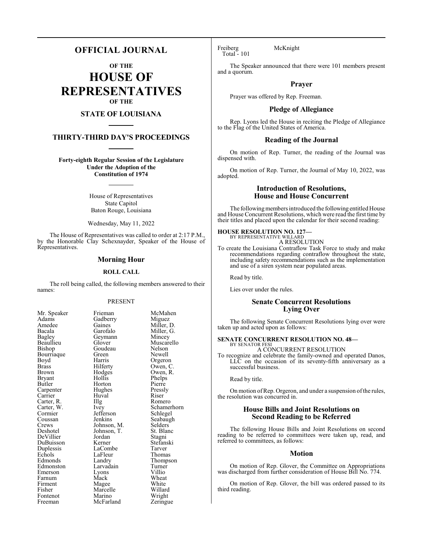# **OFFICIAL JOURNAL**

**OF THE**

**HOUSE OF REPRESENTATIVES OF THE**

# **STATE OF LOUISIANA**

# **THIRTY-THIRD DAY'S PROCEEDINGS**

**Forty-eighth Regular Session of the Legislature Under the Adoption of the Constitution of 1974**

> House of Representatives State Capitol Baton Rouge, Louisiana

Wednesday, May 11, 2022

The House of Representatives was called to order at 2:17 P.M., by the Honorable Clay Schexnayder, Speaker of the House of Representatives.

# **Morning Hour**

### **ROLL CALL**

The roll being called, the following members answered to their names:

# PRESENT

Goudeau<br>Green

Huval<br>Illg

Jefferson<br>Jenkins

LaFleur<br>Landry

| Mr. Speaker          |
|----------------------|
| Adams                |
| Amedee               |
| Bacala               |
| Bagley               |
| Beaullieu            |
| Bishop               |
| Bourriaque           |
| Boyd                 |
| <b>Brass</b>         |
| <b>Brown</b>         |
| Bryant               |
| Butler               |
| Carpenter<br>Carrier |
|                      |
| Carter, R.           |
| Carter, W.           |
| Cormier<br>Coussan   |
|                      |
| Crews                |
| Deshotel             |
| DeVillier            |
| DuBuisson            |
| Duplessis            |
| Echols               |
| Edmonds              |
| Edmonston            |
| Emerson              |
| Farnum               |
| Firment              |
| Fisher               |
| Fontenot             |
| Freeman              |

Frieman McMahen<br>Gadberry Miguez Gadberry<br>Gaines Gaines Miller, D.<br>Garofalo Miller, G. Miller, G.<br>Mincey Geymann<br>Glover Muscarello<br>Nelson Green Newell<br>Harris Orgero Harris Orgeron<br>Hilferty Owen, C Hilferty Owen, C.<br>Hodges Owen, R. Hodges Owen, R.<br>Hollis Phelps Phelps<br>Pierre Horton Pierre<br>
Hughes Pressly Hughes Pressl<br>Huval Riser The Romero<br>
Ivey Schamer Schamerhorn<br>Schlegel Seabaugh<br>Selders Johnson, M. Selders<br>Johnson, T. St. Blanc Johnson, T.<br>Jordan Jordan Stagni<br>Kerner Stefans Stefanski<br>Tarver LaCombe Tarver<br>LaFleur Thomas Thompson<br>Turner Larvadain Turner<br>Lyons Villio Eyons Villio<br>
Mack Wheat Farnum Mack Wheat Magee White<br>Marcelle Willard Marcelle Willard<br>
Marino Wright Marino Wright<br>
McFarland Zeringue McFarland

Freiberg McKnight Total - 101

The Speaker announced that there were 101 members present and a quorum.

# **Prayer**

Prayer was offered by Rep. Freeman.

# **Pledge of Allegiance**

Rep. Lyons led the House in reciting the Pledge of Allegiance to the Flag of the United States of America.

# **Reading of the Journal**

On motion of Rep. Turner, the reading of the Journal was dispensed with.

On motion of Rep. Turner, the Journal of May 10, 2022, was adopted.

# **Introduction of Resolutions, House and House Concurrent**

The following members introduced the following entitled House and House Concurrent Resolutions, which were read the first time by their titles and placed upon the calendar for their second reading:

#### **HOUSE RESOLUTION NO. 127—** BY REPRESENTATIVE WILLARD

A RESOLUTION

To create the Louisiana Contraflow Task Force to study and make recommendations regarding contraflow throughout the state, including safety recommendations such as the implementation and use of a siren system near populated areas.

Read by title.

Lies over under the rules.

# **Senate Concurrent Resolutions Lying Over**

The following Senate Concurrent Resolutions lying over were taken up and acted upon as follows:

#### **SENATE CONCURRENT RESOLUTION NO. 48—** BY SENATOR FESI

A CONCURRENT RESOLUTION

To recognize and celebrate the family-owned and operated Danos, LLC on the occasion of its seventy-fifth anniversary as a successful business.

Read by title.

On motion of Rep. Orgeron, and under a suspension of the rules, the resolution was concurred in.

# **House Bills and Joint Resolutions on Second Reading to be Referred**

The following House Bills and Joint Resolutions on second reading to be referred to committees were taken up, read, and referred to committees, as follows:

# **Motion**

On motion of Rep. Glover, the Committee on Appropriations was discharged from further consideration of House Bill No. 774.

On motion of Rep. Glover, the bill was ordered passed to its third reading.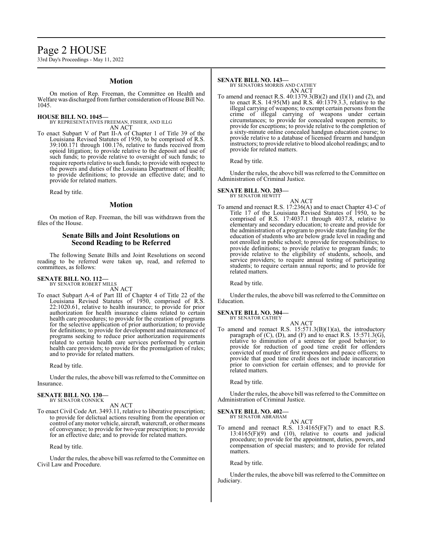# Page 2 HOUSE

33rd Day's Proceedings - May 11, 2022

# **Motion**

On motion of Rep. Freeman, the Committee on Health and Welfare was discharged from further consideration of House Bill No. 1045.

# **HOUSE BILL NO. 1045—**

BY REPRESENTATIVES FREEMAN, FISHER, AND ILLG AN ACT

To enact Subpart V of Part II-A of Chapter 1 of Title 39 of the Louisiana Revised Statutes of 1950, to be comprised of R.S. 39:100.171 through 100.176, relative to funds received from opioid litigation; to provide relative to the deposit and use of such funds; to provide relative to oversight of such funds; to require reports relative to such funds; to provide with respect to the powers and duties of the Louisiana Department of Health; to provide definitions; to provide an effective date; and to provide for related matters.

Read by title.

# **Motion**

On motion of Rep. Freeman, the bill was withdrawn from the files of the House.

# **Senate Bills and Joint Resolutions on Second Reading to be Referred**

The following Senate Bills and Joint Resolutions on second reading to be referred were taken up, read, and referred to committees, as follows:

#### **SENATE BILL NO. 112—**

BY SENATOR ROBERT MILLS AN ACT

To enact Subpart A-4 of Part III of Chapter 4 of Title 22 of the Louisiana Revised Statutes of 1950, comprised of R.S. 22:1020.61, relative to health insurance; to provide for prior authorization for health insurance claims related to certain health care procedures; to provide for the creation of programs for the selective application of prior authorization; to provide for definitions; to provide for development and maintenance of programs seeking to reduce prior authorization requirements related to certain health care services performed by certain health care providers; to provide for the promulgation of rules; and to provide for related matters.

Read by title.

Under the rules, the above bill was referred to the Committee on Insurance.

#### **SENATE BILL NO. 130—** BY SENATOR CONNICK

AN ACT

To enact Civil Code Art. 3493.11, relative to liberative prescription; to provide for delictual actions resulting from the operation or control of anymotor vehicle, aircraft, watercraft, or other means of conveyance; to provide for two-year prescription; to provide for an effective date; and to provide for related matters.

Read by title.

Under the rules, the above bill was referred to the Committee on Civil Law and Procedure.

#### **SENATE BILL NO. 143—**

BY SENATORS MORRIS AND CATHEY AN ACT

To amend and reenact R.S. 40:1379.3(B)(2) and (I)(1) and (2), and to enact R.S.  $14:95(M)$  and R.S.  $40:1379.3.3$ , relative to the illegal carrying of weapons; to exempt certain persons from the crime of illegal carrying of weapons under certain circumstances; to provide for concealed weapon permits; to provide for exceptions; to provide relative to the completion of a sixty-minute online concealed handgun education course; to provide relative to a database of licensed firearm and handgun instructors; to provide relative to blood alcohol readings; and to provide for related matters.

Read by title.

Under the rules, the above bill was referred to the Committee on Administration of Criminal Justice.

#### **SENATE BILL NO. 203—** BY SENATOR HEWITT

AN ACT

To amend and reenact R.S. 17:236(A) and to enact Chapter 43-C of Title 17 of the Louisiana Revised Statutes of 1950, to be comprised of R.S. 17:4037.1 through 4037.8, relative to elementary and secondary education; to create and provide for the administration of a program to provide state funding for the education of students who are below grade level in reading and not enrolled in public school; to provide for responsibilities; to provide definitions; to provide relative to program funds; to provide relative to the eligibility of students, schools, and service providers; to require annual testing of participating students; to require certain annual reports; and to provide for related matters.

Read by title.

Under the rules, the above bill was referred to the Committee on Education.

#### **SENATE BILL NO. 304—** BY SENATOR CATHEY

AN ACT

To amend and reenact R.S.  $15:571.3(B)(1)(a)$ , the introductory paragraph of (C), (D), and (F) and to enact R.S. 15:571.3(G), relative to diminution of a sentence for good behavior; to provide for reduction of good time credit for offenders convicted of murder of first responders and peace officers; to provide that good time credit does not include incarceration prior to conviction for certain offenses; and to provide for related matters.

Read by title.

Under the rules, the above bill was referred to the Committee on Administration of Criminal Justice.

#### **SENATE BILL NO. 402—**

BY SENATOR ABRAHAM AN ACT

To amend and reenact R.S.  $13:4165(F)(7)$  and to enact R.S.  $13:4165(F)(9)$  and  $(10)$ , relative to courts and judicial procedure; to provide for the appointment, duties, powers, and compensation of special masters; and to provide for related matters.

Read by title.

Under the rules, the above bill was referred to the Committee on Judiciary.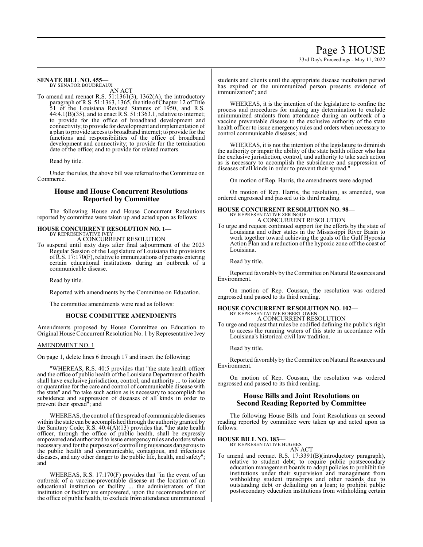# 33rd Day's Proceedings - May 11, 2022

# **SENATE BILL NO. 455—**

BY SENATOR BOUDREAUX

AN ACT To amend and reenact R.S. 51:1361(3), 1362(A), the introductory paragraph of R.S. 51:1363, 1365, the title of Chapter 12 of Title 51 of the Louisiana Revised Statutes of 1950, and R.S. 44:4.1(B)(35), and to enact R.S. 51:1363.1, relative to internet; to provide for the office of broadband development and connectivity; to provide for development and implementation of a plan to provide access to broadband internet; to provide for the functions and responsibilities of the office of broadband development and connectivity; to provide for the termination date of the office; and to provide for related matters.

Read by title.

Under the rules, the above bill was referred to the Committee on Commerce.

# **House and House Concurrent Resolutions Reported by Committee**

The following House and House Concurrent Resolutions reported by committee were taken up and acted upon as follows:

# **HOUSE CONCURRENT RESOLUTION NO. 1—** BY REPRESENTATIVE IVEY

A CONCURRENT RESOLUTION

To suspend until sixty days after final adjournment of the 2023 Regular Session of the Legislature of Louisiana the provisions ofR.S. 17:170(F), relative to immunizations of persons entering certain educational institutions during an outbreak of a communicable disease.

Read by title.

Reported with amendments by the Committee on Education.

The committee amendments were read as follows:

# **HOUSE COMMITTEE AMENDMENTS**

Amendments proposed by House Committee on Education to Original House Concurrent Resolution No. 1 by Representative Ivey

# AMENDMENT NO. 1

On page 1, delete lines 6 through 17 and insert the following:

"WHEREAS, R.S. 40:5 provides that "the state health officer and the office of public health of the Louisiana Department of health shall have exclusive jurisdiction, control, and authority ... to isolate or quarantine for the care and control of communicable disease with the state" and "to take such action as is necessary to accomplish the subsidence and suppression of diseases of all kinds in order to prevent their spread"; and

WHEREAS, the control ofthe spread of communicable diseases within the state can be accomplished through the authority granted by the Sanitary Code; R.S. 40:4(A)(13) provides that "the state health officer, through the office of public health, shall be expressly empowered and authorized to issue emergency rules and orders when necessary and for the purposes of controlling nuisances dangerous to the public health and communicable, contagious, and infectious diseases, and any other danger to the public life, health, and safety"; and

WHEREAS, R.S. 17:170(F) provides that "in the event of an outbreak of a vaccine-preventable disease at the location of an educational institution or facility ... the administrators of that institution or facility are empowered, upon the recommendation of the office of public health, to exclude from attendance unimmunized students and clients until the appropriate disease incubation period has expired or the unimmunized person presents evidence of immunization"; and

WHEREAS, it is the intention of the legislature to confine the process and procedures for making any determination to exclude unimmunized students from attendance during an outbreak of a vaccine preventable disease to the exclusive authority of the state health officer to issue emergency rules and orders when necessary to control communicable diseases; and

WHEREAS, it is not the intention of the legislature to diminish the authority or impair the ability of the state health officer who has the exclusive jurisdiction, control, and authority to take such action as is necessary to accomplish the subsidence and suppression of diseases of all kinds in order to prevent their spread."

On motion of Rep. Harris, the amendments were adopted.

On motion of Rep. Harris, the resolution, as amended, was ordered engrossed and passed to its third reading.

# **HOUSE CONCURRENT RESOLUTION NO. 98—** BY REPRESENTATIVE ZERINGUE A CONCURRENT RESOLUTION

To urge and request continued support for the efforts by the state of Louisiana and other states in the Mississippi River Basin to work together toward achieving the goals of the Gulf Hypoxia Action Plan and a reduction of the hypoxic zone off the coast of Louisiana.

Read by title.

Reported favorably by the Committee on Natural Resources and Environment.

On motion of Rep. Coussan, the resolution was ordered engrossed and passed to its third reading.

### **HOUSE CONCURRENT RESOLUTION NO. 102—** BY REPRESENTATIVE ROBERT OWEN

A CONCURRENT RESOLUTION To urge and request that rules be codified defining the public's right to access the running waters of this state in accordance with Louisiana's historical civil law tradition.

Read by title.

Reported favorably by the Committee on Natural Resources and Environment.

On motion of Rep. Coussan, the resolution was ordered engrossed and passed to its third reading.

# **House Bills and Joint Resolutions on Second Reading Reported by Committee**

The following House Bills and Joint Resolutions on second reading reported by committee were taken up and acted upon as follows:

**HOUSE BILL NO. 183—**

BY REPRESENTATIVE HUGHES AN ACT

To amend and reenact R.S. 17:3391(B)(introductory paragraph), relative to student debt; to require public postsecondary education management boards to adopt policies to prohibit the institutions under their supervision and management from withholding student transcripts and other records due to outstanding debt or defaulting on a loan; to prohibit public postsecondary education institutions from withholding certain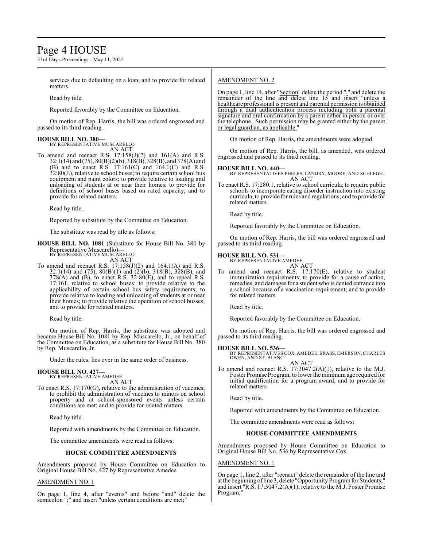# Page 4 HOUSE

33rd Day's Proceedings - May 11, 2022

services due to defaulting on a loan; and to provide for related matters.

Read by title.

Reported favorably by the Committee on Education.

On motion of Rep. Harris, the bill was ordered engrossed and passed to its third reading.

# **HOUSE BILL NO. 380—** BY REPRESENTATIVE MUSCARELLO

AN ACT

To amend and reenact R.S.  $17:158(J)(2)$  and  $161(A)$  and R.S. 32:1(14) and (75), 80(B)(2)(b), 318(B), 328(B), and 378(A) and (B) and to enact R.S.  $17:161(C)$  and  $164.1(C)$  and R.S.  $32:80(E)$ , relative to school buses; to require certain school bus equipment and paint colors; to provide relative to loading and unloading of students at or near their homes; to provide for definitions of school buses based on rated capacity; and to provide for related matters.

Read by title.

Reported by substitute by the Committee on Education.

The substitute was read by title as follows:

**HOUSE BILL NO. 1081** (Substitute for House Bill No. 380 by Representative Muscarello)**—** BY REPRESENTATIVE MUSCARELLO

AN ACT

To amend and reenact R.S.  $17:158(J)(2)$  and  $164.1(A)$  and R.S. 32:1(14) and (75), 80(B)(1) and (2)(b), 318(B), 328(B), and  $378(A)$  and (B), to enact R.S.  $32:80(E)$ , and to repeal R.S. 17:161, relative to school buses; to provide relative to the applicability of certain school bus safety requirements; to provide relative to loading and unloading of students at or near their homes; to provide relative the operation of school busses; and to provide for related matters.

Read by title.

On motion of Rep. Harris, the substitute was adopted and became House Bill No. 1081 by Rep. Muscarello, Jr., on behalf of the Committee on Education, as a substitute for House Bill No. 380 by Rep. Muscarello, Jr.

Under the rules, lies over in the same order of business.

# **HOUSE BILL NO. 427—**

BY REPRESENTATIVE AMEDEE AN ACT

To enact R.S. 17:170(G), relative to the administration of vaccines; to prohibit the administration of vaccines to minors on school property and at school-sponsored events unless certain conditions are met; and to provide for related matters.

Read by title.

Reported with amendments by the Committee on Education.

The committee amendments were read as follows:

# **HOUSE COMMITTEE AMENDMENTS**

Amendments proposed by House Committee on Education to Original House Bill No. 427 by Representative Amedee

# AMENDMENT NO. 1

On page 1, line 4, after "events" and before "and" delete the semicolon ";" and insert "unless certain conditions are met;"

# AMENDMENT NO. 2

On page 1, line 14, after "Section" delete the period "." and delete the remainder of the line and delete line 15 and insert "unless a healthcare professional is present and parental permission is obtained through a dual authentication process including both a parental signature and oral confirmation by a parent either in person or over the telephone. Such permission may be granted either by the parent or legal guardian, as applicable."

On motion of Rep. Harris, the amendments were adopted.

On motion of Rep. Harris, the bill, as amended, was ordered engrossed and passed to its third reading.

# **HOUSE BILL NO. 440—**

BY REPRESENTATIVES PHELPS, LANDRY, MOORE, AND SCHLEGEL AN ACT

To enact R.S. 17:280.1, relative to school curricula; to require public schools to incorporate eating disorder instruction into existing curricula; to provide for rules and regulations; and to provide for related matters.

Read by title.

Reported favorably by the Committee on Education.

On motion of Rep. Harris, the bill was ordered engrossed and passed to its third reading.

# **HOUSE BILL NO. 531—**

BY REPRESENTATIVE AMEDEE AN ACT

To amend and reenact R.S. 17:170(E), relative to student immunization requirements; to provide for a cause of action, remedies, and damages for a student who is denied entrance into a school because of a vaccination requirement; and to provide for related matters.

Read by title.

Reported favorably by the Committee on Education.

On motion of Rep. Harris, the bill was ordered engrossed and passed to its third reading.

# **HOUSE BILL NO. 536—**

BY REPRESENTATIVES COX, AMEDEE, BRASS, EMERSON, CHARLES OWEN, AND ST. BLANC AN ACT

To amend and reenact R.S. 17:3047.2(A)(1), relative to the M.J. Foster Promise Program; to lower the minimumage required for initial qualification for a program award; and to provide for related matters.

Read by title.

Reported with amendments by the Committee on Education.

The committee amendments were read as follows:

# **HOUSE COMMITTEE AMENDMENTS**

Amendments proposed by House Committee on Education to Original House Bill No. 536 by Representative Cox

### AMENDMENT NO. 1

On page 1, line 2, after "reenact" delete the remainder of the line and at the beginning of line 3, delete "Opportunity Program for Students;" and insert "R.S. 17:3047.2(A)(1), relative to the M.J. Foster Promise Program;"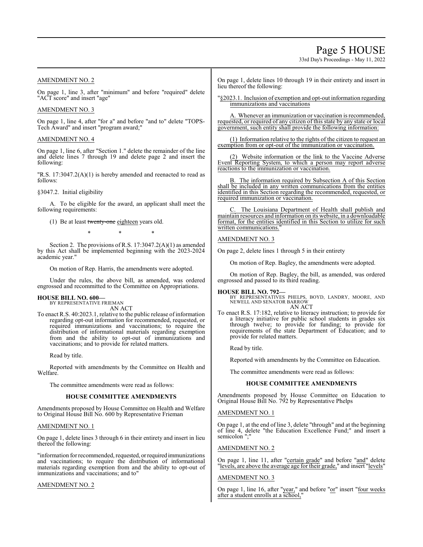# Page 5 HOUSE

33rd Day's Proceedings - May 11, 2022

# AMENDMENT NO. 2

On page 1, line 3, after "minimum" and before "required" delete "ACT score" and insert "age"

# AMENDMENT NO. 3

On page 1, line 4, after "for a" and before "and to" delete "TOPS-Tech Award" and insert "program award;"

# AMENDMENT NO. 4

On page 1, line 6, after "Section 1." delete the remainder of the line and delete lines 7 through 19 and delete page 2 and insert the following:

"R.S. 17:3047.2(A)(1) is hereby amended and reenacted to read as follows:

# §3047.2. Initial eligibility

A. To be eligible for the award, an applicant shall meet the following requirements:

(1) Be at least twenty-one eighteen years old.

\* \* \*

Section 2. The provisions of R.S. 17:3047.2(A)(1) as amended by this Act shall be implemented beginning with the 2023-2024 academic year."

On motion of Rep. Harris, the amendments were adopted.

Under the rules, the above bill, as amended, was ordered engrossed and recommitted to the Committee on Appropriations.

# **HOUSE BILL NO. 600—** BY REPRESENTATIVE FRIEMAN

AN ACT

To enact R.S. 40:2023.1, relative to the public release of information regarding opt-out information for recommended, requested, or required immunizations and vaccinations; to require the distribution of informational materials regarding exemption from and the ability to opt-out of immunizations and vaccinations; and to provide for related matters.

Read by title.

Reported with amendments by the Committee on Health and Welfare.

The committee amendments were read as follows:

# **HOUSE COMMITTEE AMENDMENTS**

Amendments proposed by House Committee on Health and Welfare to Original House Bill No. 600 by Representative Frieman

# AMENDMENT NO. 1

On page 1, delete lines 3 through 6 in their entirety and insert in lieu thereof the following:

"information for recommended, requested, orrequired immunizations and vaccinations; to require the distribution of informational materials regarding exemption from and the ability to opt-out of immunizations and vaccinations; and to"

# AMENDMENT NO. 2

On page 1, delete lines 10 through 19 in their entirety and insert in lieu thereof the following:

"§2023.1. Inclusion of exemption and opt-out information regarding immunizations and vaccinations

A. Whenever an immunization or vaccination is recommended, requested, or required of any citizen of this state by any state or local government, such entity shall provide the following information:

(1) Information relative to the rights of the citizen to request an exemption from or opt-out of the immunization or vaccination.

(2) Website information or the link to the Vaccine Adverse Event Reporting System, to which a person may report adverse reactions to the immunization or vaccination.

The information required by Subsection A of this Section shall be included in any written communications from the entities identified in this Section regarding the recommended, requested, or required immunization or vaccination.

The Louisiana Department of Health shall publish and maintain resources and information on its website, in a downloadable format, for the entities identified in this Section to utilize for such written communications.

# AMENDMENT NO. 3

On page 2, delete lines 1 through 5 in their entirety

On motion of Rep. Bagley, the amendments were adopted.

On motion of Rep. Bagley, the bill, as amended, was ordered engrossed and passed to its third reading.

**HOUSE BILL NO. 792—** BY REPRESENTATIVES PHELPS, BOYD, LANDRY, MOORE, AND NEWELL AND SENATOR BARROW AN ACT

To enact R.S. 17:182, relative to literacy instruction; to provide for a literacy initiative for public school students in grades six through twelve; to provide for funding; to provide for requirements of the state Department of Education; and to provide for related matters.

Read by title.

Reported with amendments by the Committee on Education.

The committee amendments were read as follows:

# **HOUSE COMMITTEE AMENDMENTS**

Amendments proposed by House Committee on Education to Original House Bill No. 792 by Representative Phelps

# AMENDMENT NO. 1

On page 1, at the end of line 3, delete "through" and at the beginning of line 4, delete "the Education Excellence Fund;" and insert a semicolon ";"

# AMENDMENT NO. 2

On page 1, line 11, after "certain grade" and before "and" delete "levels, are above the average age for their grade," and insert "levels"

# AMENDMENT NO. 3

On page 1, line 16, after "year," and before "or" insert "four weeks after a student enrolls at a school,"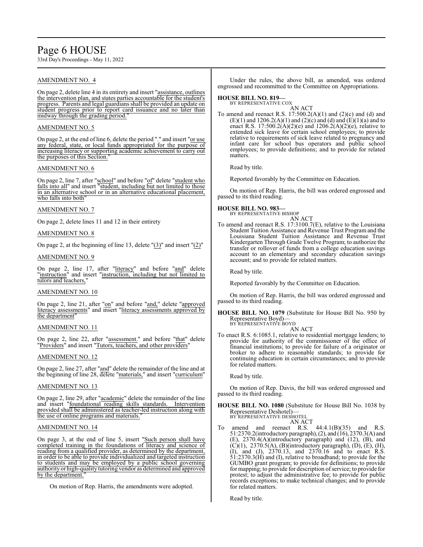# Page 6 HOUSE

33rd Day's Proceedings - May 11, 2022

# AMENDMENT NO. 4

On page 2, delete line 4 in its entirety and insert "assistance, outlines the intervention plan, and states parties accountable for the student's progress. Parents and legal guardians shall be provided an update on student progress prior to report card issuance and no later than midway through the grading period.

# AMENDMENT NO. 5

On page 2, at the end of line 6, delete the period "." and insert "or use any federal, state, or local funds appropriated for the purpose of increasing literacy or supporting academic achievement to carry out the purposes of this Section."

# AMENDMENT NO. 6

On page 2, line 7, after "school" and before "of" delete "student who falls into all" and insert "student, including but not limited to those in an alternative school or in an alternative educational placement, who falls into both

# AMENDMENT NO. 7

On page 2, delete lines 11 and 12 in their entirety

# AMENDMENT NO. 8

On page 2, at the beginning of line 13, delete "(3)" and insert "(2)"

# AMENDMENT NO. 9

On page 2, line 17, after "literacy" and before "and" delete "instruction" and insert "instruction, including but not limited to tutors and teachers,

# AMENDMENT NO. 10

On page 2, line 21, after "on" and before "and," delete "approved literacy assessments" and insert "literacy assessments approved by the department"

# AMENDMENT NO. 11

On page 2, line 22, after "assessment." and before "that" delete "Providers" and insert "Tutors, teachers, and other providers"

# AMENDMENT NO. 12

On page 2, line 27, after "and" delete the remainder of the line and at the beginning of line 28, delete "materials," and insert "curriculum"

# AMENDMENT NO. 13

On page 2, line 29, after "academic" delete the remainder of the line and insert "foundational reading skills standards. Intervention provided shall be administered as teacher-led instruction along with the use of online programs and materials."

# AMENDMENT NO. 14

On page 3, at the end of line 5, insert "Such person shall have completed training in the foundations of literacy and science of reading from a qualified provider, as determined by the department, in order to be able to provide individualized and targeted instruction to students and may be employed by a public school governing authority or high-quality tutoring vendor as determined and approved by the department.

On motion of Rep. Harris, the amendments were adopted.

Under the rules, the above bill, as amended, was ordered engrossed and recommitted to the Committee on Appropriations.

# **HOUSE BILL NO. 819—**

BY REPRESENTATIVE COX

AN ACT To amend and reenact R.S.  $17:500.2(A)(1)$  and  $(2)(c)$  and  $(d)$  and (E)(1) and 1206.2(A)(1) and (2)(c) and (d) and (E)(1)(a) and to enact R.S. 17:500.2( $\hat{A}$ )(2)(e) and 1206.2( $A$ )(2)(e), relative to extended sick leave for certain school employees; to provide relative to requirements of sick leave related to pregnancy and infant care for school bus operators and public school employees; to provide definitions; and to provide for related matters.

Read by title.

Reported favorably by the Committee on Education.

On motion of Rep. Harris, the bill was ordered engrossed and passed to its third reading.

# **HOUSE BILL NO. 983—**

BY REPRESENTATIVE BISHOP AN ACT

To amend and reenact R.S. 17:3100.7(E), relative to the Louisiana Student Tuition Assistance and Revenue Trust Program and the Louisiana Student Tuition Assistance and Revenue Trust Kindergarten Through Grade Twelve Program; to authorize the transfer or rollover of funds from a college education savings account to an elementary and secondary education savings account; and to provide for related matters.

Read by title.

Reported favorably by the Committee on Education.

On motion of Rep. Harris, the bill was ordered engrossed and passed to its third reading.

**HOUSE BILL NO. 1079** (Substitute for House Bill No. 950 by Representative Boyd)— BY REPRESENTATIVE BOYD

AN ACT

To enact R.S. 6:1085.1, relative to residential mortgage lenders; to provide for authority of the commissioner of the office of financial institutions; to provide for failure of a originator or broker to adhere to reasonable standards; to provide for continuing education in certain circumstances; and to provide for related matters.

Read by title.

On motion of Rep. Davis, the bill was ordered engrossed and passed to its third reading.

**HOUSE BILL NO. 1080** (Substitute for House Bill No. 1038 by Representative Deshotel)— BY REPRESENTATIVE DESHOTEL

AN ACT

To amend and reenact R.S.  $44:4.1(B)(35)$  and R.S. 51:2370.2(introductory paragraph),(2), and (16), 2370.3(A) and (E), 2370.4(A)(introductory paragraph) and (12), (B), and  $(C)(1)$ , 2370.5(A), (B)(introductory paragraph), (D), (E), (H), (I), and (J), 2370.13, and 2370.16 and to enact R.S. 51:2370.3(H) and (I), relative to broadband; to provide for the GUMBO grant program; to provide for definitions; to provide for mapping; to provide for description of service; to provide for protest; to adjust the administrative fee; to provide for public records exceptions; to make technical changes; and to provide for related matters.

Read by title.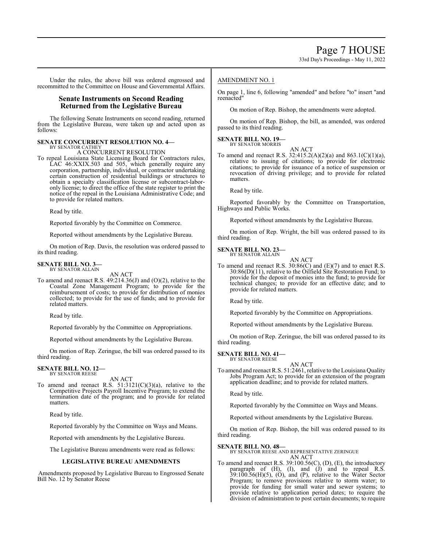Under the rules, the above bill was ordered engrossed and recommitted to the Committee on House and Governmental Affairs.

# **Senate Instruments on Second Reading Returned from the Legislative Bureau**

The following Senate Instruments on second reading, returned from the Legislative Bureau, were taken up and acted upon as follows:

### **SENATE CONCURRENT RESOLUTION NO. 4—** BY SENATOR CATHEY

A CONCURRENT RESOLUTION

To repeal Louisiana State Licensing Board for Contractors rules, LAC 46:XXIX.503 and 505, which generally require any corporation, partnership, individual, or contractor undertaking certain construction of residential buildings or structures to obtain a specialty classification license or subcontract-laboronly license; to direct the office of the state register to print the notice of the repeal in the Louisiana Administrative Code; and to provide for related matters.

Read by title.

Reported favorably by the Committee on Commerce.

Reported without amendments by the Legislative Bureau.

On motion of Rep. Davis, the resolution was ordered passed to its third reading.

#### **SENATE BILL NO. 3—** BY SENATOR ALLAIN

AN ACT

To amend and reenact R.S. 49:214.36(J) and (O)(2), relative to the Coastal Zone Management Program; to provide for the reimbursement of costs; to provide for distribution of monies collected; to provide for the use of funds; and to provide for related matters.

Read by title.

Reported favorably by the Committee on Appropriations.

Reported without amendments by the Legislative Bureau.

On motion of Rep. Zeringue, the bill was ordered passed to its third reading.

# **SENATE BILL NO. 12—** BY SENATOR REESE

AN ACT

To amend and reenact R.S.  $51:3121(C)(3)(a)$ , relative to the Competitive Projects Payroll Incentive Program; to extend the termination date of the program; and to provide for related matters.

Read by title.

Reported favorably by the Committee on Ways and Means.

Reported with amendments by the Legislative Bureau.

The Legislative Bureau amendments were read as follows:

# **LEGISLATIVE BUREAU AMENDMENTS**

Amendments proposed by Legislative Bureau to Engrossed Senate Bill No. 12 by Senator Reese

# AMENDMENT NO. 1

On page 1, line 6, following "amended" and before "to" insert "and reenacted"

On motion of Rep. Bishop, the amendments were adopted.

On motion of Rep. Bishop, the bill, as amended, was ordered passed to its third reading.

#### **SENATE BILL NO. 19—** BY SENATOR MORRIS

AN ACT To amend and reenact R.S. 32:415.2(A)(2)(a) and 863.1(C)(1)(a), relative to issuing of citations; to provide for electronic citations; to provide for issuance of a notice of suspension or revocation of driving privilege; and to provide for related matters.

Read by title.

Reported favorably by the Committee on Transportation, Highways and Public Works.

Reported without amendments by the Legislative Bureau.

On motion of Rep. Wright, the bill was ordered passed to its third reading.

#### **SENATE BILL NO. 23—** BY SENATOR ALLAIN

AN ACT

To amend and reenact R.S.  $30:86(C)$  and  $(E)(7)$  and to enact R.S.  $30:86(D)(11)$ , relative to the Oilfield Site Restoration Fund; to provide for the deposit of monies into the fund; to provide for technical changes; to provide for an effective date; and to provide for related matters.

Read by title.

Reported favorably by the Committee on Appropriations.

Reported without amendments by the Legislative Bureau.

On motion of Rep. Zeringue, the bill was ordered passed to its third reading.

**SENATE BILL NO. 41—** BY SENATOR REESE

AN ACT

To amend and reenact R.S. 51:2461, relative to the Louisiana Quality Jobs Program Act; to provide for an extension of the program application deadline; and to provide for related matters.

Read by title.

Reported favorably by the Committee on Ways and Means.

Reported without amendments by the Legislative Bureau.

On motion of Rep. Bishop, the bill was ordered passed to its third reading.

# **SENATE BILL NO. 48—**

BY SENATOR REESE AND REPRESENTATIVE ZERINGUE AN ACT

To amend and reenact R.S. 39:100.56(C), (D), (E), the introductory paragraph of (H), (I), and (J) and to repeal R.S.  $39:100.56(H)(5)$ ,  $(0)$ , and  $(P)$ , relative to the Water Sector Program; to remove provisions relative to storm water; to provide for funding for small water and sewer systems; to provide relative to application period dates; to require the division of administration to post certain documents; to require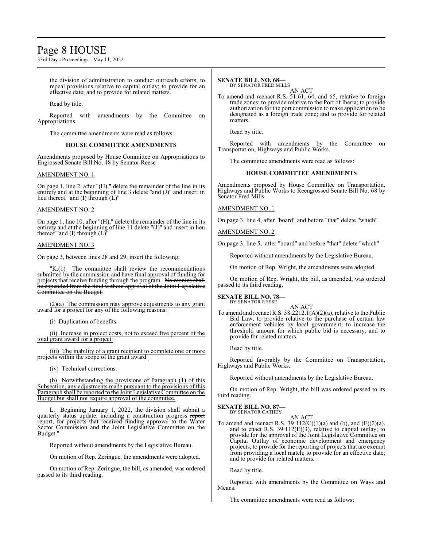# Page 8 HOUSE

33rd Day's Proceedings - May 11, 2022

the division of administration to conduct outreach efforts; to repeal provisions relative to capital outlay; to provide for an effective date; and to provide for related matters.

Read by title.

Reported with amendments by the Committee on Appropriations.

The committee amendments were read as follows:

# **HOUSE COMMITTEE AMENDMENTS**

Amendments proposed by House Committee on Appropriations to Engrossed Senate Bill No. 48 by Senator Reese

#### AMENDMENT NO. 1

On page 1, line 2, after "(H)," delete the remainder of the line in its entirety and at the beginning of line 3 delete "and (J)" and insert in lieu thereof "and (I) through (L)"

# AMENDMENT NO. 2

On page 1, line 10, after "(H)," delete the remainder of the line in its entirety and at the beginning of line 11 delete "(J)" and insert in lieu thereof "and (I) through  $(L)$ "

#### AMENDMENT NO. 3

On page 3, between lines 28 and 29, insert the following:

 $"K(1)$  The committee shall review the recommendations submitted by the commission and have final approval of funding for projects that receive funding through the program. No monies shall be expended from the fund without approval of the Joint Legislative Committee on the Budget.

(2)(a) The commission may approve adjustments to any grant award for a project for any of the following reasons:

(i) Duplication of benefits.

(ii) Increase in project costs, not to exceed five percent of the total grant award for a project.

(iii) The inability of a grant recipient to complete one or more projects within the scope of the grant award.

(iv) Technical corrections.

(b) Notwithstanding the provisions of Paragraph (1) of this Subsection, any adjustments made pursuant to the provisions of this Paragraph shall be reported to the Joint Legislative Committee on the Budget but shall not require approval of the committee.

L. Beginning January 1, 2022, the division shall submit a quarterly status update, including a construction progress report report, for projects that received funding approval to the Water Sector Commission and the Joint Legislative Committee on the Budget.

Reported without amendments by the Legislative Bureau.

On motion of Rep. Zeringue, the amendments were adopted.

On motion of Rep. Zeringue, the bill, as amended, was ordered passed to its third reading.

# **SENATE BILL NO. 68—**

BY SENATOR FRED MILLS AN ACT

To amend and reenact R.S. 51:61, 64, and 65, relative to foreign trade zones; to provide relative to the Port of Iberia; to provide authorization for the port commission to make application to be designated as a foreign trade zone; and to provide for related matters.

Read by title.

Reported with amendments by the Committee on Transportation, Highways and Public Works.

The committee amendments were read as follows:

### **HOUSE COMMITTEE AMENDMENTS**

Amendments proposed by House Committee on Transportation, Highways and Public Works to Reengrossed Senate Bill No. 68 by Senator Fred Mills

# AMENDMENT NO. 1

On page 3, line 4, after "board" and before "that" delete "which"

#### AMENDMENT NO. 2

On page 3, line 5, after "board" and before "that" delete "which"

Reported without amendments by the Legislative Bureau.

On motion of Rep. Wright, the amendments were adopted.

On motion of Rep. Wright, the bill, as amended, was ordered passed to its third reading.

#### **SENATE BILL NO. 78—** BY SENATOR REESE

AN ACT

To amend and reenact R.S. 38:2212.1(A)(2)(a), relative to the Public Bid Law; to provide relative to the purchase of certain law enforcement vehicles by local government; to increase the threshold amount for which public bid is necessary; and to provide for related matters.

Read by title.

Reported favorably by the Committee on Transportation, Highways and Public Works.

Reported without amendments by the Legislative Bureau.

On motion of Rep. Wright, the bill was ordered passed to its third reading.

#### **SENATE BILL NO. 87—** BY SENATOR CATHEY

AN ACT

To amend and reenact R.S.  $39:112(C)(1)(a)$  and (b), and (E)(2)(a), and to enact R.S.  $39:112(E)(3)$ , relative to capital outlay; to provide for the approval of the Joint Legislative Committee on Capital Outlay of economic development and emergency projects; to provide for the reporting of projects that are exempt from providing a local match; to provide for an effective date; and to provide for related matters.

Read by title.

Reported with amendments by the Committee on Ways and Means.

The committee amendments were read as follows: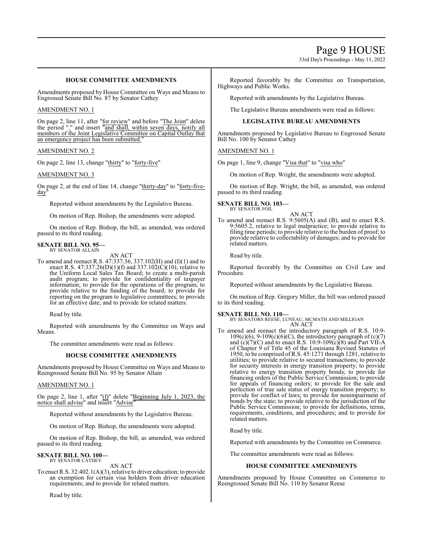33rd Day's Proceedings - May 11, 2022

# **HOUSE COMMITTEE AMENDMENTS**

Amendments proposed by House Committee on Ways and Means to Engrossed Senate Bill No. 87 by Senator Cathey

# AMENDMENT NO. 1

On page 2, line 11, after "for review" and before "The Joint" delete the period "." and insert "and shall, within seven days, notify all members of the Joint Legislative Committee on Capital Outlay that an emergency project has been submitted.

# AMENDMENT NO. 2

On page 2, line 13, change "thirty" to "forty-five"

# AMENDMENT NO. 3

On page 2, at the end of line 14, change "thirty-day" to "forty-fiveday

Reported without amendments by the Legislative Bureau.

On motion of Rep. Bishop, the amendments were adopted.

On motion of Rep. Bishop, the bill, as amended, was ordered passed to its third reading.

# **SENATE BILL NO. 95—** BY SENATOR ALLAIN

AN ACT

To amend and reenact R.S. 47:337.36, 337.102(H) and (I)(1) and to enact R.S. 47:337.26(D)(1)(f) and 337.102(C)(10), relative to the Uniform Local Sales Tax Board; to create a multi-parish audit program; to provide for confidentiality of taxpayer information; to provide for the operations of the program; to provide relative to the funding of the board; to provide for reporting on the program to legislative committees; to provide for an effective date; and to provide for related matters.

Read by title.

Reported with amendments by the Committee on Ways and Means.

The committee amendments were read as follows:

# **HOUSE COMMITTEE AMENDMENTS**

Amendments proposed by House Committee on Ways and Means to Reengrossed Senate Bill No. 95 by Senator Allain

# AMENDMENT NO. 1

On page 2, line 1, after "(f)" delete "Beginning July 1, 2023, the notice shall advise" and insert "Advise"

Reported without amendments by the Legislative Bureau.

On motion of Rep. Bishop, the amendments were adopted.

On motion of Rep. Bishop, the bill, as amended, was ordered passed to its third reading.

#### **SENATE BILL NO. 100—** BY SENATOR CATHEY

AN ACT

To enact R.S. 32:402.1(A)(3), relative to driver education; to provide an exemption for certain visa holders from driver education requirements; and to provide for related matters.

Read by title.

Reported favorably by the Committee on Transportation, Highways and Public Works.

Reported with amendments by the Legislative Bureau.

The Legislative Bureau amendments were read as follows:

# **LEGISLATIVE BUREAU AMENDMENTS**

Amendments proposed by Legislative Bureau to Engrossed Senate Bill No. 100 by Senator Cathey

# AMENDMENT NO. 1

On page 1, line 9, change "Visa that" to "visa who"

On motion of Rep. Wright, the amendments were adopted.

On motion of Rep. Wright, the bill, as amended, was ordered passed to its third reading.

#### **SENATE BILL NO. 103—** BY SENATOR FOIL

AN ACT

To amend and reenact R.S. 9:5605(A) and (B), and to enact R.S. 9:5605.2, relative to legal malpractice; to provide relative to filing time periods; to provide relative to the burden of proof; to provide relative to collectability of damages; and to provide for related matters.

Read by title.

Reported favorably by the Committee on Civil Law and Procedure.

Reported without amendments by the Legislative Bureau.

On motion of Rep. Gregory Miller, the bill was ordered passed to its third reading.

**SENATE BILL NO. 110—** BY SENATORS REESE, LUNEAU, MCMATH AND MILLIGAN AN ACT

To amend and reenact the introductory paragraph of R.S. 10:9-  $109(c)(6)$ , 9-109(c)(6)(C), the introductory paragraph of (c)(7) and  $(c)(7)(C)$  and to enact R.S. 10:9-109 $(c)(8)$  and Part VII-A of Chapter 9 of Title 45 of the Louisiana Revised Statutes of 1950, to be comprised ofR.S. 45:1271 through 1281, relative to utilities; to provide relative to secured transactions; to provide for security interests in energy transition property; to provide relative to energy transition property bonds; to provide for financing orders of the Public Service Commission; to provide for appeals of financing orders; to provide for the sale and perfection of true sale status of energy transition property; to provide for conflict of laws; to provide for nonimpairment of bonds by the state; to provide relative to the jurisdiction of the Public Service Commission; to provide for definitions, terms, requirements, conditions, and procedures; and to provide for related matters.

Read by title.

Reported with amendments by the Committee on Commerce.

The committee amendments were read as follows:

# **HOUSE COMMITTEE AMENDMENTS**

Amendments proposed by House Committee on Commerce to Reengrossed Senate Bill No. 110 by Senator Reese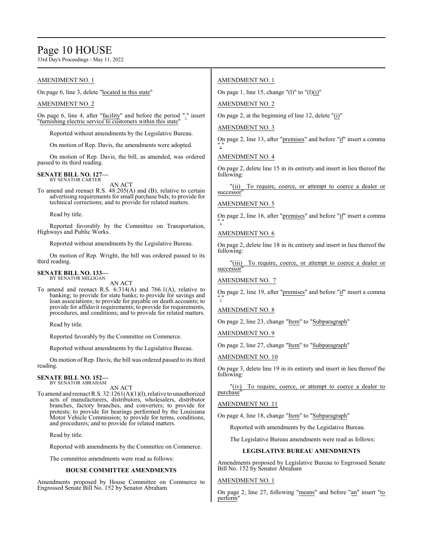# Page 10 HOUSE

33rd Day's Proceedings - May 11, 2022

#### AMENDMENT NO. 1 On page 6, line 3, delete "located in this state" AMENDMENT NO. 2 On page 6, line 4, after "facility" and before the period "." insert "furnishing electric service to customers within this state" Reported without amendments by the Legislative Bureau. On motion of Rep. Davis, the amendments were adopted. On motion of Rep. Davis, the bill, as amended, was ordered passed to its third reading. **SENATE BILL NO. 127—** BY SENATOR CARTER AN ACT To amend and reenact R.S. 48:205(A) and (B), relative to certain advertising requirements forsmall purchase bids; to provide for technical corrections; and to provide for related matters. Read by title. Reported favorably by the Committee on Transportation, Highways and Public Works. Reported without amendments by the Legislative Bureau. On motion of Rep. Wright, the bill was ordered passed to its third reading. **SENATE BILL NO. 133—** BY SENATOR MILLIGAN AN ACT To amend and reenact R.S. 6:314(A) and 766.1(A), relative to banking; to provide for state banks; to provide for savings and loan associations; to provide for payable on death accounts; to provide for affidavit requirements; to provide for requirements, procedures, and conditions; and to provide for related matters. Read by title. Reported favorably by the Committee on Commerce. Reported without amendments by the Legislative Bureau. AMENDMENT NO. 1 On page 1, line 15, change "(1)" to "(1)(i)" AMENDMENT NO. 2 On page 2, at the beginning of line 12, delete "(i)" AMENDMENT NO. 3 On page 2, line 13, after "premises" and before "if" insert a comma "," AMENDMENT NO. 4 On page 2, delete line 15 in its entirety and insert in lieu thereof the following: successor AMENDMENT NO. 5 On page 2, line 16, after "premises" and before "if" insert a comma "," AMENDMENT NO. 6 On page 2, delete line 18 in its entirety and insert in lieu thereof the following: successor AMENDMENT NO. 7 On page 2, line 19, after "premises" and before "if" insert a comma "," AMENDMENT NO. 8 On page 2, line 23, change "Item" to "Subparagraph" AMENDMENT NO. 9 On page 2, line 27, change "Item" to "Subparagraph"

On motion of Rep. Davis, the bill was ordered passed to its third reading.

#### **SENATE BILL NO. 152—** BY SENATOR ABRAHAM

AN ACT

To amend and reenact R.S. 32:1261(A)(1)(l), relative to unauthorized acts of manufacturers, distributors, wholesalers, distributor branches, factory branches, and converters; to provide for protests; to provide for hearings performed by the Louisiana Motor Vehicle Commission; to provide for terms, conditions, and procedures; and to provide for related matters.

Read by title.

Reported with amendments by the Committee on Commerce.

The committee amendments were read as follows:

# **HOUSE COMMITTEE AMENDMENTS**

Amendments proposed by House Committee on Commerce to Engrossed Senate Bill No. 152 by Senator Abraham

"(ii) To require, coerce, or attempt to coerce a dealer or

"(iii) To require, coerce, or attempt to coerce a dealer or

# AMENDMENT NO. 10

On page 3, delete line 19 in its entirety and insert in lieu thereof the following:

"(iv) To require, coerce, or attempt to coerce a dealer to purchase"

# AMENDMENT NO. 11

On page 4, line 18, change "Item" to "Subparagraph"

Reported with amendments by the Legislative Bureau.

The Legislative Bureau amendments were read as follows:

# **LEGISLATIVE BUREAU AMENDMENTS**

Amendments proposed by Legislative Bureau to Engrossed Senate Bill No. 152 by Senator Abraham

# AMENDMENT NO. 1

On page 2, line 27, following "means" and before "an" insert "to perform"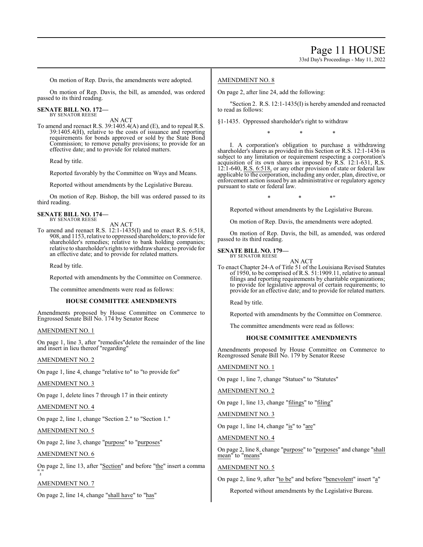On motion of Rep. Davis, the amendments were adopted.

On motion of Rep. Davis, the bill, as amended, was ordered passed to its third reading.

# **SENATE BILL NO. 172—**

BY SENATOR REESE

AN ACT To amend and reenact R.S. 39:1405.4(A) and (E), and to repeal R.S. 39:1405.4(H), relative to the costs of issuance and reporting requirements for bonds approved or sold by the State Bond Commission; to remove penalty provisions; to provide for an effective date; and to provide for related matters.

Read by title.

Reported favorably by the Committee on Ways and Means.

Reported without amendments by the Legislative Bureau.

On motion of Rep. Bishop, the bill was ordered passed to its third reading.

#### **SENATE BILL NO. 174—** BY SENATOR REESE

AN ACT

To amend and reenact R.S. 12:1-1435(I) and to enact R.S. 6:518, 908, and 1153, relative to oppressed shareholders; to provide for shareholder's remedies; relative to bank holding companies; relative to shareholder's rights to withdrawshares; to provide for an effective date; and to provide for related matters.

Read by title.

Reported with amendments by the Committee on Commerce.

The committee amendments were read as follows:

# **HOUSE COMMITTEE AMENDMENTS**

Amendments proposed by House Committee on Commerce to Engrossed Senate Bill No. 174 by Senator Reese

# AMENDMENT NO. 1

On page 1, line 3, after "remedies"delete the remainder of the line and insert in lieu thereof "regarding"

# AMENDMENT NO. 2

On page 1, line 4, change "relative to" to "to provide for"

# AMENDMENT NO. 3

On page 1, delete lines 7 through 17 in their entirety

# AMENDMENT NO. 4

On page 2, line 1, change "Section 2." to "Section 1."

# AMENDMENT NO. 5

On page 2, line 3, change "purpose" to "purposes"

# AMENDMENT NO. 6

On page 2, line 13, after "Section" and before "the" insert a comma ","

# AMENDMENT NO. 7

On page 2, line 14, change "shall have" to "has"

# AMENDMENT NO. 8

On page 2, after line 24, add the following:

"Section 2. R.S. 12:1-1435(I) is hereby amended and reenacted to read as follows:

§1-1435. Oppressed shareholder's right to withdraw

\* \* \*

I. A corporation's obligation to purchase a withdrawing shareholder's shares as provided in this Section or R.S. 12:1-1436 is subject to any limitation or requirement respecting a corporation's acquisition of its own shares as imposed by R.S. 12:1-631, R.S.  $12:1-640$ , R.S.  $6:518$ , or any other provision of state or federal law applicable to the corporation, including any order, plan, directive, or enforcement action issued by an administrative or regulatory agency pursuant to state or federal law.

 $*$  \*  $*$  \*

Reported without amendments by the Legislative Bureau.

On motion of Rep. Davis, the amendments were adopted.

On motion of Rep. Davis, the bill, as amended, was ordered passed to its third reading.

# **SENATE BILL NO. 179—**

BY SENATOR REESE AN ACT

To enact Chapter 24-A of Title 51 of the Louisiana Revised Statutes of 1950, to be comprised of R.S. 51:1909.11, relative to annual filings and reporting requirements by charitable organizations; to provide for legislative approval of certain requirements; to provide for an effective date; and to provide for related matters.

Read by title.

Reported with amendments by the Committee on Commerce.

The committee amendments were read as follows:

# **HOUSE COMMITTEE AMENDMENTS**

Amendments proposed by House Committee on Commerce to Reengrossed Senate Bill No. 179 by Senator Reese

# AMENDMENT NO. 1

On page 1, line 7, change "Statues" to "Statutes"

AMENDMENT NO. 2

On page 1, line 13, change "filings" to "filing"

AMENDMENT NO. 3

On page 1, line 14, change "is" to "are"

AMENDMENT NO. 4

On page 2, line 8, change "purpose" to "purposes" and change "shall mean" to "means"

# AMENDMENT NO. 5

On page 2, line 9, after "to be" and before "benevolent" insert "a"

Reported without amendments by the Legislative Bureau.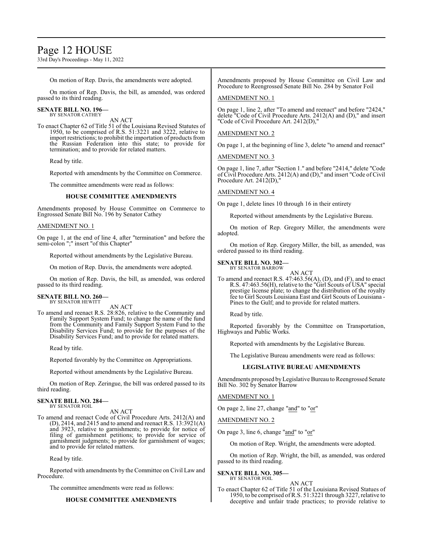# Page 12 HOUSE

33rd Day's Proceedings - May 11, 2022

On motion of Rep. Davis, the amendments were adopted.

On motion of Rep. Davis, the bill, as amended, was ordered passed to its third reading.

#### **SENATE BILL NO. 196-**BY SENATOR CATHEY

AN ACT

To enact Chapter 62 of Title 51 of the Louisiana Revised Statutes of 1950, to be comprised of R.S. 51:3221 and 3222, relative to import restrictions; to prohibit the importation of products from the Russian Federation into this state; to provide for termination; and to provide for related matters.

Read by title.

Reported with amendments by the Committee on Commerce.

The committee amendments were read as follows:

# **HOUSE COMMITTEE AMENDMENTS**

Amendments proposed by House Committee on Commerce to Engrossed Senate Bill No. 196 by Senator Cathey

# AMENDMENT NO. 1

On page 1, at the end of line 4, after "termination" and before the semi-colon ";" insert "of this Chapter"

Reported without amendments by the Legislative Bureau.

On motion of Rep. Davis, the amendments were adopted.

On motion of Rep. Davis, the bill, as amended, was ordered passed to its third reading.

#### **SENATE BILL NO. 260—** BY SENATOR HEWITT

AN ACT

To amend and reenact R.S. 28:826, relative to the Community and Family Support System Fund; to change the name of the fund from the Community and Family Support System Fund to the Disability Services Fund; to provide for the purposes of the Disability Services Fund; and to provide for related matters.

Read by title.

Reported favorably by the Committee on Appropriations.

Reported without amendments by the Legislative Bureau.

On motion of Rep. Zeringue, the bill was ordered passed to its third reading.

#### **SENATE BILL NO. 284—** BY SENATOR FOIL

AN ACT

To amend and reenact Code of Civil Procedure Arts. 2412(A) and (D), 2414, and 2415 and to amend and reenact R.S.  $13:3921(A)$ and 3923, relative to garnishments; to provide for notice of filing of garnishment petitions; to provide for service of garnishment judgments; to provide for garnishment of wages; and to provide for related matters.

Read by title.

Reported with amendments by the Committee on Civil Law and Procedure.

The committee amendments were read as follows:

# **HOUSE COMMITTEE AMENDMENTS**

Amendments proposed by House Committee on Civil Law and Procedure to Reengrossed Senate Bill No. 284 by Senator Foil

## AMENDMENT NO. 1

On page 1, line 2, after "To amend and reenact" and before "2424," delete "Code of Civil Procedure Arts. 2412(A) and (D)," and insert "Code of Civil Procedure Art. 2412(D),"

# AMENDMENT NO. 2

On page 1, at the beginning of line 3, delete "to amend and reenact"

AMENDMENT NO. 3

On page 1, line 7, after "Section 1." and before "2414," delete "Code of Civil Procedure Arts. 2412(A) and (D)," and insert "Code of Civil Procedure Art. 2412(D),"

# AMENDMENT NO. 4

On page 1, delete lines 10 through 16 in their entirety

Reported without amendments by the Legislative Bureau.

On motion of Rep. Gregory Miller, the amendments were adopted.

On motion of Rep. Gregory Miller, the bill, as amended, was ordered passed to its third reading.

**SENATE BILL NO. 302—** BY SENATOR BARROW

AN ACT

To amend and reenact R.S. 47:463.56(A), (D), and (F), and to enact R.S. 47:463.56(H), relative to the "Girl Scouts of USA" special prestige license plate; to change the distribution of the royalty fee to Girl Scouts Louisiana East and Girl Scouts of Louisiana - Pines to the Gulf; and to provide for related matters.

Read by title.

Reported favorably by the Committee on Transportation, Highways and Public Works.

Reported with amendments by the Legislative Bureau.

The Legislative Bureau amendments were read as follows:

# **LEGISLATIVE BUREAU AMENDMENTS**

Amendments proposed byLegislative Bureau to Reengrossed Senate Bill No. 302 by Senator Barrow

AMENDMENT NO. 1

On page 2, line 27, change "and" to "or"

AMENDMENT NO. 2

On page 3, line 6, change "and" to "or"

On motion of Rep. Wright, the amendments were adopted.

On motion of Rep. Wright, the bill, as amended, was ordered passed to its third reading.

#### **SENATE BILL NO. 305—** BY SENATOR FOIL

AN ACT

To enact Chapter 62 of Title 51 of the Louisiana Revised Statues of 1950, to be comprised of R.S. 51:3221 through 3227, relative to deceptive and unfair trade practices; to provide relative to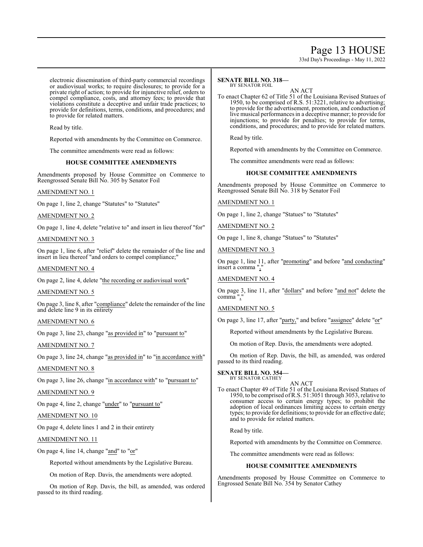# Page 13 HOUSE

33rd Day's Proceedings - May 11, 2022

electronic dissemination of third-party commercial recordings or audiovisual works; to require disclosures; to provide for a private right of action; to provide for injunctive relief, orders to compel compliance, costs, and attorney fees; to provide that violations constitute a deceptive and unfair trade practices; to provide for definitions, terms, conditions, and procedures; and to provide for related matters.

Read by title.

Reported with amendments by the Committee on Commerce.

The committee amendments were read as follows:

# **HOUSE COMMITTEE AMENDMENTS**

Amendments proposed by House Committee on Commerce to Reengrossed Senate Bill No. 305 by Senator Foil

# AMENDMENT NO. 1

On page 1, line 2, change "Statutes" to "Statutes"

AMENDMENT NO. 2

On page 1, line 4, delete "relative to" and insert in lieu thereof "for"

# AMENDMENT NO. 3

On page 1, line 6, after "relief" delete the remainder of the line and insert in lieu thereof "and orders to compel compliance;"

# AMENDMENT NO. 4

On page 2, line 4, delete "the recording or audiovisual work"

# AMENDMENT NO. 5

On page 3, line 8, after "compliance" delete the remainder of the line and delete line 9 in its entirety

# AMENDMENT NO. 6

On page 3, line 23, change "as provided in" to "pursuant to"

AMENDMENT NO. 7

On page 3, line 24, change "as provided in" to "in accordance with"

# AMENDMENT NO. 8

On page 3, line 26, change "in accordance with" to "pursuant to"

# AMENDMENT NO. 9

On page 4, line 2, change "under" to "pursuant to"

# AMENDMENT NO. 10

On page 4, delete lines 1 and 2 in their entirety

# AMENDMENT NO. 11

On page 4, line 14, change "and" to "or"

Reported without amendments by the Legislative Bureau.

On motion of Rep. Davis, the amendments were adopted.

On motion of Rep. Davis, the bill, as amended, was ordered passed to its third reading.

#### **SENATE BILL NO. 318—** BY SENATOR FOIL

AN ACT

To enact Chapter 62 of Title 51 of the Louisiana Revised Statues of 1950, to be comprised of R.S. 51:3221, relative to advertising; to provide for the advertisement, promotion, and conduction of live musical performances in a deceptive manner; to provide for injunctions; to provide for penalties; to provide for terms, conditions, and procedures; and to provide for related matters.

Read by title.

Reported with amendments by the Committee on Commerce.

The committee amendments were read as follows:

# **HOUSE COMMITTEE AMENDMENTS**

Amendments proposed by House Committee on Commerce to Reengrossed Senate Bill No. 318 by Senator Foil

# AMENDMENT NO. 1

On page 1, line 2, change "Statues" to "Statutes"

AMENDMENT NO. 2

On page 1, line 8, change "Statues" to "Statutes"

AMENDMENT NO. 3

On page 1, line 11, after "promoting" and before "and conducting" insert a comma ","

# AMENDMENT NO. 4

On page 3, line 11, after "dollars" and before "and not" delete the comma",

# AMENDMENT NO. 5

On page 3, line 17, after "party," and before "assignee" delete "or"

Reported without amendments by the Legislative Bureau.

On motion of Rep. Davis, the amendments were adopted.

On motion of Rep. Davis, the bill, as amended, was ordered passed to its third reading.

# **SENATE BILL NO. 354—** BY SENATOR CATHEY

AN ACT

To enact Chapter 49 of Title 51 of the Louisiana Revised Statues of 1950, to be comprised ofR.S. 51:3051 through 3053, relative to consumer access to certain energy types; to prohibit the adoption of local ordinances limiting access to certain energy types; to provide for definitions; to provide for an effective date; and to provide for related matters.

Read by title.

Reported with amendments by the Committee on Commerce.

The committee amendments were read as follows:

# **HOUSE COMMITTEE AMENDMENTS**

Amendments proposed by House Committee on Commerce to Engrossed Senate Bill No. 354 by Senator Cathey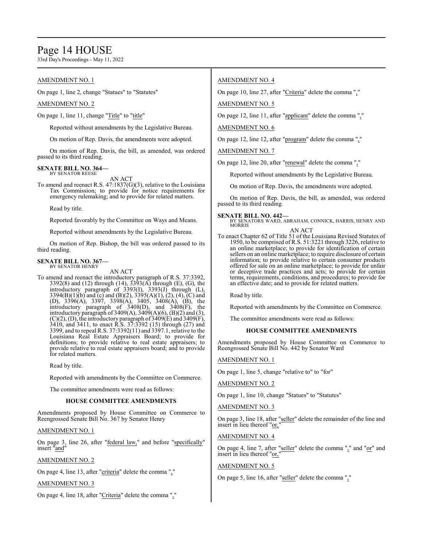# Page 14 HOUSE

33rd Day's Proceedings - May 11, 2022

# AMENDMENT NO. 1

On page 1, line 2, change "Statues" to "Statutes"

# AMENDMENT NO. 2

On page 1, line 11, change "Title" to "title"

Reported without amendments by the Legislative Bureau.

On motion of Rep. Davis, the amendments were adopted.

On motion of Rep. Davis, the bill, as amended, was ordered passed to its third reading.

#### **SENATE BILL NO. 364—** BY SENATOR REESE

AN ACT

To amend and reenact R.S. 47:1837(G)(3), relative to the Louisiana Tax Commission; to provide for notice requirements for emergency rulemaking; and to provide for related matters.

Read by title.

Reported favorably by the Committee on Ways and Means.

Reported without amendments by the Legislative Bureau.

On motion of Rep. Bishop, the bill was ordered passed to its third reading.

#### **SENATE BILL NO. 367—** BY SENATOR HENRY

AN ACT

To amend and reenact the introductory paragraph of R.S. 37:3392, 3392(8) and (12) through (14), 3393(A) through (E), (G), the introductory paragraph of 3393(I), 3393(J) through (L), 3394(B)(1)(b) and (c) and (B)(2), 3395(A)(1), (2), (4), (C) and (D), 3396(A), 3397, 3398(A), 3405, 3408(A), (B), the introductory paragraph of 3408(D), and 3408(F), the introductory paragraph of 3409(A), 3409(A)(6), (B)(2) and (3),  $(C)(2)$ ,  $(D)$ , the introductory paragraph of  $3409(E)$  and  $3409(F)$ , 3410, and 3411, to enact R.S. 37:3392 (15) through (27) and 3399, and to repeal R.S. 37:3392(11) and 3397.1, relative to the Louisiana Real Estate Appraisers Board; to provide for definitions; to provide relative to real estate appraisers; to provide relative to real estate appraisers board; and to provide for related matters.

Read by title.

Reported with amendments by the Committee on Commerce.

The committee amendments were read as follows:

# **HOUSE COMMITTEE AMENDMENTS**

Amendments proposed by House Committee on Commerce to Reengrossed Senate Bill No. 367 by Senator Henry

# AMENDMENT NO. 1

On page 3, line 26, after "federal law," and before "specifically" insert "and"

# AMENDMENT NO. 2

On page 4, line 13, after "criteria" delete the comma ","

# AMENDMENT NO. 3

On page 4, line 18, after "Criteria" delete the comma ","

# AMENDMENT NO. 4

On page 10, line 27, after "Criteria" delete the comma ","

AMENDMENT NO. 5

On page 12, line 11, after "applicant" delete the comma ","

# AMENDMENT NO. 6

On page 12, line 12, after "program" delete the comma ","

AMENDMENT NO. 7

On page 12, line 20, after "renewal" delete the comma ","

Reported without amendments by the Legislative Bureau.

On motion of Rep. Davis, the amendments were adopted.

On motion of Rep. Davis, the bill, as amended, was ordered passed to its third reading.

### **SENATE BILL NO. 442—**

BY SENATORS WARD, ABRAHAM, CONNICK, HARRIS, HENRY AND MORRIS

AN ACT To enact Chapter 62 of Title 51 of the Louisiana Revised Statutes of 1950, to be comprised ofR.S. 51:3221 through 3226, relative to an online marketplace; to provide for identification of certain sellers on an online marketplace; to require disclosure of certain information; to provide relative to certain consumer products offered for sale on an online marketplace; to provide for unfair or deceptive trade practices and acts; to provide for certain terms, requirements, conditions, and procedures; to provide for an effective date; and to provide for related matters.

Read by title.

Reported with amendments by the Committee on Commerce.

The committee amendments were read as follows:

# **HOUSE COMMITTEE AMENDMENTS**

Amendments proposed by House Committee on Commerce to Reengrossed Senate Bill No. 442 by Senator Ward

# AMENDMENT NO. 1

On page 1, line 5, change "relative to" to "for"

AMENDMENT NO. 2

On page 1, line 10, change "Statues" to "Statutes"

# AMENDMENT NO. 3

On page 3, line 18, after "seller" delete the remainder of the line and insert in lieu thereof "or,"

# AMENDMENT NO. 4

On page 4, line 7, after "seller" delete the comma "," and "or" and insert in lieu thereof "or,

# AMENDMENT NO. 5

On page 5, line 16, after "seller" delete the comma ","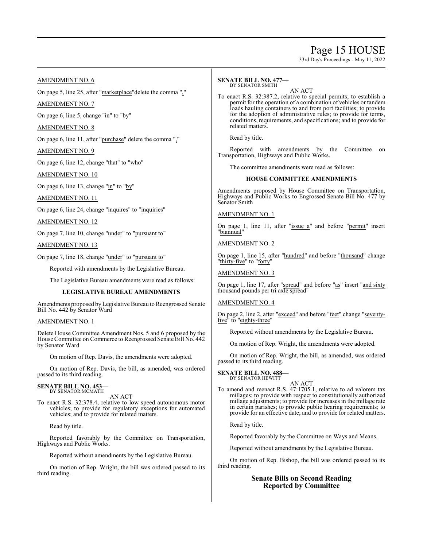# Page 15 HOUSE

33rd Day's Proceedings - May 11, 2022

# AMENDMENT NO. 6

On page 5, line 25, after "marketplace"delete the comma ","

AMENDMENT NO. 7

On page 6, line 5, change "in" to "by"

# AMENDMENT NO. 8

On page 6, line 11, after "purchase" delete the comma ","

AMENDMENT NO. 9

On page 6, line 12, change "that" to "who"

AMENDMENT NO. 10

On page 6, line 13, change " $\text{in}$ " to "by"

AMENDMENT NO. 11

On page 6, line 24, change "inquires" to "inquiries"

AMENDMENT NO. 12

On page 7, line 10, change "under" to "pursuant to"

AMENDMENT NO. 13

On page 7, line 18, change "under" to "pursuant to"

Reported with amendments by the Legislative Bureau.

The Legislative Bureau amendments were read as follows:

# **LEGISLATIVE BUREAU AMENDMENTS**

Amendments proposed by Legislative Bureau to Reengrossed Senate Bill No. 442 by Senator Ward

# AMENDMENT NO. 1

Delete House Committee Amendment Nos. 5 and 6 proposed by the House Committee on Commerce to Reengrossed Senate Bill No. 442 by Senator Ward

On motion of Rep. Davis, the amendments were adopted.

On motion of Rep. Davis, the bill, as amended, was ordered passed to its third reading.

# **SENATE BILL NO. 453** BY SENATOR MCMATH

AN ACT

To enact R.S. 32:378.4, relative to low speed autonomous motor vehicles; to provide for regulatory exceptions for automated vehicles; and to provide for related matters.

Read by title.

Reported favorably by the Committee on Transportation, Highways and Public Works.

Reported without amendments by the Legislative Bureau.

On motion of Rep. Wright, the bill was ordered passed to its third reading.

#### **SENATE BILL NO. 477—** BY SENATOR SMITH

AN ACT

To enact R.S. 32:387.2, relative to special permits; to establish a permit for the operation of a combination of vehicles or tandem loads hauling containers to and from port facilities; to provide for the adoption of administrative rules; to provide for terms, conditions, requirements, and specifications; and to provide for related matters.

Read by title.

Reported with amendments by the Committee on Transportation, Highways and Public Works.

The committee amendments were read as follows:

# **HOUSE COMMITTEE AMENDMENTS**

Amendments proposed by House Committee on Transportation, Highways and Public Works to Engrossed Senate Bill No. 477 by Senator Smith

AMENDMENT NO. 1

On page 1, line 11, after "issue a" and before "permit" insert "biannual"

AMENDMENT NO. 2

On page 1, line 15, after "hundred" and before "thousand" change "thirty-five" to "forty"

AMENDMENT NO. 3

On page 1, line 17, after "spread" and before "as" insert "and sixty thousand pounds per tri axle spread"

# AMENDMENT NO. 4

On page 2, line 2, after "exceed" and before "feet" change "seventyfive" to "eighty-three"

Reported without amendments by the Legislative Bureau.

On motion of Rep. Wright, the amendments were adopted.

On motion of Rep. Wright, the bill, as amended, was ordered passed to its third reading.

#### **SENATE BILL NO. 488—** BY SENATOR HEWITT

AN ACT

To amend and reenact R.S. 47:1705.1, relative to ad valorem tax millages; to provide with respect to constitutionally authorized millage adjustments; to provide for increases in the millage rate in certain parishes; to provide public hearing requirements; to provide for an effective date; and to provide for related matters.

Read by title.

Reported favorably by the Committee on Ways and Means.

Reported without amendments by the Legislative Bureau.

On motion of Rep. Bishop, the bill was ordered passed to its third reading.

# **Senate Bills on Second Reading Reported by Committee**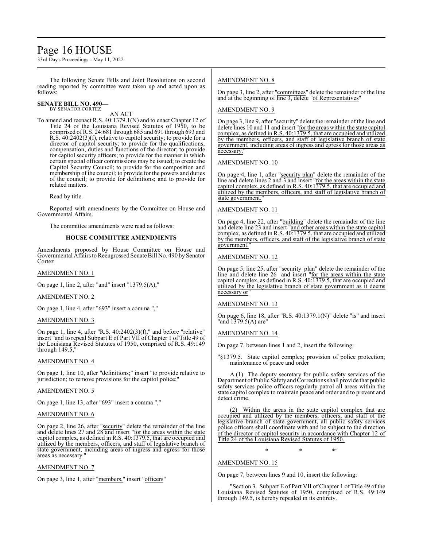# Page 16 HOUSE

33rd Day's Proceedings - May 11, 2022

The following Senate Bills and Joint Resolutions on second reading reported by committee were taken up and acted upon as follows:

#### **SENATE BILL NO. 490—** BY SENATOR CORTEZ

AN ACT

To amend and reenact R.S. 40:1379.1(N) and to enact Chapter 12 of Title 24 of the Louisiana Revised Statutes of 1950, to be comprised ofR.S. 24:681 through 685 and 691 through 693 and R.S. 40:2402(3)(f), relative to capitol security; to provide for a director of capitol security; to provide for the qualifications, compensation, duties and functions of the director; to provide for capitol security officers; to provide for the manner in which certain special officer commissions may be issued; to create the Capitol Security Council; to provide for the composition and membership of the council; to provide for the powers and duties of the council; to provide for definitions; and to provide for related matters.

Read by title.

Reported with amendments by the Committee on House and Governmental Affairs.

The committee amendments were read as follows:

# **HOUSE COMMITTEE AMENDMENTS**

Amendments proposed by House Committee on House and Governmental Affairs to Reengrossed Senate Bill No. 490 by Senator Cortez

### AMENDMENT NO. 1

On page 1, line 2, after "and" insert "1379.5(A),"

# AMENDMENT NO. 2

On page 1, line 4, after "693" insert a comma ","

# AMENDMENT NO. 3

On page 1, line 4, after "R.S. 40:2402(3)(f)," and before "relative" insert "and to repeal Subpart E of Part VII of Chapter 1 of Title 49 of the Louisiana Revised Statutes of 1950, comprised of R.S. 49:149 through 149.5,

# AMENDMENT NO. 4

On page 1, line 10, after "definitions;" insert "to provide relative to jurisdiction; to remove provisions for the capitol police;"

# AMENDMENT NO. 5

On page 1, line 13, after "693" insert a comma ","

# AMENDMENT NO. 6

On page 2, line 26, after "security" delete the remainder of the line and delete lines 27 and 28 and insert "for the areas within the state capitol complex, as defined in R.S. 40:1379.5, that are occupied and utilized by the members, officers, and staff of legislative branch of state government, including areas of ingress and egress for those areas as necessary."

# AMENDMENT NO. 7

On page 3, line 1, after "members," insert "officers"

# AMENDMENT NO. 8

On page 3, line 2, after "committees" delete the remainder of the line and at the beginning of line 3, delete "of Representatives"

# AMENDMENT NO. 9

On page 3, line 9, after "security" delete the remainder of the line and delete lines 10 and 11 and insert "for the areas within the state capitol complex, as defined in R.S. 40:1379.5, that are occupied and utilized by the members, officers, and staff of legislative branch of state government, including areas of ingress and egress for those areas as necessary."

# AMENDMENT NO. 10

On page 4, line 1, after "security plan" delete the remainder of the line and delete lines 2 and 3 and insert "for the areas within the state capitol complex, as defined in R.S. 40:1379.5, that are occupied and utilized by the members, officers, and staff of legislative branch of state government."

# AMENDMENT NO. 11

On page 4, line 22, after "building" delete the remainder of the line and delete line 23 and insert "and other areas within the state capitol complex, as defined in R.S. 40:1379.5, that are occupied and utilized by the members, officers, and staff of the legislative branch of state government."

# AMENDMENT NO. 12

On page 5, line 25, after "security plan" delete the remainder of the line and delete line 26 and insert "for the areas within the state capitol complex, as defined in R.S. 40:1379.5, that are occupied and utilized by the legislative branch of state government as it deems necessary or"

# AMENDMENT NO. 13

On page 6, line 18, after "R.S. 40:1379.1(N)" delete "is" and insert "and 1379.5(A) are"

# AMENDMENT NO. 14

On page 7, between lines 1 and 2, insert the following:

"§1379.5. State capitol complex; provision of police protection; maintenance of peace and order

A.(1) The deputy secretary for public safety services of the Department ofPublic SafetyandCorrections shall provide that public safety services police officers regularly patrol all areas within the state capitol complex to maintain peace and order and to prevent and detect crime.

(2) Within the areas in the state capitol complex that are occupied and utilized by the members, officers, and staff of the legislative branch of state government, all public safety services police officers shall coordinate with and be subject to the direction of the director of capitol security in accordance with Chapter 12 of Title 24 of the Louisiana Revised Statutes of 1950.

\* \* \*"

# AMENDMENT NO. 15

On page 7, between lines 9 and 10, insert the following:

"Section 3. Subpart E of Part VII of Chapter 1 of Title 49 of the Louisiana Revised Statutes of 1950, comprised of R.S. 49:149 through 149.5, is hereby repealed in its entirety.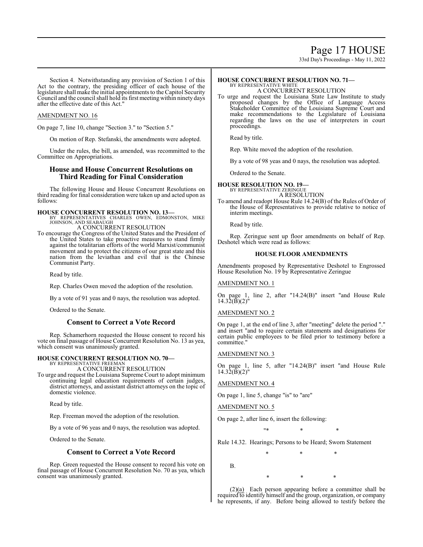33rd Day's Proceedings - May 11, 2022

Section 4. Notwithstanding any provision of Section 1 of this Act to the contrary, the presiding officer of each house of the legislature shall make the initial appointments to the Capitol Security Council and the council shall hold its first meeting within ninety days after the effective date of this Act."

# AMENDMENT NO. 16

On page 7, line 10, change "Section 3." to "Section 5."

On motion of Rep. Stefanski, the amendments were adopted.

Under the rules, the bill, as amended, was recommitted to the Committee on Appropriations.

# **House and House Concurrent Resolutions on Third Reading for Final Consideration**

The following House and House Concurrent Resolutions on third reading for final consideration were taken up and acted upon as follows:

**HOUSE CONCURRENT RESOLUTION NO. 13—**<br>BY REPRESENTATIVES CHARLES OWEN, EDMONSTON, MIKE<br>JOHNSON, AND SEABAUGH A CONCURRENT RESOLUTION

To encourage the Congress of the United States and the President of the United States to take proactive measures to stand firmly against the totalitarian efforts of the world Marxist/communist movement and to protect the citizens of our great state and this nation from the leviathan and evil that is the Chinese Communist Party.

Read by title.

Rep. Charles Owen moved the adoption of the resolution.

By a vote of 91 yeas and 0 nays, the resolution was adopted.

Ordered to the Senate.

# **Consent to Correct a Vote Record**

Rep. Schamerhorn requested the House consent to record his vote on final passage of House Concurrent Resolution No. 13 as yea, which consent was unanimously granted.

# **HOUSE CONCURRENT RESOLUTION NO. 70—** BY REPRESENTATIVE FREEMAN

A CONCURRENT RESOLUTION

To urge and request the Louisiana Supreme Court to adopt minimum continuing legal education requirements of certain judges, district attorneys, and assistant district attorneys on the topic of domestic violence.

Read by title.

Rep. Freeman moved the adoption of the resolution.

By a vote of 96 yeas and 0 nays, the resolution was adopted.

Ordered to the Senate.

# **Consent to Correct a Vote Record**

Rep. Green requested the House consent to record his vote on final passage of House Concurrent Resolution No. 70 as yea, which consent was unanimously granted.

#### **HOUSE CONCURRENT RESOLUTION NO. 71—** BY REPRESENTATIVE WHITE

A CONCURRENT RESOLUTION

To urge and request the Louisiana State Law Institute to study proposed changes by the Office of Language Access Stakeholder Committee of the Louisiana Supreme Court and make recommendations to the Legislature of Louisiana regarding the laws on the use of interpreters in court proceedings.

Read by title.

Rep. White moved the adoption of the resolution.

By a vote of 98 yeas and 0 nays, the resolution was adopted.

Ordered to the Senate.

# **HOUSE RESOLUTION NO. 19—** BY REPRESENTATIVE ZERINGUE

A RESOLUTION

To amend and readopt House Rule 14.24(B) of the Rules of Order of the House of Representatives to provide relative to notice of interim meetings.

Read by title.

Rep. Zeringue sent up floor amendments on behalf of Rep. Deshotel which were read as follows:

# **HOUSE FLOOR AMENDMENTS**

Amendments proposed by Representative Deshotel to Engrossed House Resolution No. 19 by Representative Zeringue

# AMENDMENT NO. 1

On page 1, line 2, after "14.24(B)" insert "and House Rule  $14.32(\bar{B})(2)$ "

# AMENDMENT NO. 2

On page 1, at the end of line 3, after "meeting" delete the period "." and insert "and to require certain statements and designations for certain public employees to be filed prior to testimony before a committee."

# AMENDMENT NO. 3

On page 1, line 5, after "14.24(B)" insert "and House Rule  $14.32(\bar{B})(2)$ "

AMENDMENT NO. 4

On page 1, line 5, change "is" to "are"

AMENDMENT NO. 5

On page 2, after line 6, insert the following:

\* \* \* \*

\* \* \*

Rule 14.32. Hearings; Persons to be Heard; Sworn Statement

B.

(2)(a) Each person appearing before a committee shall be required to identify himself and the group, organization, or company he represents, if any. Before being allowed to testify before the

\* \* \*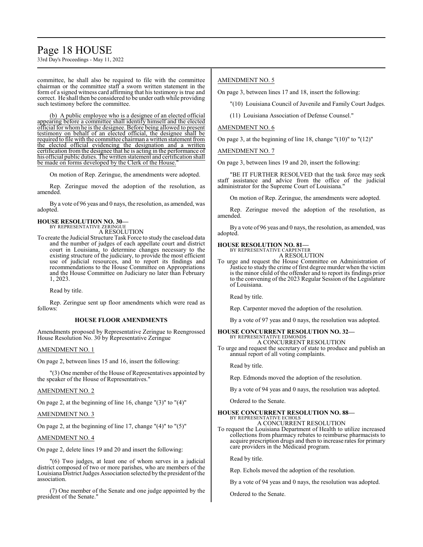# Page 18 HOUSE

33rd Day's Proceedings - May 11, 2022

committee, he shall also be required to file with the committee chairman or the committee staff a sworn written statement in the form of a signed witness card affirming that his testimony is true and correct. He shall then be considered to be under oath while providing such testimony before the committee.

(b) A public employee who is a designee of an elected official appearing before a committee shall identify himself and the elected official for whom he is the designee. Before being allowed to present testimony on behalf of an elected official, the designee shall be required to file with the committee chairman a written statement from the elected official evidencing the designation and a written certification from the designee that he is acting in the performance of his official public duties. The written statement and certification shall be made on forms developed by the Clerk of the House.

On motion of Rep. Zeringue, the amendments were adopted.

Rep. Zeringue moved the adoption of the resolution, as amended.

By a vote of 96 yeas and 0 nays, the resolution, as amended, was adopted.

#### **HOUSE RESOLUTION NO. 30—** BY REPRESENTATIVE ZERINGUE

A RESOLUTION

To create the Judicial Structure Task Force to study the caseload data and the number of judges of each appellate court and district court in Louisiana, to determine changes necessary to the existing structure of the judiciary, to provide the most efficient use of judicial resources, and to report its findings and recommendations to the House Committee on Appropriations and the House Committee on Judiciary no later than February 1, 2023.

Read by title.

Rep. Zeringue sent up floor amendments which were read as follows:

# **HOUSE FLOOR AMENDMENTS**

Amendments proposed by Representative Zeringue to Reengrossed House Resolution No. 30 by Representative Zeringue

# AMENDMENT NO. 1

On page 2, between lines 15 and 16, insert the following:

"(3) One member of the House of Representatives appointed by the speaker of the House of Representatives."

#### AMENDMENT NO. 2

On page 2, at the beginning of line 16, change "(3)" to "(4)"

# AMENDMENT NO. 3

On page 2, at the beginning of line 17, change  $"(4)"$  to  $"(5)"$ 

### AMENDMENT NO. 4

On page 2, delete lines 19 and 20 and insert the following:

"(6) Two judges, at least one of whom serves in a judicial district composed of two or more parishes, who are members of the Louisiana District Judges Association selected by the president ofthe association.

(7) One member of the Senate and one judge appointed by the president of the Senate."

# AMENDMENT NO. 5

On page 3, between lines 17 and 18, insert the following:

"(10) Louisiana Council of Juvenile and Family Court Judges.

(11) Louisiana Association of Defense Counsel."

### AMENDMENT NO. 6

On page 3, at the beginning of line 18, change "(10)" to "(12)"

AMENDMENT NO. 7

On page 3, between lines 19 and 20, insert the following:

"BE IT FURTHER RESOLVED that the task force may seek staff assistance and advice from the office of the judicial administrator for the Supreme Court of Louisiana."

On motion of Rep. Zeringue, the amendments were adopted.

Rep. Zeringue moved the adoption of the resolution, as amended.

By a vote of 96 yeas and 0 nays, the resolution, as amended, was adopted.

# **HOUSE RESOLUTION NO. 81—** BY REPRESENTATIVE CARPENTER

A RESOLUTION

To urge and request the House Committee on Administration of Justice to study the crime of first degree murder when the victim is the minor child of the offender and to report its findings prior to the convening of the 2023 Regular Session of the Legislature of Louisiana.

Read by title.

Rep. Carpenter moved the adoption of the resolution.

By a vote of 97 yeas and 0 nays, the resolution was adopted.

#### **HOUSE CONCURRENT RESOLUTION NO. 32—** BY REPRESENTATIVE EDMONDS

A CONCURRENT RESOLUTION

To urge and request the secretary of state to produce and publish an annual report of all voting complaints.

Read by title.

Rep. Edmonds moved the adoption of the resolution.

By a vote of 94 yeas and 0 nays, the resolution was adopted.

Ordered to the Senate.

# **HOUSE CONCURRENT RESOLUTION NO. 88—** BY REPRESENTATIVE ECHOLS

A CONCURRENT RESOLUTION

To request the Louisiana Department of Health to utilize increased collections from pharmacy rebates to reimburse pharmacists to acquire prescription drugs and then to increase rates for primary care providers in the Medicaid program.

Read by title.

Rep. Echols moved the adoption of the resolution.

By a vote of 94 yeas and 0 nays, the resolution was adopted.

Ordered to the Senate.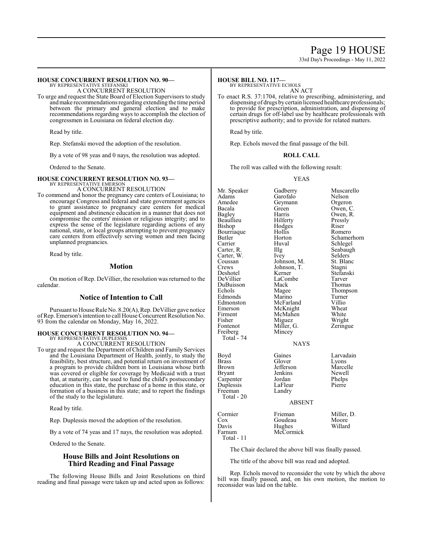# Page 19 HOUSE

33rd Day's Proceedings - May 11, 2022

#### **HOUSE CONCURRENT RESOLUTION NO. 90—** BY REPRESENTATIVE STEFANSKI

A CONCURRENT RESOLUTION

To urge and request the State Board of Election Supervisors to study andmake recommendations regarding extending the time period between the primary and general election and to make recommendations regarding ways to accomplish the election of congressmen in Louisiana on federal election day.

Read by title.

Rep. Stefanski moved the adoption of the resolution.

By a vote of 98 yeas and 0 nays, the resolution was adopted.

Ordered to the Senate.

# **HOUSE CONCURRENT RESOLUTION NO. 93—**

BY REPRESENTATIVE EMERSON A CONCURRENT RESOLUTION

To commend and honor the pregnancy care centers of Louisiana; to encourage Congress and federal and state government agencies to grant assistance to pregnancy care centers for medical equipment and abstinence education in a manner that does not compromise the centers' mission or religious integrity; and to express the sense of the legislature regarding actions of any national, state, or local groups attempting to prevent pregnancy care centers from effectively serving women and men facing unplanned pregnancies.

Read by title.

# **Motion**

On motion of Rep. DeVillier, the resolution was returned to the calendar.

# **Notice of Intention to Call**

Pursuant to House Rule No. 8.20(A), Rep. DeVillier gave notice ofRep. Emerson's intention to call House Concurrent Resolution No. 93 from the calendar on Monday, May 16, 2022.

## **HOUSE CONCURRENT RESOLUTION NO. 94—** BY REPRESENTATIVE DUPLESSIS

A CONCURRENT RESOLUTION

To urge and request the Department ofChildren and Family Services and the Louisiana Department of Health, jointly, to study the feasibility, best structure, and potential return on investment of a program to provide children born in Louisiana whose birth was covered or eligible for coverage by Medicaid with a trust that, at maturity, can be used to fund the child's postsecondary education in this state, the purchase of a home in this state, or formation of a business in this state; and to report the findings of the study to the legislature.

Read by title.

Rep. Duplessis moved the adoption of the resolution.

By a vote of 74 yeas and 17 nays, the resolution was adopted.

Ordered to the Senate.

# **House Bills and Joint Resolutions on Third Reading and Final Passage**

The following House Bills and Joint Resolutions on third reading and final passage were taken up and acted upon as follows:

# **HOUSE BILL NO. 117—**

BY REPRESENTATIVE ECHOLS

AN ACT To enact R.S. 37:1704, relative to prescribing, administering, and dispensing of drugs by certain licensed healthcare professionals; to provide for prescription, administration, and dispensing of certain drugs for off-label use by healthcare professionals with prescriptive authority; and to provide for related matters.

Read by title.

Rep. Echols moved the final passage of the bill.

### **ROLL CALL**

The roll was called with the following result:

YEAS

| Mr. Speaker<br>Adams<br>Amedee<br>Bacala<br>Bagley<br>Beaullieu<br>Bishop<br>Bourriaque<br>Butler<br>Carrier<br>Carter, R.<br>Carter, W.<br>Coussan<br>Crews<br>Deshotel<br>DeVillier<br>DuBuisson<br>Echols<br>Edmonds<br>Edmonston<br>Emerson<br>Firment<br>Fisher<br>Fontenot<br>Freiberg<br>Total - 74 | Gadberry<br>Garofalo<br>Geymann<br>Green<br>Harris<br>Hilferty<br>Hodges<br>Hollis<br>Horton<br>Huval<br>Illg<br>Ivey<br>Johnson, M.<br>Johnson, T.<br>Kerner<br>LaCombe<br>Mack<br>Magee<br>Marino<br>McFarland<br>McKnight<br>McMahen<br>Miguez<br>Miller, G.<br>Mincey | Muscarello<br>Nelson<br>Orgeron<br>Owen, C.<br>Owen, R.<br>Pressly<br>Riser<br>Romero<br>Schamerhorn<br>Schlegel<br>Seabaugh<br>Selders<br>St. Blanc<br>Stagni<br>Stefanski<br>Tarver<br>Thomas<br>Thompson<br>Turner<br>Villio<br>Wheat<br>White<br>Wright<br>Zeringue |
|------------------------------------------------------------------------------------------------------------------------------------------------------------------------------------------------------------------------------------------------------------------------------------------------------------|---------------------------------------------------------------------------------------------------------------------------------------------------------------------------------------------------------------------------------------------------------------------------|-------------------------------------------------------------------------------------------------------------------------------------------------------------------------------------------------------------------------------------------------------------------------|
|                                                                                                                                                                                                                                                                                                            | <b>NAYS</b>                                                                                                                                                                                                                                                               |                                                                                                                                                                                                                                                                         |
| Boyd<br><b>Brass</b><br>Brown<br>Bryant<br>Carpenter<br>Duplessis<br>Freeman<br>Total - 20                                                                                                                                                                                                                 | Gaines<br>Glover<br>Jefferson<br>Jenkins<br>Jordan<br>LaFleur<br>Landry<br><b>ABSENT</b>                                                                                                                                                                                  | Larvadain<br>Lyons<br>Marcelle<br>Newell<br>Phelps<br>Pierre                                                                                                                                                                                                            |

| Pressly        |
|----------------|
| Riser          |
| Romero         |
| Schamerhorr    |
| Schlegel       |
| Seabaugh       |
| <b>Selders</b> |
| St. Blanc      |
| Stagni         |
| Stefanski      |
| Tarver         |
| Thomas         |
| Thompson       |
| Turner         |
| Villio         |
| Wheat          |
| White          |
| Wright         |
|                |
| Zeringue       |
|                |
|                |
|                |
|                |

| Cormier    | Frieman   | Miller, D. |
|------------|-----------|------------|
| Cox        | Goudeau   | Moore      |
| Davis      | Hughes    | Willard    |
| Farnum     | McCormick |            |
| Total - 11 |           |            |

The Chair declared the above bill was finally passed.

The title of the above bill was read and adopted.

Rep. Echols moved to reconsider the vote by which the above bill was finally passed, and, on his own motion, the motion to reconsider was laid on the table.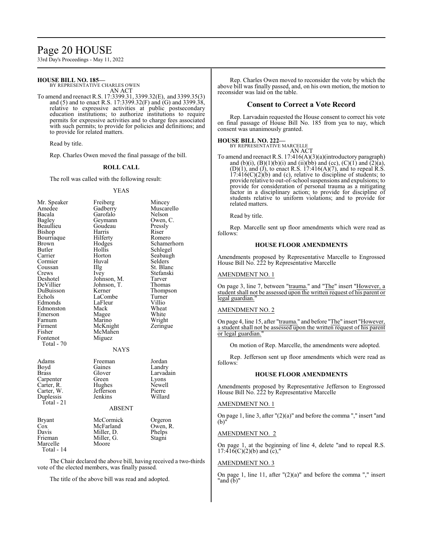# Page 20 HOUSE

33rd Day's Proceedings - May 11, 2022

# **HOUSE BILL NO. 185—**

BY REPRESENTATIVE CHARLES OWEN AN ACT

To amend and reenact R.S. 17:3399.31, 3399.32(E), and 3399.35(3) and (5) and to enact R.S. 17:3399.32(F) and (G) and 3399.38, relative to expressive activities at public postsecondary education institutions; to authorize institutions to require permits for expressive activities and to charge fees associated with such permits; to provide for policies and definitions; and to provide for related matters.

Read by title.

Rep. Charles Owen moved the final passage of the bill.

# **ROLL CALL**

The roll was called with the following result:

#### YEAS

| Mr. Speaker<br>Amedee<br>Bacala<br>Bagley<br>Beaullieu<br>Bishop<br>Bourriaque<br><b>Brown</b><br>Butler<br>Carrier<br>Cormier<br>Coussan<br>Crews<br>Deshotel<br>DeVillier<br>DuBuisson<br>Echols<br>Edmonds<br>Edmonston<br>Emerson<br>Farnum<br>Firment<br>Fisher<br>Fontenot<br>Total - 70 | Freiberg<br>Gadberry<br>Garofalo<br>Geymann<br>Goudeau<br>Harris<br>Hilferty<br>Hodges<br>Hollis<br>Horton<br>Huval<br>Illg<br><i>lvey</i><br>Johnson, M.<br>Johnson, T.<br>Kerner<br>LaCombe<br>LaFleur<br>Mack<br>Magee<br>Marino<br>McKnight<br>McMahen<br>Miguez | Mincey<br>Muscarello<br>Nelson<br>Owen, C.<br>Pressly<br>Riser<br>Romero<br>Schamerhorn<br>Schlegel<br>Seabaugh<br>Selders<br>St. Blanc<br>Stefanski<br>Tarver<br>Thomas<br>Thompson<br>Turner<br>Villio<br>Wheat<br>White<br>Wright<br>Zeringue |
|------------------------------------------------------------------------------------------------------------------------------------------------------------------------------------------------------------------------------------------------------------------------------------------------|----------------------------------------------------------------------------------------------------------------------------------------------------------------------------------------------------------------------------------------------------------------------|--------------------------------------------------------------------------------------------------------------------------------------------------------------------------------------------------------------------------------------------------|
| Adams<br>Boyd<br><b>Brass</b><br>Carpenter<br>Carter, R.<br>Carter, W.<br>Duplessis<br>Total - 21                                                                                                                                                                                              | <b>NAYS</b><br>Freeman<br>Gaines<br>Glover<br>Green<br>Hughes<br>Jefferson<br>Jenkins<br><b>ABSENT</b>                                                                                                                                                               | Jordan<br>Landry<br>Larvadain<br>Lyons<br>Newell<br>Pierre<br>Willard                                                                                                                                                                            |
| <b>Bryant</b><br>$\cos$<br>Davis<br>Frieman<br>Marcelle<br>Total - 14                                                                                                                                                                                                                          | McCormick<br>McFarland<br>Miller, D.<br>Miller, G.<br>Moore                                                                                                                                                                                                          | Orgeron<br>Owen, R.<br>Phelps<br>Stagni                                                                                                                                                                                                          |

The Chair declared the above bill, having received a two-thirds vote of the elected members, was finally passed.

The title of the above bill was read and adopted.

Rep. Charles Owen moved to reconsider the vote by which the above bill was finally passed, and, on his own motion, the motion to reconsider was laid on the table.

# **Consent to Correct a Vote Record**

Rep. Larvadain requested the House consent to correct his vote on final passage of House Bill No. 185 from yea to nay, which consent was unanimously granted.

# **HOUSE BILL NO. 222—**

BY REPRESENTATIVE MARCELLE AN ACT

To amend and reenact R.S. 17:416(A)(3)(a)(introductory paragraph) and (b)(i),  $(B)(1)(b)(i)$  and (ii)(bb) and (cc),  $(C)(1)$  and  $(2)(a)$ ,  $(D)(1)$ , and  $(J)$ , to enact R.S. 17:416 $(A)(7)$ , and to repeal R.S.  $17:416(C)(2)(b)$  and (c), relative to discipline of students; to provide relative to out-of-school suspensions and expulsions; to provide for consideration of personal trauma as a mitigating factor in a disciplinary action; to provide for discipline of students relative to uniform violations; and to provide for related matters.

Read by title.

Rep. Marcelle sent up floor amendments which were read as follows:

# **HOUSE FLOOR AMENDMENTS**

Amendments proposed by Representative Marcelle to Engrossed House Bill No. 222 by Representative Marcelle

# AMENDMENT NO. 1

On page 3, line 7, between "trauma." and "The" insert "However, a student shall not be assessed upon the written request of his parent or legal guardian."

# AMENDMENT NO. 2

On page 4, line 15, after "trauma." and before "The" insert "However, a student shall not be assessed upon the written request of his parent or legal guardian."

On motion of Rep. Marcelle, the amendments were adopted.

Rep. Jefferson sent up floor amendments which were read as follows:

# **HOUSE FLOOR AMENDMENTS**

Amendments proposed by Representative Jefferson to Engrossed House Bill No. 222 by Representative Marcelle

# AMENDMENT NO. 1

On page 1, line 3, after "(2)(a)" and before the comma "," insert "and  $(h)$ 

# AMENDMENT NO. 2

On page 1, at the beginning of line 4, delete "and to repeal R.S.  $17:416(C)(2)(b)$  and  $(c)$ ,"

# AMENDMENT NO. 3

On page 1, line 11, after  $"(2)(a)"$  and before the comma "," insert "and (b)"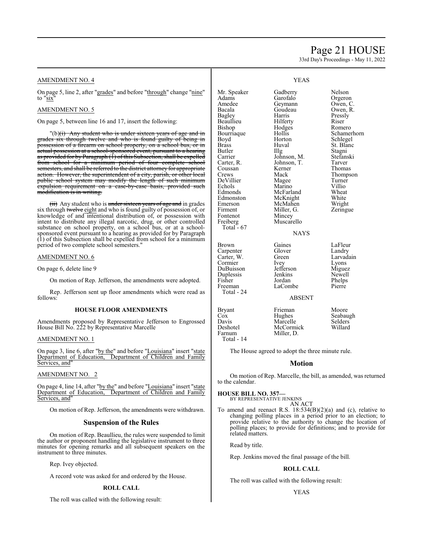# Page 21 HOUSE

33rd Day's Proceedings - May 11, 2022

# AMENDMENT NO. 4

On page 5, line 2, after "grades" and before "through" change "nine" to "six"

# AMENDMENT NO. 5

On page 5, between line 16 and 17, insert the following:

"(b)<del>(i) Any student who is under sixteen years of age and in</del> grades six through twelve and who is found guilty of being in possession of a firearm on school property, on a school bus, or in actual possession at a school-sponsored event, pursuant to a hearing as provided for by Paragraph (1) of this Subsection, shall be expelled<br>from school for a minimum period of four complete school from school for a minimum period of four complete semesters, and shall be referred to the district attorney for appropriate action. However, the superintendent of a city, parish, or other local public school system may modify the length of such minimum expulsion requirement on a case-by-case basis, provided such modification is in writing.

 $(ii)$  Any student who is under sixteen years of age and in grades six through twelve eight and who is found guilty of possession of, or knowledge of and intentional distribution of, or possession with intent to distribute any illegal narcotic, drug, or other controlled substance on school property, on a school bus, or at a schoolsponsored event pursuant to a hearing as provided for by Paragraph (1) of this Subsection shall be expelled from school for a minimum period of two complete school semesters."

#### AMENDMENT NO. 6

On page 6, delete line 9

On motion of Rep. Jefferson, the amendments were adopted.

Rep. Jefferson sent up floor amendments which were read as follows:

#### **HOUSE FLOOR AMENDMENTS**

Amendments proposed by Representative Jefferson to Engrossed House Bill No. 222 by Representative Marcelle

# AMENDMENT NO. 1

On page 3, line 6, after "by the" and before "Louisiana" insert "state Department of Education, Department of Children and Family Department of Children and Family Services, and"

# AMENDMENT NO. 2

On page 4, line 14, after "by the" and before "Louisiana" insert "state Department of Education, Department of Children and Family Services, and"

On motion of Rep. Jefferson, the amendments were withdrawn.

# **Suspension of the Rules**

On motion of Rep. Beaullieu, the rules were suspended to limit the author or proponent handling the legislative instrument to three minutes for opening remarks and all subsequent speakers on the instrument to three minutes.

Rep. Ivey objected.

A record vote was asked for and ordered by the House.

#### **ROLL CALL**

The roll was called with the following result:

|  | ٠ |
|--|---|
|  |   |

| Mr. Speaker<br>Adams<br>Amedee<br>Bacala<br>Bagley<br>Beaullieu<br>Bishop<br>Bourriaque<br>Boyd<br><b>Brass</b><br>Butler<br>Carrier<br>Carter, R.<br>Coussan<br>Crews<br>DeVillier<br>Echols<br>Edmonds<br>Edmonston<br>Emerson<br>Firment<br>Fontenot<br>Freiberg | Gadberry<br>Garofalo<br>Geymann<br>Goudeau<br>Harris<br>Hilferty<br>Hodges<br>Hollis<br>Horton<br>Huval<br>Illg<br>Johnson, M.<br>Johnson, T.<br>Kerner<br>Mack<br>Magee<br>Marino<br>McFarland<br>McKnight<br>McMahen<br>Miller, G.<br>Mincey<br>Muscarello | Nelson<br>Orgeron<br>Owen, C.<br>Owen, R.<br>Pressly<br>Riser<br>Romero<br>Schamerhorn<br>Schlegel<br>St. Blanc<br>Stagni<br>Stefanski<br>Tarver<br>Thomas<br>Thompson<br>Turner<br>Villio<br>Wheat<br>White<br>Wright<br>Zeringue |
|---------------------------------------------------------------------------------------------------------------------------------------------------------------------------------------------------------------------------------------------------------------------|--------------------------------------------------------------------------------------------------------------------------------------------------------------------------------------------------------------------------------------------------------------|------------------------------------------------------------------------------------------------------------------------------------------------------------------------------------------------------------------------------------|
| Total - 67                                                                                                                                                                                                                                                          | NAYS                                                                                                                                                                                                                                                         |                                                                                                                                                                                                                                    |
| Brown<br>Carpenter<br>Carter, W.<br>Cormier<br>DuBuisson<br>Duplessis<br>Fisher<br>Freeman<br>Total - 24                                                                                                                                                            | Gaines<br>Glover<br>Green<br>Ivey<br>Jefferson<br>Jenkins<br>Jordan<br>LaCombe<br><b>ABSENT</b>                                                                                                                                                              | LaFleur<br>Landry<br>Larvadain<br>Lyons<br>Miguez<br>Newell<br>Phelps<br>Pierre                                                                                                                                                    |
| Bryant<br>Cox<br>Davis<br>Deshotel<br>Farnum                                                                                                                                                                                                                        | Frieman<br>Hughes<br>Marcelle<br>McCormick<br>Miller, D.                                                                                                                                                                                                     | Moore<br>Seabaugh<br>Selders<br>Willard                                                                                                                                                                                            |

The House agreed to adopt the three minute rule.

# **Motion**

On motion of Rep. Marcelle, the bill, as amended, was returned to the calendar.

**HOUSE BILL NO. 357—**

Total - 14

BY REPRESENTATIVE JENKINS AN ACT

To amend and reenact R.S.  $18:534(B)(2)(a)$  and (c), relative to changing polling places in a period prior to an election; to provide relative to the authority to change the location of polling places; to provide for definitions; and to provide for related matters.

Read by title.

Rep. Jenkins moved the final passage of the bill.

### **ROLL CALL**

The roll was called with the following result:

# YEAS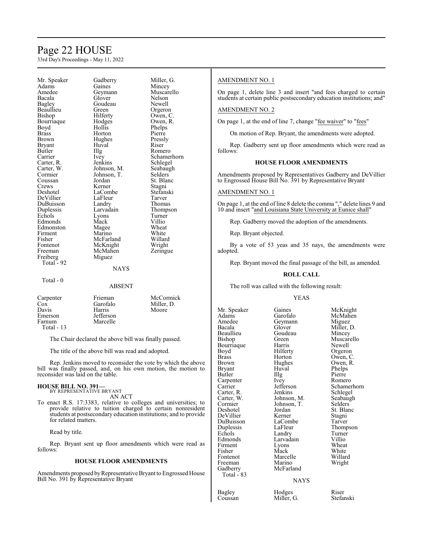# Page 22 HOUSE

33rd Day's Proceedings - May 11, 2022

Mr. Speaker Gadberry Miller, G.<br>Adams Gaines Mincey Adams Gaines Mincey<br>Amedee Geymann Muscare Amedee Geymann Muscarello<br>Bacala Glover Nelson Bacala Glover Nelson Bagley Goudeau<br>Beaullieu Green Bishop Hilferty Owen, C.<br>Bourriaque Hodges Owen, R. Bourriaque Hodge<br>Boyd Hollis Boyd Hollis Phelps Brass Horton Pierre<br>Brown Hughes Pressly Bryant Huv<br>Butler IIIg Butler IIIg Romero<br>Carrier Ivey Schame Carter, R. Jenkins<br>Carter, W. Johnson M. Carter, W. Johnson, M. Seabaugh<br>Cormier Johnson, T. Selders Cormier Johnson, T.<br>Coussan Jordan Coussan Jordan St. Blanc<br>Crews Kerner Stagni Crews Kerner Stagni<br>
Deshotel LaCombe Stefanski DeVillier LaFleur Tarver<br>
DuBuisson Landry Thomas DuBuisson Landry<br>
Duplessis Larvadain Duplessis Larvadain Thompson<br>Echols Lyons Turner Echols Lyons Turner Edmonds Mack Villio<br>
Edmonston Magee Wheat Edmonston Magee Wheat<br>
Firment Marino White Firment Marino White<br>
Fisher McFarland Willard Fisher McFarland Willard Fontenot McKnight Wright<br>
Freeman McMahen Zeringue Freiberg Total  $-92$ 

Hughes Pressl<br>Huval Riser LaCombe<br>LaFleur Tarver McMahen<br>Miguez

Orgeron Ivey Schamerhorn<br>Jenkins Schlegel

#### NAYS

Total - 0

# ABSENT

| Carpenter  | Frieman   | McCormick  |
|------------|-----------|------------|
| $\cos$     | Garofalo  | Miller, D. |
| Davis      | Harris    | Moore      |
| Emerson    | Jefferson |            |
| Farnum     | Marcelle  |            |
| Total - 13 |           |            |

The Chair declared the above bill was finally passed.

The title of the above bill was read and adopted.

Rep. Jenkins moved to reconsider the vote by which the above bill was finally passed, and, on his own motion, the motion to reconsider was laid on the table.

#### **HOUSE BILL NO. 391—** BY REPRESENTATIVE BRYANT

AN ACT

To enact R.S. 17:3383, relative to colleges and universities; to provide relative to tuition charged to certain nonresident students at postsecondary education institutions; and to provide for related matters.

Read by title.

Rep. Bryant sent up floor amendments which were read as follows:

### **HOUSE FLOOR AMENDMENTS**

Amendments proposed byRepresentative Bryant to Engrossed House Bill No. 391 by Representative Bryant

# AMENDMENT NO. 1

On page 1, delete line 3 and insert "and fees charged to certain students at certain public postsecondary education institutions; and"

### AMENDMENT NO. 2

On page 1, at the end of line 7, change "fee waiver" to "fees"

On motion of Rep. Bryant, the amendments were adopted.

Rep. Gadberry sent up floor amendments which were read as follows:

# **HOUSE FLOOR AMENDMENTS**

Amendments proposed by Representatives Gadberry and DeVillier to Engrossed House Bill No. 391 by Representative Bryant

# AMENDMENT NO. 1

On page 1, at the end of line 8 delete the comma "," delete lines 9 and 10 and insert "and Louisiana State University at Eunice shall"

Rep. Gadberry moved the adoption of the amendments.

Rep. Bryant objected.

By a vote of 53 yeas and 35 nays, the amendments were adopted.

Rep. Bryant moved the final passage of the bill, as amended.

#### **ROLL CALL**

The roll was called with the following result:

#### YEAS

Mr. Speaker Gaines McKnight<br>
Adams Garofalo McMahen Adams Garofalo McMahen<br>Amedee Geymann Miguez Amedee Geymann<br>Bacala Glover Beaullieu Goude<br>Bishop Green Bourriaque Harris<br>Boyd Hilferty Boyd Hilferty Orgeron Brass Horton Owen, C. Bryant Huval Phelps<br>Butler IIIg Pierre Butler Illg Pierre Carpenter Ivey Romero<br>Carrier Jefferson Schamer Carter, R. Jenkins Schlegel<br>Carter, W. Johnson, M. Seabaugh Carter, W. Johnson, M. Seabaughter<br>
Cormier Johnson, T. Selders Cormier Johnson, T.<br>Deshotel Jordan DeVillier Kerner Stagni<br>DuBuisson LaCombe Tarver DuBuisson LaCombe<br>
Duplessis LaFleur Duplessis LaFleur Thompson<br>
Echols Landry Turner Echols Landry Turner<br>
Edmonds Larvadain Villio Firment Lyons<br>Fisher Mack Fisher Mack White<br>Fontenot Marcelle Willard Fontenot Marcelle<br>Freeman Marino Freeman Marino Wright<br>Gadberry McFarland Total - 83

Glover Miller, D.<br>Goudeau Mincey Hughes Owen, R.<br>Huyal Phelps Jordan St. Blanc<br>Kerner Stagni Larvadain Villio<br>
Lyons Wheat McFarland

Green Muscarello<br>Harris Newell Jefferson Schamerhorn<br>Jenkins Schlegel

#### NAYS

Bagley Hodges Riser<br>Coussan Miller, G. Stefanski Miller, G.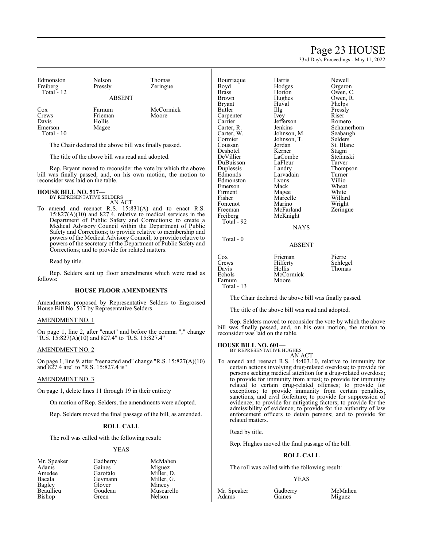# Page 23 HOUSE

33rd Day's Proceedings - May 11, 2022

Newell Orgeron Owen, C. Owen, R. Phelps Pressly

Romero Schamerhorn Seabaugh Selders<sup>'</sup> St. Blanc Stagni Stefanski<br>Tarver

Thompson Turner<br>Villio

Willard Wright Zeringue

| Edmonston<br>Freiberg<br>Total $-12$ | Nelson<br>Pressly<br><b>ABSENT</b>              | Thomas<br>Zeringue |
|--------------------------------------|-------------------------------------------------|--------------------|
| Cox<br>Crews<br>D <sub>ox</sub>      | Farnum<br>Frieman<br>$\mathbf{u}_{\alpha}$ llia | McCormick<br>Moore |

Davis Hollis<br>Emerson Magee **Emerson** Total - 10

The Chair declared the above bill was finally passed.

The title of the above bill was read and adopted.

Rep. Bryant moved to reconsider the vote by which the above bill was finally passed, and, on his own motion, the motion to reconsider was laid on the table.

**HOUSE BILL NO. 517—** BY REPRESENTATIVE SELDERS

AN ACT To amend and reenact R.S. 15:831(A) and to enact R.S. 15:827(A)(10) and 827.4, relative to medical services in the Department of Public Safety and Corrections; to create a Medical Advisory Council within the Department of Public Safety and Corrections; to provide relative to membership and powers of the Medical Advisory Council; to provide relative to powers of the secretary of the Department of Public Safety and Corrections; and to provide for related matters.

Read by title.

Rep. Selders sent up floor amendments which were read as follows:

#### **HOUSE FLOOR AMENDMENTS**

Amendments proposed by Representative Selders to Engrossed House Bill No. 517 by Representative Selders

AMENDMENT NO. 1

On page 1, line 2, after "enact" and before the comma "," change "R.S. 15:827(A)(10) and 827.4" to "R.S. 15:827.4"

### AMENDMENT NO. 2

On page 1, line 9, after "reenacted and" change "R.S. 15:827(A)(10) and 827.4 are" to "R.S. 15:827.4 is"

#### AMENDMENT NO. 3

On page 1, delete lines 11 through 19 in their entirety

On motion of Rep. Selders, the amendments were adopted.

Rep. Selders moved the final passage of the bill, as amended.

# **ROLL CALL**

The roll was called with the following result:

# YEAS

Mr. Speaker Gadberry McMahen<br>Adams Gaines Miguez Adams Gaines Miguez Amedee Garofalo Miller, D.<br>Bacala Geymann Miller, G. Bacala Geymann Miller, G. Bagley Glover<br>Beaullieu Goudeau Bishop

Goudeau Muscarello<br>Green Nelson

| Bourriaque<br>Boyd<br><b>Brass</b><br><b>Brown</b><br>Bryant<br>Butler<br>Carpenter<br>Carrier<br>Carter, R.<br>Carter, W.<br>Cormier<br>Coussan<br>Deshotel<br>DeVillier<br>DuBuisson<br>Duplessis<br>Edmonds<br>Edmonston<br>Emerson<br>Firment<br>Fisher<br>Fontenot<br>Freeman<br>Freiberg<br>Total - 92<br>Total - 0 | Harris<br>Hodges<br>Horton<br>Hughes<br>Huval<br>Illg<br>Ivey<br>Jefferson<br>Jenkins<br>Johnson, M.<br>Johnson, T.<br>Jordan<br>Kerner<br>LaCombe<br>LaFleur<br>Landry<br>Larvadain<br>Lyons<br>Mack<br>Magee<br>Marcelle<br>Marino<br>McFarland<br>McKnight<br><b>NAYS</b> | Newell<br>Orgeron<br>Owen, C<br>Owen, I<br>Phelps<br>Pressly<br>Riser<br>Romero<br>Schame<br>Seabaug<br>Selders<br>St. Blan<br>Stagni<br>Stefansl<br>Tarver<br>Thomps<br>Turner<br>Villio<br>Wheat<br>White<br>Willard<br>Wright<br>Zeringu |
|---------------------------------------------------------------------------------------------------------------------------------------------------------------------------------------------------------------------------------------------------------------------------------------------------------------------------|------------------------------------------------------------------------------------------------------------------------------------------------------------------------------------------------------------------------------------------------------------------------------|---------------------------------------------------------------------------------------------------------------------------------------------------------------------------------------------------------------------------------------------|
|                                                                                                                                                                                                                                                                                                                           | <b>ABSENT</b>                                                                                                                                                                                                                                                                |                                                                                                                                                                                                                                             |
| $\cos$<br>Crews<br>Davis<br>Echols                                                                                                                                                                                                                                                                                        | Frieman<br>Hilferty<br>Hollis<br>McCormick                                                                                                                                                                                                                                   | Pierre<br>Schlege<br>Thomas                                                                                                                                                                                                                 |

Pierre Schlegel

Farnum Total - 13

The Chair declared the above bill was finally passed.

The title of the above bill was read and adopted.

McCormick<br>Moore

Rep. Selders moved to reconsider the vote by which the above bill was finally passed, and, on his own motion, the motion to reconsider was laid on the table.

**HOUSE BILL NO. 601—** BY REPRESENTATIVE HUGHES

AN ACT

To amend and reenact R.S. 14:403.10, relative to immunity for certain actions involving drug-related overdose; to provide for persons seeking medical attention for a drug-related overdose; to provide for immunity from arrest; to provide for immunity related to certain drug-related offenses; to provide for exceptions; to provide immunity from certain penalties, sanctions, and civil forfeiture; to provide for suppression of evidence; to provide for mitigating factors; to provide for the admissibility of evidence; to provide for the authority of law enforcement officers to detain persons; and to provide for related matters.

# Read by title.

Rep. Hughes moved the final passage of the bill.

# **ROLL CALL**

The roll was called with the following result:

#### YEAS

Mr. Speaker Gadberry McMahen<br>Adams Gaines Miguez

Miguez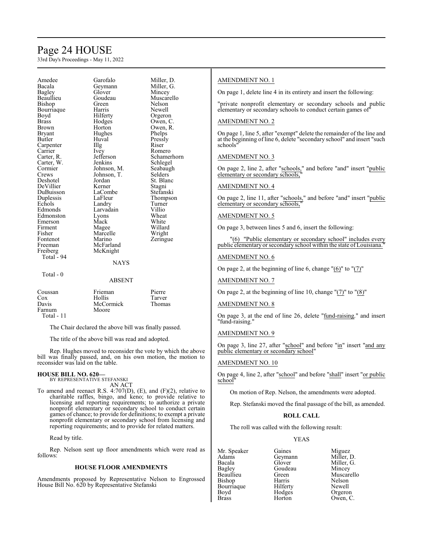# Page 24 HOUSE

33rd Day's Proceedings - May 11, 2022

| Amedee     | Garotalo              | Mille         |
|------------|-----------------------|---------------|
| Bacala     | Geymann               | Mille         |
| Bagley     | Glover                | Minc          |
| Beaullieu  | Goudeau               | Musc          |
| Bishop     | Green                 | Nelso         |
| Bourriaque | Harris                | Newe          |
| Boyd       | Hilferty              | Orge          |
| Brass      | Hodges                | Ower          |
| Brown      | Horton                | Ower          |
| Bryant     | Hughes                | Phelp         |
| Butler     | Huval                 | Press         |
| Carpenter  | Illg                  | Riser         |
| Carrier    | Ivey                  | Rom           |
| Carter, R. | Jefferson             | Schai         |
| Carter, W. | Jenkins               | Schle         |
| Cormier    | Johnson, M.           | Seaba         |
| Crews      | Johnson, T.           | Selde         |
| Deshotel   | Jordan                | St. B         |
| DeVillier  | Kerner                | Stagr         |
| DuBuisson  | LaCombe               | Stefa         |
| Duplessis  | LaFleur               | Thon          |
| Echols     | Landry                | Turn          |
| Edmonds    | Larvadain             | Villio        |
| Edmonston  | Lyons                 | Whea          |
| Emerson    | Mack                  | Whit          |
| Firment    | Magee                 | Willa         |
| Fisher     | Marcelle              | Wrig          |
| Fontenot   | Marino                | Zerin         |
| Freeman    | McFarland             |               |
| Freiberg   | McKnight              |               |
| Total - 94 |                       |               |
|            | <b>NAYS</b>           |               |
| Total - 0  |                       |               |
|            | <b>ABSENT</b>         |               |
| Coussan    | Frieman               | Pierr         |
| $\cos$     | Hollis                | Tarve         |
| Dovic      | $M_2$ $C_2$ mais $1r$ | $T_{\rm max}$ |

Amedee Garofalo Miller, D. Glover Mincey<br>Goudeau Muscar Goudeau Muscarello<br>Green Nelson Green Nelson<br>Harris Newell Newell Hilferty Orgeron<br>Hodges Owen, C Hodges Owen, C.<br>Horton Owen, R. Owen, R.<br>Phelps Huval Pressly<br>Illg Riser Ivey Romero<br>Jefferson Schamer Jefferson Schamerhorn<br>Jenkins Schlegel Schlegel Johnson, M. Seabaugh<br>Johnson, T. Selders Jordan St. Blanc<br>
Kerner Stagni Kerner Stagni<br>LaCombe Stefans LaCombe Stefanski<br>LaFleur Thompso Thompson<br>Turner Landry Turner<br>
Larvadain Villio Larvadain Villio<br>Lyons Wheat Lyons Wheat<br>
Mack White Mack White<br>
Mage Willard Magee Willard<br>
Marcelle Wright Zeringue

#### **NAYS**

Frieman Pierre<br>Hollis Tarver Cox Hollis Tarver Davis McCormick Thomas Moore Total - 11

The Chair declared the above bill was finally passed.

The title of the above bill was read and adopted.

Rep. Hughes moved to reconsider the vote by which the above bill was finally passed, and, on his own motion, the motion to reconsider was laid on the table.

# **HOUSE BILL NO. 620—** BY REPRESENTATIVE STEFANSKI AN ACT

To amend and reenact R.S. 4:707(D), (E), and (F)(2), relative to charitable raffles, bingo, and keno; to provide relative to licensing and reporting requirements; to authorize a private nonprofit elementary or secondary school to conduct certain games of chance; to provide for definitions; to exempt a private nonprofit elementary or secondary school from licensing and reporting requirements; and to provide for related matters.

Read by title.

Rep. Nelson sent up floor amendments which were read as follows:

# **HOUSE FLOOR AMENDMENTS**

Amendments proposed by Representative Nelson to Engrossed House Bill No. 620 by Representative Stefanski

# AMENDMENT NO. 1

On page 1, delete line 4 in its entirety and insert the following:

"private nonprofit elementary or secondary schools and public elementary or secondary schools to conduct certain games of"

# AMENDMENT NO. 2

On page 1, line 5, after "exempt" delete the remainder of the line and at the beginning of line 6, delete "secondary school" and insert "such schools"

# AMENDMENT NO. 3

On page 2, line 2, after "schools," and before "and" insert "public elementary or secondary schools,

# AMENDMENT NO. 4

On page 2, line 11, after "schools," and before "and" insert "public elementary or secondary schools,

# AMENDMENT NO. 5

On page 3, between lines 5 and 6, insert the following:

"(6) "Public elementary or secondary school" includes every public elementary or secondary school within the state of Louisiana.

# AMENDMENT NO. 6

On page 2, at the beginning of line 6, change  $"(\underline{6})"$  to  $"(\underline{7})"$ 

# AMENDMENT NO. 7

On page 2, at the beginning of line 10, change "(7)" to "(8)"

# AMENDMENT NO. 8

On page 3, at the end of line 26, delete "fund-raising." and insert "fund-raising."

### AMENDMENT NO. 9

On page 3, line 27, after "school" and before "in" insert "and any public elementary or secondary school"

# AMENDMENT NO. 10

On page 4, line 2, after "school" and before "shall" insert "or public school"

On motion of Rep. Nelson, the amendments were adopted.

Rep. Stefanski moved the final passage of the bill, as amended.

# **ROLL CALL**

The roll was called with the following result:

# YEAS

Mr. Speaker Gaines Miguez<br>Adams Geymann Miller, D. Adams Geymann<br>Bacala Glover Bacala Glover Miller, G. Bagley Goudeau<br>Beaullieu Green Bishop Harris Nelson<br>Bourriaque Hilferty Newell Bourriaque Hilferty<br>Boyd Hodges Boyd Hodges Orgeron<br>Brass Horton Owen, C

Green Muscarello<br>Harris Nelson Horton Owen, C.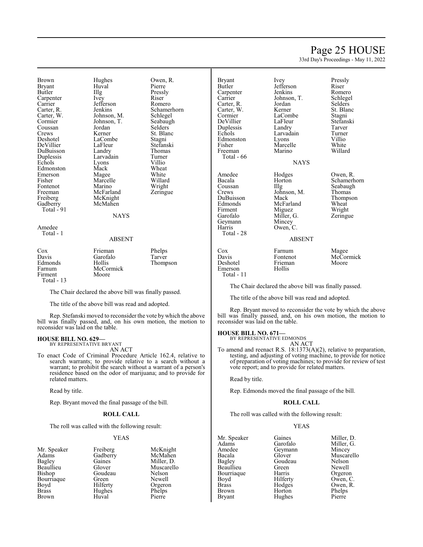# Page 25 HOUSE

33rd Day's Proceedings - May 11, 2022

Brown Hughes Owen, R.<br>Bryant Huyal Pierre Bryant Huv<br>Butler Hllg Carpenter Ivey Riser Riser<br>Carrier Jefferson Romero Carrier Jefferson<br>Carter, R. Jenkins Carter, W. Johnson, M. Schlegel Coussan Jordan<br>Crews Kerner Crews Kerner St. Blanc<br>Deshotel LaCombe Stagni DeVillier LaFleur Stefansk<br>DuBuisson Landry Thomas DuBuisson Landry Thomas Duplessis Larvadain Turner Echols Lyons Villio Edmonston Mack Wheat<br>
Emerson Magee White Emerson Magee White<br>
Fisher Marcelle Willard Fisher Marcelle Willard<br>
Fontenot Marino Wright Fontenot Marino<br>Freeman McFarland Freeman McFarland Zeringue<br>
Freiberg McKnight Freiberg McKnight<br>Gadberry McMahen Total - 91

Illg Pressly<br>Ivey Riser Johnson, T. Seabaug<br>Jordan Selders McMahen NAYS

Jenkins Schamerhorn<br>Johnson, M. Schlegel LaCombe<br>LaFleur Stefanski

#### Amedee Total - 1

#### ABSENT

| $\cos$     | Frieman   | Phelps   |
|------------|-----------|----------|
| Davis      | Garofalo  | Tarver   |
| Edmonds    | Hollis    | Thompson |
| Farnum     | McCormick |          |
| Firment    | Moore     |          |
| Total - 13 |           |          |

The Chair declared the above bill was finally passed.

The title of the above bill was read and adopted.

Rep. Stefanski moved to reconsider the vote by which the above bill was finally passed, and, on his own motion, the motion to reconsider was laid on the table.

#### **HOUSE BILL NO. 629—** BY REPRESENTATIVE BRYANT

AN ACT

To enact Code of Criminal Procedure Article 162.4, relative to search warrants; to provide relative to a search without a warrant; to prohibit the search without a warrant of a person's residence based on the odor of marijuana; and to provide for related matters.

Read by title.

Rep. Bryant moved the final passage of the bill.

# **ROLL CALL**

The roll was called with the following result:

#### YEAS

| Mr. Speaker  | Freiberg | McKr        |
|--------------|----------|-------------|
| Adams        | Gadberry | McMa        |
| Bagley       | Gaines   | Miller      |
| Beaullieu    | Glover   | Musca       |
| Bishop       | Goudeau  | Nelso       |
| Bourriaque   | Green    | <b>Newe</b> |
| Boyd         | Hilferty | Orger       |
| <b>Brass</b> | Hughes   | Phelp       |
| Brown        | Huval    | Pierre      |
|              |          |             |

g McKnight<br>Ty McMahen McMahen Miller, D. Muscarello<br>Belson Nelson Newell Orgeron Phelps<br>Pierre

| <b>Bryant</b> | Ivey               | Pressly            |
|---------------|--------------------|--------------------|
| Butler        | Jefferson          | Riser              |
| Carpenter     | Jenkins            | Romero             |
| Carrier       | Johnson, T.        | Schlegel           |
| Carter, R.    | Jordan             | Selders            |
| Carter, W.    | Kerner             | St. Blanc          |
| Cormier       | LaCombe            | Stagni             |
| DeVillier     | LaFleur            | Stefanski          |
| Duplessis     | Landry             | Tarver             |
| Echols        | Larvadain          | Turner             |
| Edmonston     | Lyons              | Villio             |
| Fisher        | Marcelle           | White              |
| Freeman       | Marino             | Willard            |
| Total - 66    |                    |                    |
|               | <b>NAYS</b>        |                    |
|               |                    |                    |
| Amedee        | Hodges             | Owen, R.           |
| Bacala        | Horton             | Schamerhorn        |
| Coussan       | Illg               | Seabaugh           |
| Crews         | Johnson, M.        | Thomas             |
| DuBuisson     | Mack               | Thompson           |
| Edmonds       | McFarland          | Wheat              |
| Firment       | Miguez             | Wright             |
| Garofalo      | Miller, G.         | Zeringue           |
| Geymann       | Mincey             |                    |
| Harris        | Owen, C.           |                    |
| Total - 28    |                    |                    |
|               | ABSENT             |                    |
|               |                    |                    |
| Cox           |                    |                    |
| Davis         | Farnum<br>Fontenot | Magee<br>McCormick |

The Chair declared the above bill was finally passed.

The title of the above bill was read and adopted.

Rep. Bryant moved to reconsider the vote by which the above bill was finally passed, and, on his own motion, the motion to reconsider was laid on the table.

**HOUSE BILL NO. 671—** BY REPRESENTATIVE EDMONDS

Deshotel Friemann<br>Emerson Hollis

Emerson Total - 11

AN ACT

To amend and reenact R.S. 18:1373(A)(2), relative to preparation, testing, and adjusting of voting machine, to provide for notice of preparation of voting machines; to provide for review of test vote report; and to provide for related matters.

Read by title.

Rep. Edmonds moved the final passage of the bill.

### **ROLL CALL**

The roll was called with the following result:

# YEAS

| Mr. Speaker   | Gaines   | Miller, D. |
|---------------|----------|------------|
| Adams         | Garofalo | Miller, G. |
| Amedee        | Geymann  | Mincey     |
| Bacala        | Glover   | Muscarello |
| Bagley        | Goudeau  | Nelson     |
| Beaullieu     | Green    | Newell     |
| Bourriaque    | Harris   | Orgeron    |
| Boyd          | Hilferty | Owen, C.   |
| <b>Brass</b>  | Hodges   | Owen, R.   |
| <b>Brown</b>  | Horton   | Phelps     |
| <b>Bryant</b> | Hughes   | Pierre     |
|               |          |            |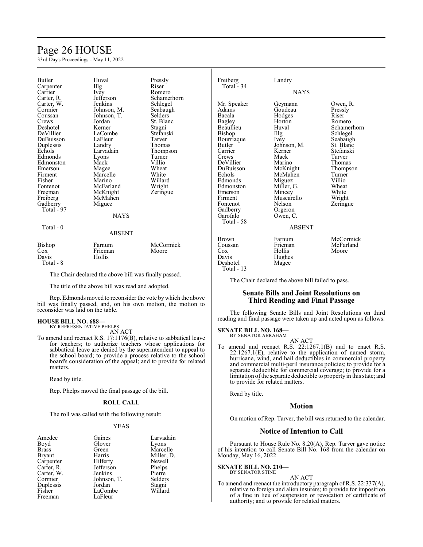# Page 26 HOUSE

33rd Day's Proceedings - May 11, 2022

| <b>Butler</b> | Huval                                                 | Pressly        | Freiberg      | Landry                                            |             |
|---------------|-------------------------------------------------------|----------------|---------------|---------------------------------------------------|-------------|
| Carpenter     | Illg                                                  | Riser          | Total $-34$   |                                                   |             |
| Carrier       | Ivey                                                  | Romero         |               | <b>NAYS</b>                                       |             |
| Carter, R.    | Jefferson                                             | Schamerhorn    |               |                                                   |             |
| Carter, W.    | Jenkins                                               | Schlegel       | Mr. Speaker   | Geymann                                           | Owen, R.    |
| Cormier       | Johnson, M.                                           | Seabaugh       | Adams         | Goudeau                                           | Pressly     |
| Coussan       | Johnson, T.                                           | <b>Selders</b> | Bacala        | Hodges                                            | Riser       |
| Crews         | Jordan                                                | St. Blanc      | <b>Bagley</b> | Horton                                            | Romero      |
| Deshotel      | Kerner                                                | Stagni         | Beaullieu     | Huval                                             | Schamerhorn |
| DeVillier     | LaCombe                                               | Stefanski      | Bishop        | Illg                                              | Schlegel    |
| DuBuisson     | LaFleur                                               | Tarver         | Bourriaque    | Ivey                                              | Seabaugh    |
| Duplessis     | Landry                                                | Thomas         | Butler        | Johnson, M.                                       | St. Blanc   |
| Echols        | Larvadain                                             | Thompson       | Carrier       | Kerner                                            | Stefanski   |
| Edmonds       | Lyons                                                 | Turner         | Crews         | Mack                                              | Tarver      |
| Edmonston     | Mack                                                  | Villio         | DeVillier     | Marino                                            | Thomas      |
| Emerson       | Magee                                                 | Wheat          | DuBuisson     | McKnight                                          | Thompson    |
| Firment       | Marcelle                                              | White          | Echols        | McMahen                                           | Turner      |
| Fisher        | Marino                                                | Willard        | Edmonds       | Miguez                                            | Villio      |
| Fontenot      | McFarland                                             | Wright         | Edmonston     | Miller, G.                                        | Wheat       |
| Freeman       | McKnight                                              | Zeringue       | Emerson       | Mincey                                            | White       |
| Freiberg      | McMahen                                               |                | Firment       | Muscarello                                        | Wright      |
| Gadberry      | Miguez                                                |                | Fontenot      | Nelson                                            | Zeringue    |
| Total - 97    |                                                       |                | Gadberry      | Orgeron                                           |             |
|               | <b>NAYS</b>                                           |                | Garofalo      | Owen, C.                                          |             |
|               |                                                       |                | Total - 58    |                                                   |             |
| Total - 0     |                                                       |                |               | <b>ABSENT</b>                                     |             |
|               | <b>ABSENT</b>                                         |                |               |                                                   |             |
|               |                                                       |                | <b>Brown</b>  | Farnum                                            | McCormick   |
| Bishop        | Farnum                                                | McCormick      | Coussan       | Frieman                                           | McFarland   |
| Cox           | Frieman                                               | Moore          | Cox           | Hollis                                            | Moore       |
| Davis         | Hollis                                                |                | Davis         | Hughes                                            |             |
| Total - 8     |                                                       |                | Deshotel      | Magee                                             |             |
|               |                                                       |                | Total - 13    |                                                   |             |
|               | The Chair declared the above bill was finally passed. |                |               |                                                   |             |
|               |                                                       |                |               | The Chair declared the above bill failed to pass. |             |

The title of the above bill was read and adopted.

Rep. Edmonds moved to reconsider the vote by which the above bill was finally passed, and, on his own motion, the motion to reconsider was laid on the table.

# **HOUSE BILL NO. 688—** BY REPRESENTATIVE PHELPS

AN ACT

To amend and reenact R.S. 17:1176(B), relative to sabbatical leave for teachers; to authorize teachers whose applications for sabbatical leave are denied by the superintendent to appeal to the school board; to provide a process relative to the school board's consideration of the appeal; and to provide for related matters.

Read by title.

Rep. Phelps moved the final passage of the bill.

### **ROLL CALL**

The roll was called with the following result:

#### YEAS

| Amedee        | Gaines      | Larvadain  |
|---------------|-------------|------------|
| Boyd          | Glover      | Lyons      |
| <b>Brass</b>  | Green       | Marcelle   |
| <b>Bryant</b> | Harris      | Miller, D. |
| Carpenter     | Hilferty    | Newell     |
| Carter, R.    | Jefferson   | Phelps     |
| Carter, W.    | Jenkins     | Pierre     |
| Cormier       | Johnson, T. | Selders    |
| Duplessis     | Jordan      | Stagni     |
| Fisher        | LaCombe     | Willard    |
| Freeman       | LaFleur     |            |

The Chair declared the above bill failed to pass.

# **Senate Bills and Joint Resolutions on Third Reading and Final Passage**

The following Senate Bills and Joint Resolutions on third reading and final passage were taken up and acted upon as follows:

# **SENATE BILL NO. 168—** BY SENATOR ABRAHAM

AN ACT

To amend and reenact R.S. 22:1267.1(B) and to enact R.S. 22:1267.1(E), relative to the application of named storm, hurricane, wind, and hail deductibles in commercial property and commercial multi-peril insurance policies; to provide for a separate deductible for commercial coverage; to provide for a limitation ofthe separate deductible to property in this state; and to provide for related matters.

Read by title.

# **Motion**

On motion of Rep. Tarver, the bill was returned to the calendar.

# **Notice of Intention to Call**

Pursuant to House Rule No. 8.20(A), Rep. Tarver gave notice of his intention to call Senate Bill No. 168 from the calendar on Monday, May 16, 2022.

# **SENATE BILL NO. 210—** BY SENATOR STINE

#### AN ACT

To amend and reenact the introductory paragraph of R.S. 22:337(A), relative to foreign and alien insurers; to provide for imposition of a fine in lieu of suspension or revocation of certificate of authority; and to provide for related matters.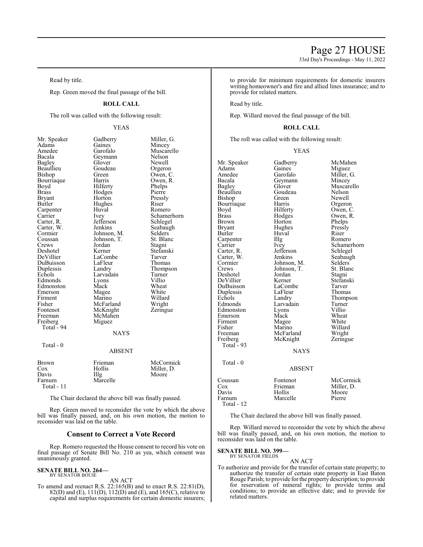Read by title.

Rep. Green moved the final passage of the bill.

# **ROLL CALL**

The roll was called with the following result:

# YEAS

| Mr. Speaker   | Gadberry      | Miller, G.  |
|---------------|---------------|-------------|
| Adams         | Gaines        | Mincey      |
| Amedee        | Garofalo      | Muscarello  |
| Bacala        | Geymann       | Nelson      |
| <b>Bagley</b> | Glover        | Newell      |
| Beaullieu     | Goudeau       | Orgeron     |
| Bishop        | Green         | Owen, C.    |
| Bourriaque    | Harris        | Owen, R.    |
| Boyd          | Hilferty      | Phelps      |
| <b>Brass</b>  | Hodges        | Pierre      |
| Bryant        | Horton        | Pressly     |
| Butler        | Hughes        | Riser       |
| Carpenter     | Huval         | Romero      |
| Carrier       | Ivey          | Schamerhorn |
| Carter, R.    | Jefferson     | Schlegel    |
| Carter, W.    | Jenkins       | Seabaugh    |
| Cormier       | Johnson, M.   | Selders     |
| Coussan       | Johnson, T.   | St. Blanc   |
| Crews         | Jordan        | Stagni      |
| Deshotel      | Kerner        | Stefanski   |
| DeVillier     | LaCombe       | Tarver      |
| DuBuisson     | LaFleur       | Thomas      |
| Duplessis     | Landry        | Thompson    |
| Echols        | Larvadain     | Turner      |
| Edmonds       | Lyons         | Villio      |
| Edmonston     | Mack          | Wheat       |
| Emerson       | Magee         | White       |
| Firment       | Marino        | Willard     |
| Fisher        | McFarland     | Wright      |
| Fontenot      | McKnight      | Zeringue    |
| Freeman       | McMahen       |             |
| Freiberg      | Miguez        |             |
| Total - 94    |               |             |
|               | <b>NAYS</b>   |             |
| Total - 0     |               |             |
|               | <b>ABSENT</b> |             |
| Brown         | Frieman       | McCormick   |
| Cox           | Hollis        | Miller, D.  |
| Davis         | Illg          | Moore       |
| Farnum        | Marcelle      |             |
| Total - 11    |               |             |

The Chair declared the above bill was finally passed.

Rep. Green moved to reconsider the vote by which the above bill was finally passed, and, on his own motion, the motion to reconsider was laid on the table.

# **Consent to Correct a Vote Record**

Rep. Romero requested the House consent to record his vote on final passage of Senate Bill No. 210 as yea, which consent was unanimously granted.

#### **SENATE BILL NO. 264—** BY SENATOR BOUIE

AN ACT

To amend and reenact R.S. 22:165(B) and to enact R.S. 22:81(D), 82(D) and (E), 111(D), 112(D) and (E), and 165(C), relative to capital and surplus requirements for certain domestic insurers; to provide for minimum requirements for domestic insurers writing homeowner's and fire and allied lines insurance; and to provide for related matters.

Read by title.

Rep. Willard moved the final passage of the bill.

# **ROLL CALL**

The roll was called with the following result:

#### YEAS

| Mr. Speaker<br>Adams<br>Amedee<br>Bacala<br>Bagley<br>Beaullieu<br>Bishop<br>Bourriaque<br>Boyd<br><b>Brass</b><br>Brown<br><b>Bryant</b><br>Butler<br>Carpenter<br>Carrier<br>Carter, R. | Gadberry<br>Gaines<br>Garofalo<br>Geymann<br>Glover<br>Goudeau<br>Green<br>Harris<br>Hilferty<br>Hodges<br>Horton<br>Hughes<br>Huval<br>Illg<br><i>lvey</i><br>Jefferson | McMahen<br>Miguez<br>Miller, G.<br>Mincey<br>Muscarello<br>Nelson<br>Newell<br>Orgeron<br>Owen, C.<br>Owen, R.<br>Phelps<br>Pressly<br>Riser<br>Romero<br>Schamerhorn<br>Schlegel |
|-------------------------------------------------------------------------------------------------------------------------------------------------------------------------------------------|--------------------------------------------------------------------------------------------------------------------------------------------------------------------------|-----------------------------------------------------------------------------------------------------------------------------------------------------------------------------------|
|                                                                                                                                                                                           |                                                                                                                                                                          |                                                                                                                                                                                   |
|                                                                                                                                                                                           |                                                                                                                                                                          |                                                                                                                                                                                   |
|                                                                                                                                                                                           |                                                                                                                                                                          |                                                                                                                                                                                   |
|                                                                                                                                                                                           |                                                                                                                                                                          |                                                                                                                                                                                   |
|                                                                                                                                                                                           |                                                                                                                                                                          |                                                                                                                                                                                   |
|                                                                                                                                                                                           |                                                                                                                                                                          |                                                                                                                                                                                   |
|                                                                                                                                                                                           |                                                                                                                                                                          |                                                                                                                                                                                   |
|                                                                                                                                                                                           |                                                                                                                                                                          |                                                                                                                                                                                   |
| Carter, W.                                                                                                                                                                                | Jenkins                                                                                                                                                                  | Seabaugh                                                                                                                                                                          |
| Cormier                                                                                                                                                                                   | Johnson, M.                                                                                                                                                              | Selders                                                                                                                                                                           |
| Crews                                                                                                                                                                                     | Johnson, T.                                                                                                                                                              | St. Blanc                                                                                                                                                                         |
| Deshotel                                                                                                                                                                                  | Jordan                                                                                                                                                                   | Stagni                                                                                                                                                                            |
| DeVillier                                                                                                                                                                                 | Kerner                                                                                                                                                                   | Stefanski                                                                                                                                                                         |
| DuBuisson                                                                                                                                                                                 | LaCombe                                                                                                                                                                  | Tarver                                                                                                                                                                            |
| Duplessis                                                                                                                                                                                 | LaFleur                                                                                                                                                                  | Thomas                                                                                                                                                                            |
| Echols                                                                                                                                                                                    | Landry                                                                                                                                                                   | Thompson                                                                                                                                                                          |
| Edmonds                                                                                                                                                                                   | Larvadain                                                                                                                                                                | Turner                                                                                                                                                                            |
| Edmonston                                                                                                                                                                                 | Lyons                                                                                                                                                                    | Villio                                                                                                                                                                            |
| Emerson                                                                                                                                                                                   | Mack                                                                                                                                                                     | Wheat                                                                                                                                                                             |
| Firment                                                                                                                                                                                   | Magee                                                                                                                                                                    | White                                                                                                                                                                             |
| Fisher                                                                                                                                                                                    | Marino                                                                                                                                                                   | Willard                                                                                                                                                                           |
| Freeman                                                                                                                                                                                   | McFarland                                                                                                                                                                | Wright                                                                                                                                                                            |
| Freiberg                                                                                                                                                                                  | McKnight                                                                                                                                                                 | Zeringue                                                                                                                                                                          |
| Total $-93$                                                                                                                                                                               | <b>NAYS</b>                                                                                                                                                              |                                                                                                                                                                                   |
|                                                                                                                                                                                           |                                                                                                                                                                          |                                                                                                                                                                                   |
| Total - 0                                                                                                                                                                                 |                                                                                                                                                                          |                                                                                                                                                                                   |
|                                                                                                                                                                                           | ABSENT                                                                                                                                                                   |                                                                                                                                                                                   |
| Coussan                                                                                                                                                                                   | Fontenot                                                                                                                                                                 | McCormick                                                                                                                                                                         |
| Cox                                                                                                                                                                                       | Frieman                                                                                                                                                                  | Miller, D.                                                                                                                                                                        |
| Davis                                                                                                                                                                                     | Hollis                                                                                                                                                                   | Moore                                                                                                                                                                             |
| Farnum                                                                                                                                                                                    | Marcelle                                                                                                                                                                 | Pierre                                                                                                                                                                            |
| Total - 12                                                                                                                                                                                |                                                                                                                                                                          |                                                                                                                                                                                   |

The Chair declared the above bill was finally passed.

Rep. Willard moved to reconsider the vote by which the above bill was finally passed, and, on his own motion, the motion to reconsider was laid on the table.

# **SENATE BILL NO. 399—** BY SENATOR FIELDS

AN ACT

To authorize and provide for the transfer of certain state property; to authorize the transfer of certain state property in East Baton Rouge Parish; to provide for the property description; to provide for reservation of mineral rights; to provide terms and conditions; to provide an effective date; and to provide for related matters.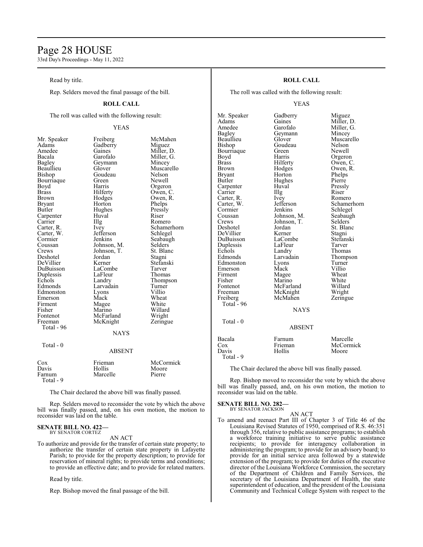# Page 28 HOUSE

33rd Day's Proceedings - May 11, 2022

Read by title.

Rep. Selders moved the final passage of the bill.

# **ROLL CALL**

The roll was called with the following result:

# YEAS

Miller, G.<br>Mincey

Muscarello<br>Nelson

Owen, R.<br>Phelps

Schamerhorn<br>Schlegel

Seabaugh<br>Selders

Stefanski<br>Tarver

Thompson<br>Turner

Wheat<br>White

| Mr. Speaker                                 |
|---------------------------------------------|
| Adams                                       |
| Amedee<br>Bacala                            |
|                                             |
| <b>Bagley</b>                               |
| Beaullieu                                   |
| Bishop                                      |
| Bourriaque                                  |
| Boart<br>Boyd<br>Brass                      |
|                                             |
| Brown                                       |
| <b>Bryant</b>                               |
| Butler                                      |
| Carpenter<br>Carrier<br>Carter, R.          |
|                                             |
|                                             |
| Carter, W.                                  |
| Cormier                                     |
|                                             |
| Coussan<br>Crews                            |
| Deshotel                                    |
| DeVillier                                   |
| DuBuisson                                   |
| Duplessis<br>Duplessis<br>Echols<br>Edmonds |
|                                             |
|                                             |
| Edmonston                                   |
| Emerson                                     |
| Firment                                     |
| r nnen<br>Fisher<br>Fontenot                |
|                                             |
| Freeman                                     |
| Total - 96                                  |
|                                             |
|                                             |

Total - 0

Freiberg McMahen<br>Gadberry Miguez Gadberry<br>Gaines Gaines Miller, D.<br>Garofalo Miller, G. Geymann<br>Glover Goudeau<br>Green Green Newell<br>Harris Orgero Harris Orgeron<br>Hilferty Owen, C Hilferty Owen, C.<br>Hodges Owen, R. Horton Phelps<br>Hughes Pressly Hughes Pressl<br>Huyal Riser Carpenter Huval Riser Illg Romero<br>Ivey Schame! Jefferson<br>Jenkins Johnson, M. Selders<br>Johnson, T. St. Blanc Johnson, T.<br>
Jordan Stagni Jordan<br>Kerner LaCombe Tarver<br>
LaFleur Thomas LaFleur<br>Landry Larvadain Turner<br>Lyons Villio Lyons<br>Mack Magee White<br>Marino Willard Marino Willard<br>
McFarland Wright McFarland Wright<br>
McKnight Zeringue McKnight **NAYS** 

#### ABSENT

| Cox<br>Davis<br>Farnum<br>Total - 9 | Frieman<br><b>Hollis</b><br>Marcelle | McCormick<br>Moore<br>Pierre |
|-------------------------------------|--------------------------------------|------------------------------|
|-------------------------------------|--------------------------------------|------------------------------|

The Chair declared the above bill was finally passed.

Rep. Selders moved to reconsider the vote by which the above bill was finally passed, and, on his own motion, the motion to reconsider was laid on the table.

# **SENATE BILL NO. 422—** BY SENATOR CORTEZ

#### AN ACT

To authorize and provide for the transfer of certain state property; to authorize the transfer of certain state property in Lafayette Parish; to provide for the property description; to provide for reservation of mineral rights; to provide terms and conditions; to provide an effective date; and to provide for related matters.

Read by title.

Rep. Bishop moved the final passage of the bill.

# **ROLL CALL**

The roll was called with the following result:

# YEAS

Mr. Speaker Gadberry Miguez<br>Adams Gaines Miller, 1 Adams Gaines Miller, D.<br>Amedee Garofalo Miller, G. Amedee Garofalo Miller, G.<br>Bagley Geymann Mincey Bagley Geymann<br>Beaullieu Glover Beaullieu Glover Muscarello<br>Bishop Goudeau Nelson Bourriaque Green<br>Boyd Harris Boyd Harris Orgeron<br>Brass Hilferty Owen, C Brass Hilferty Owen, C. Brown Hodges Owen, R.<br>Bryant Horton Phelps Bryant Horton Phelps<br>Butler Hughes Pierre Carpenter Huval Press<br>
Carrier IIIg Riser Carrier IIIg Riser<br>Carter, R. Ivey Romero Carter, R. Ivey<br>Carter, W. Jefferson Carter, W. Jefferson Schamerhorn<br>
Cormier Jenkins Schlegel Cormier Jenkins Schlegel<br>Coussan Johnson, M. Seabaugh Coussan Johnson, M. Seabaugh<br>Crews Johnson, T. Selders Crews Johnson, T.<br>Deshotel Jordan DeVillier Kerner Stagni Duplessis LaFleu<br>
Echols Landry Echols Landry Thomas<br>Edmonds Larvadain Thomps Edmonston Lyons Turner<br>
Emerson Mack Villio Emerson Mack Villio<br>Firment Magee Wheat Firment Magee Wheat<br>
Fisher Marino White Fisher Marino White<br>Fontenot McFarland Willard Fontenot McFarland Willard<br>Freeman McKnight Wright Freiberg McMahen Zeringue Total - 96  $Total - 0$ 

Goudeau Nelson<br>Green Newell Hughes Pierre<br>Huval Pressly Jordan St. Blanc<br>Kerner Stagni LaCombe Stefans<br>LaFleur Tarver Larvadain Thompson<br>
Lyons Turner

**NAYS** 

ABSENT

McKnight

# Bacala Farnum Marcelle<br>Cox Frieman McCormi Cox Frieman McCormick<br>Davis Hollis Moore Davis Hollis Moore Total - 9

The Chair declared the above bill was finally passed.

Rep. Bishop moved to reconsider the vote by which the above bill was finally passed, and, on his own motion, the motion to reconsider was laid on the table.

#### **SENATE BILL NO. 282—** BY SENATOR JACKSON

# AN ACT

To amend and reenact Part III of Chapter 3 of Title 46 of the Louisiana Revised Statutes of 1950, comprised of R.S. 46:351 through 356, relative to public assistance programs; to establish a workforce training initiative to serve public assistance recipients; to provide for interagency collaboration in administering the program; to provide for an advisory board; to provide for an initial service area followed by a statewide extension of the program; to provide for duties of the executive director of the Louisiana Workforce Commission, the secretary of the Department of Children and Family Services, the secretary of the Louisiana Department of Health, the state superintendent of education, and the president of the Louisiana Community and Technical College System with respect to the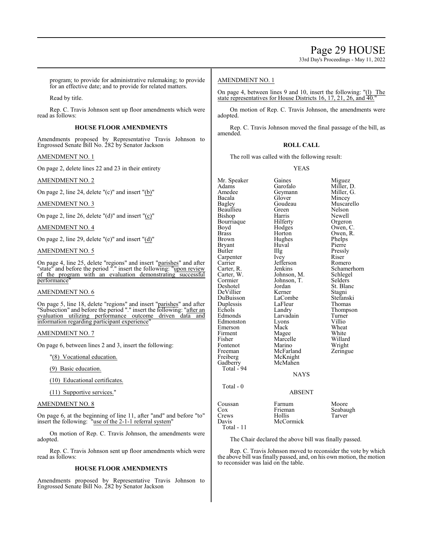33rd Day's Proceedings - May 11, 2022

program; to provide for administrative rulemaking; to provide for an effective date; and to provide for related matters.

Read by title.

Rep. C. Travis Johnson sent up floor amendments which were read as follows:

# **HOUSE FLOOR AMENDMENTS**

Amendments proposed by Representative Travis Johnson to Engrossed Senate Bill No. 282 by Senator Jackson

# AMENDMENT NO. 1

On page 2, delete lines 22 and 23 in their entirety

# AMENDMENT NO. 2

On page 2, line 24, delete "(c)" and insert "(b)"

AMENDMENT NO. 3

On page 2, line 26, delete "(d)" and insert "(c)"

AMENDMENT NO. 4

On page 2, line 29, delete "(e)" and insert "(d)"

AMENDMENT NO. 5

On page 4, line 25, delete "regions" and insert "parishes" and after "state" and before the period "." insert the following: "upon review" of the program with an evaluation demonstrating successful performance<sup>'</sup>

# AMENDMENT NO. 6

On page 5, line 18, delete "regions" and insert "parishes" and after "Subsection" and before the period "." insert the following: "after an evaluation utilizing performance outcome driven data and information regarding participant experience"

# AMENDMENT NO. 7

On page 6, between lines 2 and 3, insert the following:

"(8) Vocational education.

(9) Basic education.

(10) Educational certificates.

(11) Supportive services."

# AMENDMENT NO. 8

On page 6, at the beginning of line 11, after "and" and before "to" insert the following: "use of the 2-1-1 referral system"

On motion of Rep. C. Travis Johnson, the amendments were adopted.

Rep. C. Travis Johnson sent up floor amendments which were read as follows:

# **HOUSE FLOOR AMENDMENTS**

Amendments proposed by Representative Travis Johnson to Engrossed Senate Bill No. 282 by Senator Jackson

# AMENDMENT NO. 1

On page 4, between lines 9 and 10, insert the following: "(l) The state representatives for House Districts 16, 17, 21, 26, and 40.

On motion of Rep. C. Travis Johnson, the amendments were adopted.

Rep. C. Travis Johnson moved the final passage of the bill, as amended.

### **ROLL CALL**

The roll was called with the following result:

YEAS

Mr. Speaker Gaines Miguez<br>Adams Garofalo Miller. Adams Garofalo Miller, D.<br>Amedee Geymann Miller, G. Amedee Geymann<br>Bacala Glover Bacala Glover Mincey Beaullieu Green Nelson<br>Bishop Harris Newell Bishop Harris Newell Bourriaque Hilferty Orgeron<br>Boyd Hodges Owen, C Boyd Hodges Owen, C.<br>Brass Horton Owen, R. Brass Horton Owen, R.<br>Brown Hughes Phelps Phelps Hughes Phelps<br>Huval Pierre Bryant Huv<br>Butler IIIg Illg Pressly<br>Ivey Riser Carpenter Ivey Riser<br>Carrier Iefferson Romero Carrier Jefferson<br>Carter, R. Jenkins Carter, R. Jenkins Schamerhorn<br>Carter, W. Johnson, M. Schlegel Carter, W. Johnson, M. Schlege<br>Cormier Johnson, T. Selders Cormier Johnson, T.<br>Deshotel Jordan DeVillier DuBuisson LaCombe Stefanski<br>
Duplessis LaFleur Thomas Duplessis LaFleu<br>
Echols Landry Echols Landry Thompson<br>
Edmonds Larvadain Turner Larvadain Turner<br>Lyons Villio Edmonston Lyons Villio<br>
Emerson Mack Wheat Emerson Mack Wheat<br>
Firment Magee White Firment Magee White<br>
Fisher Marcelle Willard Fisher Marcelle<br>Fontenot Marino Fontenot Marino Wright<br>
Freeman McFarland Zeringue Freeman McFarland<br>Freiberg McKnight Freiberg McKnight<br>Gadberry McMahen McMahen Total - 94 **NAYS** Total - 0

Goudeau Muscarello<br>Green Nelson Jordan St. Blanc<br>Kerner Stagni

# ABSENT

| Coussan      | Farnum    | Moore    |
|--------------|-----------|----------|
| Cox          | Frieman   | Seabaugh |
| Crews        | Hollis    | Tarver   |
| Davis        | McCormick |          |
| Total - $11$ |           |          |

The Chair declared the above bill was finally passed.

Rep. C. Travis Johnson moved to reconsider the vote by which the above bill was finally passed, and, on his own motion, the motion to reconsider was laid on the table.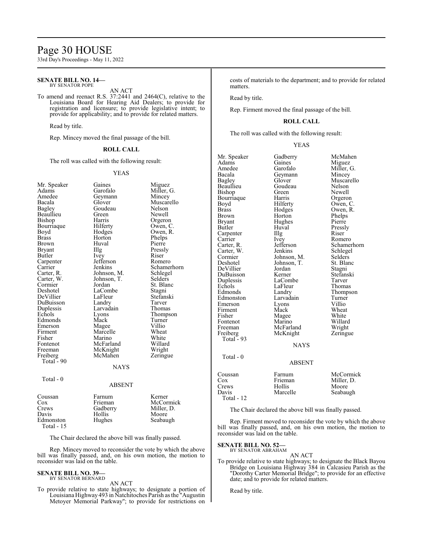# Page 30 HOUSE

33rd Day's Proceedings - May 11, 2022

#### **SENATE BILL NO. 14—** BY SENATOR POPE

## AN ACT

To amend and reenact R.S. 37:2441 and 2464(C), relative to the Louisiana Board for Hearing Aid Dealers; to provide for registration and licensure; to provide legislative intent; to provide for applicability; and to provide for related matters.

Read by title.

Rep. Mincey moved the final passage of the bill.

#### **ROLL CALL**

The roll was called with the following result:

#### YEAS

| Mr. Speaker  | Gaines        | Miguez      |
|--------------|---------------|-------------|
| Adams        | Garofalo      | Miller, G.  |
| Amedee       | Geymann       | Mincey      |
| Bacala       | Glover        | Muscarello  |
| Bagley       | Goudeau       | Nelson      |
| Beaullieu    | Green         | Newell      |
| Bishop       | Harris        | Orgeron     |
| Bourriaque   | Hilferty      | Owen, C.    |
| Boyd         | Hodges        | Owen, R.    |
| <b>Brass</b> | Horton        | Phelps      |
| <b>Brown</b> | Huval         | Pierre      |
| Bryant       | Illg          | Pressly     |
| Butler       | Ivey          | Riser       |
| Carpenter    | Jefferson     | Romero      |
| Carrier      | Jenkins       | Schamerhorn |
| Carter, R.   | Johnson, M.   | Schlegel    |
| Carter, W.   | Johnson, T.   | Selders     |
| Cormier      | Jordan        | St. Blanc   |
| Deshotel     | LaCombe       | Stagni      |
| DeVillier    | LaFleur       | Stefanski   |
| DuBuisson    | Landry        | Tarver      |
| Duplessis    | Larvadain     | Thomas      |
| Echols       | Lyons         | Thompson    |
| Edmonds      | Mack          | Turner      |
| Emerson      | Magee         | Villio      |
| Firment      | Marcelle      | Wheat       |
| Fisher       | Marino        | White       |
| Fontenot     | McFarland     | Willard     |
| Freeman      | McKnight      | Wright      |
| Freiberg     | McMahen       | Zeringue    |
| Total - 90   |               |             |
|              | <b>NAYS</b>   |             |
| Total - $0$  |               |             |
|              | <b>ABSENT</b> |             |
| Coussan      | Farnum        | Kerner      |
| Cox          | Frieman       | McCormick   |
| Crews        | Gadberry      | Miller, D.  |
| Davis        | Hollis        | Moore       |
| Edmonston    | Hughes        | Seabaugh    |
| Total - 15   |               |             |

The Chair declared the above bill was finally passed.

Rep. Mincey moved to reconsider the vote by which the above bill was finally passed, and, on his own motion, the motion to reconsider was laid on the table.

#### **SENATE BILL NO. 39—**

BY SENATOR BERNARD AN ACT

To provide relative to state highways; to designate a portion of Louisiana Highway493 in Natchitoches Parish as the "Augustin Metoyer Memorial Parkway"; to provide for restrictions on costs of materials to the department; and to provide for related matters.

Read by title.

Rep. Firment moved the final passage of the bill.

# **ROLL CALL**

The roll was called with the following result:

Mr. Speaker Gadberry McMahen<br>Adams Gaines Miguet

# YEAS

| Adams        | Gaines        | Miguez      |
|--------------|---------------|-------------|
| Amedee       | Garofalo      | Miller, G.  |
| Bacala       | Geymann       | Mincey      |
| Bagley       | Glover        | Muscarello  |
| Beaullieu    | Goudeau       | Nelson      |
| Bishop       | Green         | Newell      |
| Bourriaque   | Harris        | Orgeron     |
| Boyd         | Hilferty      | Owen, C.    |
| Brass        | Hodges        | Owen, R.    |
| <b>Brown</b> | Horton        | Phelps      |
| Bryant       | Hughes        | Pierre      |
| Butler       | Huval         | Pressly     |
| Carpenter    | Illg          | Riser       |
| Carrier      | Ivey          | Romero      |
| Carter, R.   | Jefferson     | Schamerhorn |
| Carter, W.   | Jenkins       | Schlegel    |
| Cormier      | Johnson, M.   | Selders     |
| Deshotel     | Johnson, T.   | St. Blanc   |
| DeVillier    | Jordan        | Stagni      |
| DuBuisson    | Kerner        | Stefanski   |
| Duplessis    | LaCombe       | Tarver      |
| Echols       | LaFleur       | Thomas      |
| Edmonds      | Landry        | Thompson    |
| Edmonston    | Larvadain     | Turner      |
| Emerson      | Lyons         | Villio      |
| Firment      | Mack          | Wheat       |
| Fisher       | Magee         | White       |
| Fontenot     | Marino        | Willard     |
| Freeman      | McFarland     | Wright      |
| Freiberg     | McKnight      | Zeringue    |
| Total $-93$  |               |             |
|              | <b>NAYS</b>   |             |
|              |               |             |
| Total - 0    |               |             |
|              | <b>ABSENT</b> |             |
| Coussan      | Farnum        | McCormick   |
| Cox          | Frieman       | Miller, D.  |
| Crews        | Hollis        | Moore       |
| Davis        | Marcelle      | Seabaugh    |
| Total - 12   |               |             |
|              |               |             |

The Chair declared the above bill was finally passed.

Rep. Firment moved to reconsider the vote by which the above bill was finally passed, and, on his own motion, the motion to reconsider was laid on the table.

**SENATE BILL NO. 52—**

BY SENATOR ABRAHAM AN ACT

To provide relative to state highways; to designate the Black Bayou Bridge on Louisiana Highway 384 in Calcasieu Parish as the "Dorothy Carter Memorial Bridge"; to provide for an effective date; and to provide for related matters.

Read by title.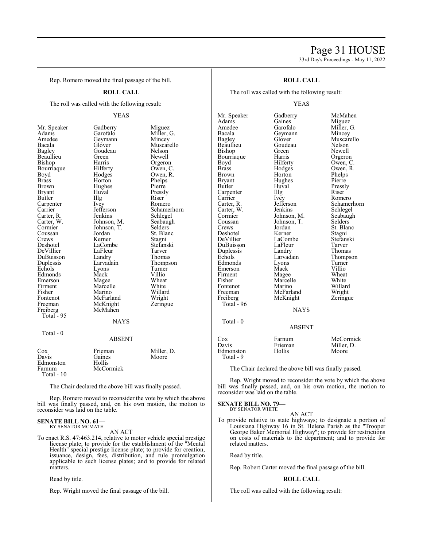# Page 31 HOUSE 33rd Day's Proceedings - May 11, 2022

Rep. Romero moved the final passage of the bill.

# **ROLL CALL**

The roll was called with the following result:

# YEAS

Gadberry Miguez<br>Garofalo Miller,

Green Newell<br>Harris Orgeror Harris Orgeron<br>Hilferty Owen, C Hilferty Owen, C.<br>Hodges Owen, R.

Huval Pressly<br>Illg Riser Illg Riser<br>Ivey Rome Ivey Romero<br>Jefferson Schamer Jefferson Schamerhorn<br>Jenkins Schlegel

Johnson, M. Seabaughten, T. Seabaughten, T. Seabaughten, T. Seabaughten, T. Seabaughten, T. Seabaughten, T. Seabaughten, T. Seabaughten, T. Seabaughten, T. Seabaughten, T. Seabaughten, T. Seabaughten, T. Seabaughten, T. Se

Jordan St. Blanc<br>Kerner Stagni

Landry Thomas<br>
Larvadain Thomps

Magee Wheat<br>
Marcelle White Marcelle White<br>
Marino Willard Marino Willard<br>
McFarland Wright McFarland Wright<br>
McKnight Zeringue

Miller, G.<br>Mincey

Muscarello<br>Nelson

Owen, R.<br>Phelps

Schlegel<br>Seabaugh

Stagni<br>Stefanski

Thompson<br>Turner

| Mr. Speaker   | Gadberry    | Migu        |
|---------------|-------------|-------------|
| Adams         | Garofalo    | Milleı      |
| Amedee        | Geymann     | Mince       |
| Bacala        | Glover      | <b>Musc</b> |
| Bagley        | Goudeau     | Nelso       |
| Beaullieu     | Green       | Newe        |
| Bishop        | Harris      | Orger       |
| Bourriaque    | Hilferty    | Owen        |
| Boyd          | Hodges      | Owen        |
| Brass         | Horton      | Phelp       |
| Brown         | Hughes      | Pierre      |
| <b>Bryant</b> | Huval       | Pressl      |
| Butler        | Illg        | Riser       |
| Carpenter     | Ivey        | Rome        |
| Carrier       | Jefferson   | Schan       |
| Carter, R.    | Jenkins     | Schle       |
| Carter, W.    | Johnson, M. | Seaba       |
| Cormier       | Johnson, T. | Seldei      |
| Coussan       | Jordan      | St. Bl      |
| Crews         | Kerner      | Stagn       |
| Deshotel      | LaCombe     | Stefar      |
| DeVillier     | LaFleur     | Tarve       |
| DuBuisson     | Landry      | Thom        |
| Duplessis     | Larvadain   | Thom        |
| Echols        | Lyons       | Turne       |
| Edmonds       | Mack        | Villio      |
| Emerson       | Magee       | Whea        |
| Firment       | Marcelle    | White       |
| Fisher        | Marino      | Willa       |
| Fontenot      | McFarland   | Wrigh       |
| Freeman       | McKnight    | Zering      |
| Freiberg      | McMahen     |             |
| Total - 95    |             |             |
|               | <b>NAVS</b> |             |

# NAYS

# Total - 0

| Cox        | Frieman   | Miller, D. |
|------------|-----------|------------|
| Davis      | Gaines    | Moore      |
| Edmonston  | Hollis    |            |
| Farnum     | McCormick |            |
| Total - 10 |           |            |

The Chair declared the above bill was finally passed.

Rep. Romero moved to reconsider the vote by which the above bill was finally passed, and, on his own motion, the motion to reconsider was laid on the table.

#### **SENATE BILL NO. 61—** BY SENATOR MCMATH

AN ACT

To enact R.S. 47:463.214, relative to motor vehicle special prestige license plate; to provide for the establishment of the "Mental Health" special prestige license plate; to provide for creation, issuance, design, fees, distribution, and rule promulgation applicable to such license plates; and to provide for related matters.

Read by title.

Rep. Wright moved the final passage of the bill.

# **ROLL CALL**

The roll was called with the following result:

# YEAS

Mr. Speaker Gadberry McMahen<br>Adams Gaines Miguez Adams Gaines Miguez<br>Amedee Garofalo Miller, Amedee Garofalo Miller, G.<br>Bacala Geymann Mincey Bacala Geymann<br>Bagley Glover Bagley Glover Muscarello<br>Beaullieu Goudeau Nelson Bishop Green Newell<br>Bourriaque Harris Orgeron Bourriaque Harris<br>Boyd Hilferty Brass Hodges Owen, R. Brown Horton Phelps Brown Horton Phelps<br>Bryant Hughes Pierre Bryant Hughes<br>Butler Huval Carpenter Illg<br>Carrier Ivey Carrier Ivey Romero<br>Carter, R. Jefferson Schamer Carter, W. Jenkins Schlegel<br>
Cormier Johnson, M. Seabaugh Cormier Johnson, M. Seabaughten<br>Coussan Johnson, T. Selders Coussan Johnson, T.<br>Crews Jordan Deshotel Kerner Stagni<br>
DeVillier LaCombe Stefanski DuBuisson LaFleur Tarver<br>
Duplessis Landry Thomas Duplessis Landry<br>Echols Larvadain Edmonds Lyons Turner<br>Emerson Mack Villio Emerson Mack Villio<br>Firment Magee Wheat Firment Magee Wheat<br>
Fisher Marcelle White Fontenot Marino Willard<br>Freeman McFarland Wright McFarland Freiberg McKnight Zeringue Total - 96  $Total - 0$ 

Goudeau Nelson<br>Green Newell Hilferty Owen, C.<br>Hodges Owen, R. Huval Pressly<br>Illg Riser Jefferson Schamerhorn<br>Jenkins Schlegel Jordan St. Blanc<br>Kerner Stagni LaCombe Stefans<br>LaFleur Tarver Larvadain Thompson<br>Lyons Turner Marcelle White<br>
Marino Willard

**NAYS** 

# ABSENT

| Cox       | Farnum  | McCormick  |
|-----------|---------|------------|
| Davis     | Frieman | Miller. D. |
| Edmonston | Hollis  | Moore      |
| Total - 9 |         |            |

The Chair declared the above bill was finally passed.

Rep. Wright moved to reconsider the vote by which the above bill was finally passed, and, on his own motion, the motion to reconsider was laid on the table.

#### **SENATE BILL NO. 79—** BY SENATOR WHITE

#### AN ACT

To provide relative to state highways; to designate a portion of Louisiana Highway 16 in St. Helena Parish as the "Trooper George Baker Memorial Highway"; to provide for restrictions on costs of materials to the department; and to provide for related matters.

Read by title.

Rep. Robert Carter moved the final passage of the bill.

# **ROLL CALL**

The roll was called with the following result: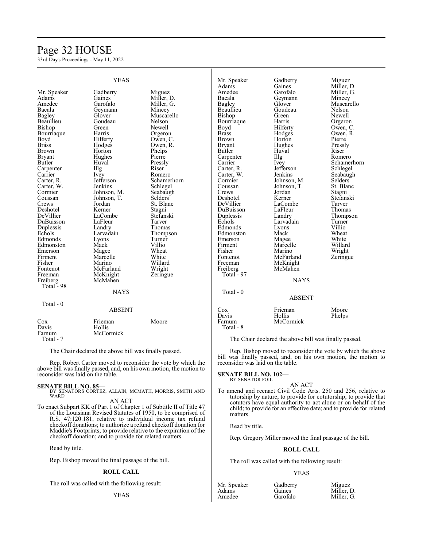# Page 32 HOUSE

33rd Day's Proceedings - May 11, 2022

|               | <b>YEAS</b>   |                | Mr. Speaker   | Gadberry<br>Gaines | Miguez               |
|---------------|---------------|----------------|---------------|--------------------|----------------------|
|               |               |                | Adams         |                    | Miller, D.           |
| Mr. Speaker   | Gadberry      | Miguez         | Amedee        | Garofalo           | Miller, G.           |
| Adams         | Gaines        | Miller, D.     | Bacala        | Geymann            | Mincey               |
| Amedee        | Garofalo      | Miller, G.     | <b>Bagley</b> | Glover             | Muscarello           |
| Bacala        | Geymann       | Mincey         | Beaullieu     | Goudeau            | Nelson               |
| Bagley        | Glover        | Muscarello     | Bishop        | Green              | Newell               |
| Beaullieu     | Goudeau       | Nelson         | Bourriaque    | Harris             | Orgeron              |
| Bishop        | Green         | <b>Newell</b>  | Boyd          | Hilferty           | Owen, C.             |
| Bourriaque    | Harris        | Orgeron        | <b>Brass</b>  | Hodges             | Owen, R.             |
| Boyd          | Hilferty      | Owen, C.       | <b>Brown</b>  | Horton             | Pierre               |
| <b>Brass</b>  | Hodges        | Owen, R.       | <b>Bryant</b> | Hughes             | Pressly              |
| <b>Brown</b>  | Horton        | Phelps         | Butler        | Huval              | Riser                |
| <b>Bryant</b> | Hughes        | Pierre         | Carpenter     | Illg               | Romero               |
| Butler        | Huval         | Pressly        | Carrier       | Ivey               | Schamerhorn          |
| Carpenter     | Illg          | Riser          | Carter, R.    | Jefferson          | Schlegel             |
| Carrier       | Ivey          | Romero         | Carter, W.    | Jenkins            | Seabaugh             |
| Carter, R.    | Jefferson     | Schamerhorn    | Cormier       | Johnson, M.        | Selders <sup>®</sup> |
| Carter, W.    | Jenkins       | Schlegel       | Coussan       | Johnson, T.        | St. Blanc            |
| Cormier       | Johnson, M.   | Seabaugh       | Crews         | Jordan             | Stagni               |
| Coussan       | Johnson, T.   | <b>Selders</b> | Deshotel      | Kerner             | Stefanski            |
| Crews         | Jordan        | St. Blanc      | DeVillier     | LaCombe            | Tarver               |
| Deshotel      | Kerner        | Stagni         | DuBuisson     | LaFleur            | Thomas               |
| DeVillier     | LaCombe       | Stefanski      | Duplessis     | Landry             | Thompson             |
| DuBuisson     | LaFleur       | Tarver         | Echols        | Larvadain          | Turner               |
| Duplessis     | Landry        | Thomas         | Edmonds       | Lyons              | Villio               |
| Echols        | Larvadain     | Thompson       | Edmonston     | Mack               | Wheat                |
| Edmonds       | Lyons         | Turner         | Emerson       | Magee              | White                |
| Edmonston     | Mack          | Villio         | Firment       | Marcelle           | Willard              |
| Emerson       | Magee         | Wheat          | Fisher        | Marino             | Wright               |
| Firment       | Marcelle      | White          | Fontenot      | McFarland          | Zeringue             |
| Fisher        | Marino        | Willard        | Freeman       | McKnight           |                      |
| Fontenot      | McFarland     | Wright         | Freiberg      | McMahen            |                      |
| Freeman       | McKnight      | Zeringue       | Total - 97    |                    |                      |
| Freiberg      | McMahen       |                |               | <b>NAYS</b>        |                      |
| Total - 98    |               |                |               |                    |                      |
|               | <b>NAYS</b>   |                | Total - 0     |                    |                      |
|               |               |                |               | <b>ABSENT</b>      |                      |
| Total - $0$   |               |                |               |                    |                      |
|               | <b>ABSENT</b> |                | Cox           | Frieman            | Moore                |
|               |               |                | Davis         | Hollis             | Phelps               |
| Cox           | Frieman       | Moore          | Farnum        | McCormick          |                      |
| Davis         | Hollis        |                | Total - 8     |                    |                      |
| Farnum        | McCormick     |                |               |                    |                      |

The Chair declared the above bill was finally passed.

Rep. Bishop moved to reconsider the vote by which the above bill was finally passed, and, on his own motion, the motion to reconsider was laid on the table.

# **SENATE BILL NO. 102—** BY SENATOR FOIL

AN ACT To amend and reenact Civil Code Arts. 250 and 256, relative to tutorship by nature; to provide for cotutorship; to provide that cotutors have equal authority to act alone or on behalf of the child; to provide for an effective date; and to provide for related matters.

Read by title.

Rep. Gregory Miller moved the final passage of the bill.

# **ROLL CALL**

The roll was called with the following result:

#### YEAS

| Mr. Speaker | Gadberry | Miguez     |
|-------------|----------|------------|
| Adams       | Gaines   | Miller, D. |
| Amedee      | Garofalo | Miller, G. |

Total - 7

The Chair declared the above bill was finally passed.

Rep. Robert Carter moved to reconsider the vote by which the above bill was finally passed, and, on his own motion, the motion to reconsider was laid on the table.

# **SENATE BILL NO. 85—**

BY SENATORS CORTEZ, ALLAIN, MCMATH, MORRIS, SMITH AND WARD AN ACT

To enact Subpart KK of Part 1 of Chapter 1 of Subtitle II of Title 47 of the Louisiana Revised Statutes of 1950, to be comprised of R.S. 47:120.181, relative to individual income tax refund checkoff donations; to authorize a refund checkoff donation for Maddie's Footprints; to provide relative to the expiration of the checkoff donation; and to provide for related matters.

Read by title.

Rep. Bishop moved the final passage of the bill.

## **ROLL CALL**

The roll was called with the following result:

#### YEAS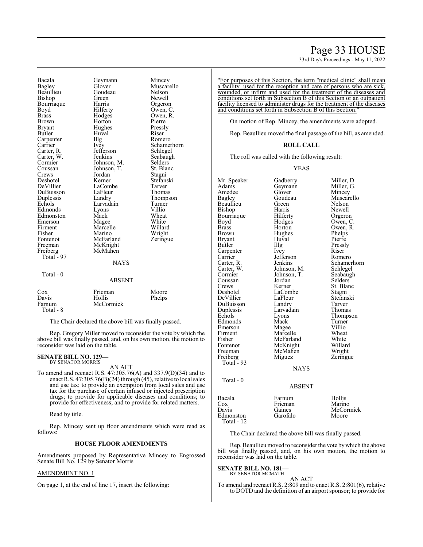# Page 33 HOUSE

33rd Day's Proceedings - May 11, 2022

Bacala Geymann Mincey Beaullieu Goude<br>Bishop Green Bourriaque Harris<br>Boyd Hilferty Brass Hodges Owen, R.<br>Brown Horton Pierre Bryant Hughes Pressl<br>Butler Huval Riser Carpenter Illg<br>Carrier Ivey Carrier Ivey Schamerhorn<br>Carter, R. Jefferson Schlegel Carter, W. Jenkins Seabaughter, Seabaughter Seabaughter<br>
Cormier Johnson, M. Selders Cormier Johnson, M. Selders<br>Coussan Johnson, T. St. Blanc Coussan Johnson, T. St. Blanch<br>Crews Jordan Stagni Crews Jordan<br>Deshotel Kerner Deshotel Kerner Stefanski DuBuisson LaFleur<br>Duplessis Landry Duplessis Landry Thompson<br>
Echols Larvadain Turner Edmonds Lyons Villio Edmonston Mack Wheat<br>
Emerson Magee White Emerson Magee White<br>
Firment Marcelle Willard Firment Marcelle<br>
Fisher Marino Fisher Marino Wright<br>
Fontenot McFarland Zeringu Fontenot McFarland Zeringue<br>Freeman McKnight Freeman McKnight<br>Freiberg McMahen Total - 97 Total - 0

Glover Muscarello<br>Goudeau Nelson Green Newell<br>Harris Orgeron Brown Horton Pierre Huval Riser<br>Illg Romero Jefferson Schlegel<br>Jenkins Seabaugh LaCombe Tarver<br>
LaFleur Thomas Larvadain Turner<br>
Lyons Villio McMahen **NAYS** ABSENT

Owen, C.

|                                     | . . <i>.</i>                   |                 |
|-------------------------------------|--------------------------------|-----------------|
| Cox<br>Davis<br>Farnum<br>Total - 8 | Frieman<br>Hollis<br>McCormick | Moore<br>Phelps |
|                                     |                                |                 |

The Chair declared the above bill was finally passed.

Rep. Gregory Miller moved to reconsider the vote by which the above bill was finally passed, and, on his own motion, the motion to reconsider was laid on the table.

#### **SENATE BILL NO. 129—** BY SENATOR MORRIS

AN ACT

To amend and reenact R.S. 47:305.76(A) and 337.9(D)(34) and to enact R.S.  $47:305.76(B)(24)$  through  $(45)$ , relative to local sales and use tax; to provide an exemption from local sales and use tax for the purchase of certain infused or injected prescription drugs; to provide for applicable diseases and conditions; to provide for effectiveness; and to provide for related matters.

Read by title.

Rep. Mincey sent up floor amendments which were read as follows:

# **HOUSE FLOOR AMENDMENTS**

Amendments proposed by Representative Mincey to Engrossed Senate Bill No. 129 by Senator Morris

# AMENDMENT NO. 1

On page 1, at the end of line 17, insert the following:

"For purposes of this Section, the term "medical clinic" shall mean a facility used for the reception and care of persons who are sick, wounded, or infirm and used for the treatment of the diseases and conditions set forth in Subsection B of this Section or an outpatient facility licensed to administer drugs for the treatment of the diseases and conditions set forth in Subsection B of this Section.

On motion of Rep. Mincey, the amendments were adopted.

Rep. Beaullieu moved the final passage of the bill, as amended.

# **ROLL CALL**

The roll was called with the following result:

#### YEAS

Mr. Speaker Gadberry Miller, D.<br>Adams Geymann Miller, G. Geymann Miller,<br>Glover Mincev Amedee Glover<br>Bagley Goudeau Goudeau Muscarello<br>Green Nelson Beaullieu Green Nelson<br>Bishop Harris Newell Bishop Harris Newell<br>Bourriaque Hilferty Orgeron Bourriaque Hilferty<br>Boyd Hodges Boyd Hodges Owen, C. Brass Horton Owen, R.<br>Brown Hughes Phelps Phelps Brown Hughes Phelps<br>Bryant Huyal Pierre Bryant Huval Pierre Butler IIIg Pressly<br>Carpenter Ivey Riser Carpenter Ivey Riser<br>Carrier Jefferson Romero Carrier Jefferson<br>Carter, R. Jenkins Carter, R. Jenkins Schamerhorn<br>Carter, W. Johnson, M. Schlegel Carter, W. Johnson, M. Schlegel<br>Cormier Johnson, T. Seabaugh Johnson, T. Seabaughter Seabaughter Seabaughter Seabaughter Seabaughter Seabaughter Seabaughter Seabaughter Seabaughter Seabaughter Seabaughter Seabaughter Seabaughter Seabaughter Seabaughter Seabaughter Seabaughter Seabau Coussan Jordan<br>Crews Kerner Crews Kerner St. Blanc<br>Deshotel LaCombe Stagni LaCombe<br>LaFleur Stagni<br>Stefanski DeVillier LaFleur Stefans<br>DuBuisson Landry Tarver DuBuisson Landry Tarver<br>
Duplessis Larvadain Thomas Duplessis Larvadain<br>
Echols Lyons Eyons Thompson<br>
Mack Turner Edmonds Mack Turner<br>Emerson Magee Villio Emerson Magee Villio<br>Firment Marcelle Wheat Firment Marcelle Wheat<br>Fisher McFarland White Fisher McFarland White<br>Fontenot McKnight Willard Fontenot McKnight Willard McMahen Wright<br>
Miguez Zeringue Freiberg Total  $-93$ NAYS Total - 0 ABSENT Bacala Farnum<br>Cox Frieman Cox Frieman<br>Davis Gaines Gaines<br>Garofalo

| Hollis    |
|-----------|
| Marino    |
| McCormick |
| Moore     |

Edmonston Total - 12

The Chair declared the above bill was finally passed.

Rep. Beaullieu moved to reconsider the vote bywhich the above bill was finally passed, and, on his own motion, the motion to reconsider was laid on the table.

#### **SENATE BILL NO. 181—** BY SENATOR MCMATH

AN ACT

To amend and reenact R.S. 2:809 and to enact R.S. 2:801(6), relative to DOTD and the definition of an airport sponsor; to provide for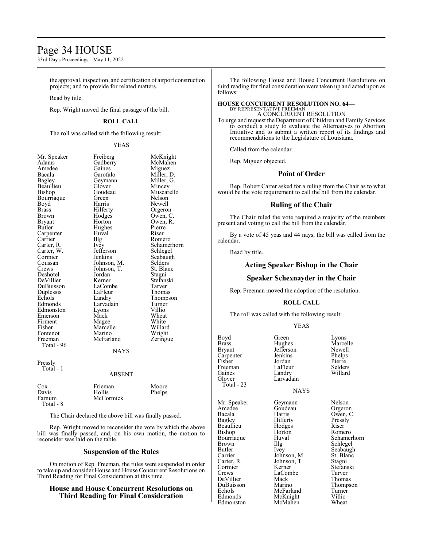# Page 34 HOUSE

33rd Day's Proceedings - May 11, 2022

the approval, inspection, and certification of airport construction projects; and to provide for related matters.

Read by title.

Rep. Wright moved the final passage of the bill.

# **ROLL CALL**

The roll was called with the following result:

#### YEAS

| Mr. Speaker<br>Adams<br>Amedee<br>Bacala<br>Bagley<br>Beaullieu<br>Bishop<br>Bourriaque<br>Boyd<br>Brass<br>Brown<br><b>Bryant</b><br>Butler<br>Carpenter<br>Carrier<br>Carter, R.<br>Carter, W.<br>Cormier<br>Coussan<br>Crews<br>Deshotel<br>DeVillier<br>DuBuisson<br>Duplessis<br>Echols<br>Edmonds<br>Edmonston<br>Emerson<br>Firment<br>Fisher<br>Fontenot<br>Freeman<br>Total - 96 | Freiberg<br>Gadberry<br>Gaines<br>Garofalo<br>Geymann<br>Glover<br>Goudeau<br>Green<br>Harris<br>Hilferty<br>Hodges<br>Horton<br>Hughes<br>Huval<br>Illg<br>Ivey<br>Jefferson<br>Jenkins<br>Johnson, M.<br>Johnson, T.<br>Jordan<br>Kerner<br>LaCombe<br>LaFleur<br>Landry<br>Larvadain<br>Lyons<br>Mack<br>Magee<br>Marcelle<br>Marino<br>McFarland | McKnight<br>McMahen<br>Miguez<br>Miller, D.<br>Miller, G.<br>Mincey<br>Muscarello<br>Nelson<br>Newell<br>Orgeron<br>Owen, C.<br>Owen, R.<br>Pierre<br>Riser<br>Romero<br>Schamerhorn<br>Schlegel<br>Seabaugh<br>Selders<br>St. Blanc<br>Stagni<br>Stefanski<br>Tarver<br>Thomas<br>Thompson<br>Turner<br>Villio<br>Wheat<br>White<br>Willard<br>Wright<br>Zeringue |
|-------------------------------------------------------------------------------------------------------------------------------------------------------------------------------------------------------------------------------------------------------------------------------------------------------------------------------------------------------------------------------------------|------------------------------------------------------------------------------------------------------------------------------------------------------------------------------------------------------------------------------------------------------------------------------------------------------------------------------------------------------|--------------------------------------------------------------------------------------------------------------------------------------------------------------------------------------------------------------------------------------------------------------------------------------------------------------------------------------------------------------------|
|                                                                                                                                                                                                                                                                                                                                                                                           | <b>NAYS</b>                                                                                                                                                                                                                                                                                                                                          |                                                                                                                                                                                                                                                                                                                                                                    |
| Pressly<br>Total - 1                                                                                                                                                                                                                                                                                                                                                                      | <b>ABSENT</b>                                                                                                                                                                                                                                                                                                                                        |                                                                                                                                                                                                                                                                                                                                                                    |
| Cox<br>Davis<br>Farnum<br>Total - 8                                                                                                                                                                                                                                                                                                                                                       | Frieman<br>Hollis<br>McCormick                                                                                                                                                                                                                                                                                                                       | Moore<br>Phelps                                                                                                                                                                                                                                                                                                                                                    |

The Chair declared the above bill was finally passed.

Rep. Wright moved to reconsider the vote by which the above bill was finally passed, and, on his own motion, the motion to reconsider was laid on the table.

# **Suspension of the Rules**

On motion of Rep. Freeman, the rules were suspended in order to take up and consider House and House Concurrent Resolutions on Third Reading for Final Consideration at this time.

# **House and House Concurrent Resolutions on Third Reading for Final Consideration**

The following House and House Concurrent Resolutions on third reading for final consideration were taken up and acted upon as follows:

#### **HOUSE CONCURRENT RESOLUTION NO. 64—** BY REPRESENTATIVE FREEMAN

A CONCURRENT RESOLUTION

To urge and request the Department of Children and Family Services to conduct a study to evaluate the Alternatives to Abortion Initiative and to submit a written report of its findings and recommendations to the Legislature of Louisiana.

Called from the calendar.

Rep. Miguez objected.

# **Point of Order**

Rep. Robert Carter asked for a ruling from the Chair as to what would be the vote requirement to call the bill from the calendar.

# **Ruling of the Chair**

The Chair ruled the vote required a majority of the members present and voting to call the bill from the calendar.

By a vote of 45 yeas and 44 nays, the bill was called from the calendar.

Read by title.

# **Acting Speaker Bishop in the Chair**

# **Speaker Schexnayder in the Chair**

Rep. Freeman moved the adoption of the resolution.

# **ROLL CALL**

The roll was called with the following result:

### YEAS

Hughes Marcelle<br>Jefferson Newell Jefferson Newell<br>Jenkins Phelps Jenkins Phelps<br>Jordan Pierre Jordan Pierre<br>LaFleur Selders LaFleur Selders<br>Landry Willard

| Boyd         | Green        | Lyons              |
|--------------|--------------|--------------------|
| <b>Brass</b> | Hughes       | Marce              |
| Bryant       | Jefferson    | Newel              |
| Carpenter    | Jenkins      | Phelps             |
| Fisher       | Jordan       | Pierre             |
| Freeman      | LaFleur      | Selder             |
| Gaines       | Landry       | Willar             |
| Glover       | Larvadain    |                    |
| Total - 23   |              |                    |
|              | <b>NAYS</b>  |                    |
| Mr. Speaker  | Geymann      | Nelso <sub>1</sub> |
| Amedee       | Goudeau      | Orger              |
| Bacala       | Harris       | Owen               |
| Bagley       | Hilferty     | Pressl             |
| Beaullieu    | Hodges       | Riser              |
| Bishop       | Horton       | Rome:              |
| Bourriaque   | Huval        | Schan              |
| Brown        | Illg         | Schleg             |
| Butler       | Ivey         | Seaba              |
| Carrier      | Johnson, M.  | St. Bla            |
| Carter, R.   | Johnson, T.  | Stagni             |
| Cormier      | Kerner       | Stefan             |
| Crews        | LaCombe      | Tarver             |
| DeVillier    | Mack         | Thom               |
| DuBuisson    | Marino       | Thom               |
| Echols       | McFarland    | Turne              |
| Edmonds      | $Mc$ K night | Villio             |

Edmonston

Geymann Nelson<br>Goudeau Orgeron Goudeau<br>Harris Hilferty Pressl<br>Hodges Riser Hodges<br>Horton Horton Romero<br>Huval Schamer Illg Schlegel<br>Ivey Seabaugh Johnson, M. St. Bla<br>Johnson, T. Stagni Johnson, T.<br>Kerner LaCombe<br>Mack Mack Thomas<br>
Marino Thomps McFarland Turne<br>
McKnight Villio McKnight Villio<br>
McMahen Wheat

Owen, C.<br>Pressly Huval Schamerhorn<br>Illg Schlegel Seabaugh<br>St. Blanc Stefanski<br>Tarver Thompson<br>Turner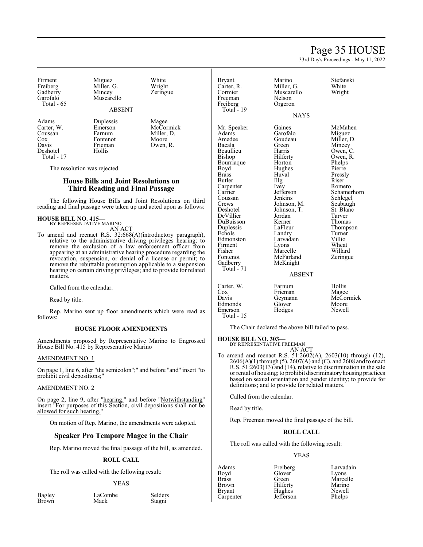# Page 35 HOUSE

33rd Day's Proceedings - May 11, 2022

Firment Miguez White<br>
Freiberg Miller, G. Wright Gadberry<br>Garofalo Total - 65

Miller, G. Wright<br>Mincey Zeringue Muscarello

# ABSENT

Deshotel Total - 17

Carter, W. Emerson McCormick<br>Coussan Farnum Miller, D. Coussan Farnum Miller, D. Cox Fontenot<br>Davis Frieman

Adams Duplessis Magee<br>Carter, W. Emerson McCor

The resolution was rejected.

# **House Bills and Joint Resolutions on Third Reading and Final Passage**

Frieman Owen, R.<br>Hollis

The following House Bills and Joint Resolutions on third reading and final passage were taken up and acted upon as follows:

#### **HOUSE BILL NO. 415—** BY REPRESENTATIVE MARINO

AN ACT

To amend and reenact R.S. 32:668(A)(introductory paragraph), relative to the administrative driving privileges hearing; to remove the exclusion of a law enforcement officer from appearing at an administrative hearing procedure regarding the revocation, suspension, or denial of a license or permit; to remove the rebuttable presumption applicable to a suspension hearing on certain driving privileges; and to provide for related matters.

Called from the calendar.

Read by title.

Rep. Marino sent up floor amendments which were read as follows:

# **HOUSE FLOOR AMENDMENTS**

Amendments proposed by Representative Marino to Engrossed House Bill No. 415 by Representative Marino

#### AMENDMENT NO. 1

On page 1, line 6, after "the semicolon";" and before "and" insert "to prohibit civil depositions;"

# AMENDMENT NO. 2

On page 2, line 9, after "hearing." and before "Notwithstanding" insert "For purposes of this Section, civil depositions shall not be allowed for such hearing."

On motion of Rep. Marino, the amendments were adopted.

# **Speaker Pro Tempore Magee in the Chair**

Rep. Marino moved the final passage of the bill, as amended.

# **ROLL CALL**

The roll was called with the following result:

#### YEAS

Stagni

Bagley LaCombe Selders<br>Brown Mack Stagni

Freiberg Total - 19

Bryant Marino Stefanski<br>Carter R. Miller G. White Carter, R. Miller, G. White Muscarello<br>Nelson Freeman Nelson<br>Freiberg Orgeron

**NAYS** 

Adams Garofalo Miguez<br>Amedee Goudeau Miller. D. Amedee Goudeau<br>Bacala Green Beaullieu Harris<br>Bishop Hilferty Bourriaque Boyd Hughes Pierre<br>Brass Huval Pressl Butler IIIg Riser Carpenter Ivev Romero Carpenter Ivey<br>Carrier Iefferson Coussan Jenkins Schlegel<br>Crews Johnson, M. Seabaugh Crews Johnson, M. Seabaugh<br>Deshotel Johnson, T. St. Blanc DeVillier Jordan Tarver DuBuisson Kerner<br>
Duplessis LaFleur Echols Landry Turner<br>Edmonston Larvadain Villio Edmonston Larvadain Villio Firment Lyons Wheat<br>
Fisher Marcelle Willard Fisher Marcelle Willard<br>Fontenot McFarland Zeringue Fontenot McFarland<br>Gadberry McKnight

Huval Pressly<br>Illg Riser Johnson, T. St. Blanch<br>Iordan Tarver McKnight

Mr. Speaker Gaines McMahen<br>Adams Garofalo Miguez Green Mincey<br>Harris Owen, C. Hilferty Owen, R.<br>Horton Phelps Jefferson Schamerhorn<br>Jenkins Schlegel Duplessis LaFleur Thompson

### ABSENT

Carter, W. Farnum Hollis<br>Cox Frieman Mages Cox Frieman Magee<br>
Davis Geymann McCormick Geymann McCor<br>Glover Moore Edmonds Glover Moore<br>
Emerson Hodges Newell Emerson Total - 15

The Chair declared the above bill failed to pass.

### **HOUSE BILL NO. 303—**

Total - 71

BY REPRESENTATIVE FREEMAN AN ACT

To amend and reenact R.S. 51:2602(A), 2603(10) through (12), 2606(A)(1) through (5), 2607(A) and (C), and 2608 and to enact R.S. 51:2603(13) and (14), relative to discrimination in the sale or rental of housing; to prohibit discriminatoryhousing practices based on sexual orientation and gender identity; to provide for definitions; and to provide for related matters.

Called from the calendar.

Read by title.

Rep. Freeman moved the final passage of the bill.

# **ROLL CALL**

The roll was called with the following result:

# YEAS

Boyd Glover<br>Brass Green Bryant Hughes Newell<br>Carpenter Jefferson Phelps Carpenter

Adams Freiberg Larvadain<br>Boyd Glover Lyons Brass Green Marcelle<br>Brown Hilferty Marino Hilferty<br>
Hughes Newell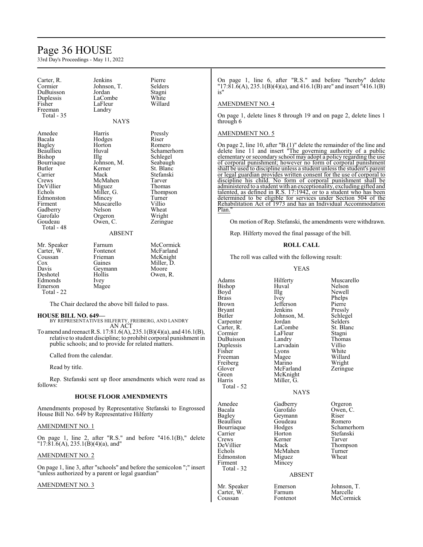# Page 36 HOUSE

33rd Day's Proceedings - May 11, 2022

| Carter, R.  | Jenkins       | Pierre      |
|-------------|---------------|-------------|
| Cormier     | Johnson, T.   | Selders     |
| DuBuisson   | Jordan        | Stagni      |
| Duplessis   | LaCombe       | White       |
| Fisher      | LaFleur       | Willard     |
| Freeman     | Landry        |             |
| Total - 35  |               |             |
|             | <b>NAYS</b>   |             |
| Amedee      | Harris        | Pressly     |
| Bacala      | Hodges        | Riser       |
| Bagley      | Horton        | Romero      |
| Beaullieu   | Huval         | Schamerhorn |
| Bishop      | Illg          | Schlegel    |
| Bourriaque  | Johnson, M.   | Seabaugh    |
| Butler      | Kerner        | St. Blanc   |
| Carrier     | Mack          | Stefanski   |
| Crews       | McMahen       | Tarver      |
| DeVillier   | Miguez        | Thomas      |
| Echols      | Miller, G.    | Thompson    |
| Edmonston   | Mincey        | Turner      |
| Firment     | Muscarello    | Villio      |
| Gadberry    | Nelson        | Wheat       |
| Garofalo    | Orgeron       | Wright      |
| Goudeau     | Owen, C.      | Zeringue    |
| Total - 48  |               |             |
|             | <b>ABSENT</b> |             |
| Mr. Speaker | Farnum        | McCormick   |
| Carter, W.  | Fontenot      | McFarland   |
| Coussan     | Frieman       | McKnight    |
| Cox         | Gaines        | Miller, D.  |
| Davis       | Geymann       | Moore       |
| Deshotel    | Hollis        | Owen, R.    |
| Edmonds     | Ivey          |             |
| Emerson     | Magee         |             |
| Total - 22  |               |             |

The Chair declared the above bill failed to pass.

# **HOUSE BILL NO. 649—**

BY REPRESENTATIVES HILFERTY, FREIBERG, AND LANDRY AN ACT

To amend and reenact R.S. 17:81.6(A), 235.1(B)(4)(a), and 416.1(B), relative to student discipline; to prohibit corporal punishment in public schools; and to provide for related matters.

Called from the calendar.

Read by title.

Rep. Stefanski sent up floor amendments which were read as follows:

# **HOUSE FLOOR AMENDMENTS**

Amendments proposed by Representative Stefanski to Engrossed House Bill No. 649 by Representative Hilferty

# AMENDMENT NO. 1

On page 1, line 2, after "R.S." and before "416.1(B)," delete "17:81.6(A), 235.1(B)(4)(a), and"

# AMENDMENT NO. 2

On page 1, line 3, after "schools" and before the semicolon ";" insert "unless authorized by a parent or legal guardian"

# AMENDMENT NO. 3

On page 1, line 6, after "R.S." and before "hereby" delete "17:81.6(A), 235.1(B)(4)(a), and 416.1(B) are" and insert "416.1(B) is"

# AMENDMENT NO. 4

On page 1, delete lines 8 through 19 and on page 2, delete lines 1 through 6

# AMENDMENT NO. 5

On page 2, line 10, after "B.(1)" delete the remainder of the line and delete line 11 and insert "The governing authority of a public elementary or secondary school may adopt a policy regarding the use of corporal punishment; however no form of corporal punishment shall be used to discipline unless a student unless the student's parent or legal guardian provides written consent for the use of corporal to discipline his child. No form of corporal punishment shall be administered to a student with an exceptionality, excluding gifted and talented, as defined in R.S. 17:1942, or to a student who has been determined to be eligible for services under Section 504 of the Rehabilitation Act of 1973 and has an Individual Accommodation Plan."

On motion of Rep. Stefanski, the amendments were withdrawn.

Rep. Hilferty moved the final passage of the bill.

# **ROLL CALL**

The roll was called with the following result:

YEAS

| Adams<br>Bishop<br>Boyd<br>Brass<br>Brown<br>Bryant<br>Butler<br>Carpenter<br>Carter, R.<br>Cormier<br>DuBuisson<br>Duplessis<br>Fisher<br>Freeman<br>Freiberg<br>Glover<br>Green<br>Harris<br>Total - 52 | Hilferty<br>Huval<br>Illg<br>Ivey<br>Jefferson<br>Jenkins<br>Johnson, M.<br>Jordan<br>LaCombe<br>LaFleur<br>Landry<br>Larvadain<br>Lyons<br>Magee<br>Marino<br>McFarland<br>McKnight<br>Miller, G.<br><b>NAYS</b> | Muscarello<br>Nelson<br>Newell<br>Phelps<br>Pierre<br>Pressly<br>Schlegel<br>Selders<br>St. Blanc<br>Stagni<br>Thomas<br>Villio<br>White<br>Willard<br>Wright<br>Zeringue |
|-----------------------------------------------------------------------------------------------------------------------------------------------------------------------------------------------------------|-------------------------------------------------------------------------------------------------------------------------------------------------------------------------------------------------------------------|---------------------------------------------------------------------------------------------------------------------------------------------------------------------------|
| Amedee<br>Bacala<br>Bagley<br>Beaullieu<br>Bourriaque<br>Carrier<br>Crews<br>DeVillier<br>Echols<br>Edmonston<br>Firment<br>Total - 32                                                                    | Gadberry<br>Garofalo<br>Geymann<br>Goudeau<br>Hodges<br>Horton<br>Kerner<br>Mack<br>McMahen<br>Miguez<br>Mincey<br><b>ABSENT</b>                                                                                  | Orgeron<br>Owen, C.<br>Riser<br>Romero<br>Schamerhorn<br>Stefanski<br>Tarver<br>Thompson<br>Turner<br>Wheat                                                               |
| Mr. Speaker<br>Carter, W.<br>Coussan                                                                                                                                                                      | Emerson<br>Farnum<br>Fontenot                                                                                                                                                                                     | Johnson, T.<br>Marcelle<br>McCormick                                                                                                                                      |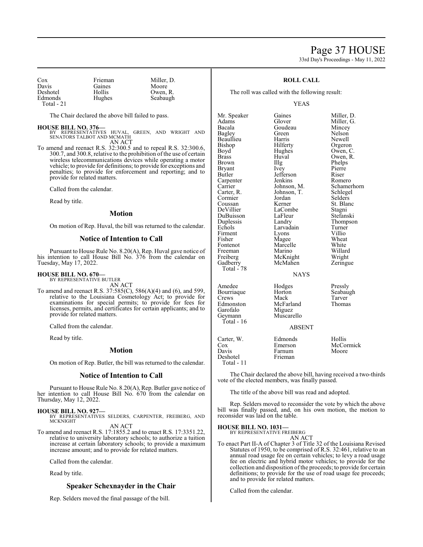# Page 37 HOUSE 33rd Day's Proceedings - May 11, 2022

| Cox        | Frieman | Miller, D. |
|------------|---------|------------|
| Davis      | Gaines  | Moore      |
| Deshotel   | Hollis  | Owen, R.   |
| Edmonds    | Hughes  | Seabaugh   |
| Total - 21 |         |            |

The Chair declared the above bill failed to pass.

**HOUSE BILL NO. 376—** BY REPRESENTATIVES HUVAL, GREEN, AND WRIGHT AND SENATORS TALBOT AND MCMATH AN ACT

To amend and reenact R.S. 32:300.5 and to repeal R.S. 32:300.6, 300.7, and 300.8, relative to the prohibition of the use of certain wireless telecommunications devices while operating a motor vehicle; to provide for definitions; to provide for exceptions and penalties; to provide for enforcement and reporting; and to provide for related matters.

Called from the calendar.

Read by title.

# **Motion**

On motion of Rep. Huval, the bill was returned to the calendar.

# **Notice of Intention to Call**

Pursuant to House Rule No. 8.20(A), Rep. Huval gave notice of his intention to call House Bill No. 376 from the calendar on Tuesday, May 17, 2022.

# **HOUSE BILL NO. 670—**

BY REPRESENTATIVE BUTLER

AN ACT To amend and reenact R.S. 37:585(C), 586(A)(4) and (6), and 599, relative to the Louisiana Cosmetology Act; to provide for examinations for special permits; to provide for fees for licenses, permits, and certificates for certain applicants; and to provide for related matters.

Called from the calendar.

Read by title.

# **Motion**

On motion of Rep. Butler, the bill was returned to the calendar.

# **Notice of Intention to Call**

Pursuant to House Rule No. 8.20(A), Rep. Butler gave notice of her intention to call House Bill No. 670 from the calendar on Thursday, May 12, 2022.

**HOUSE BILL NO. 927—** BY REPRESENTATIVES SELDERS, CARPENTER, FREIBERG, AND MCKNIGHT AN ACT

To amend and reenact R.S. 17:1855.2 and to enact R.S. 17:3351.22, relative to university laboratory schools; to authorize a tuition increase at certain laboratory schools; to provide a maximum increase amount; and to provide for related matters.

Called from the calendar.

Read by title.

# **Speaker Schexnayder in the Chair**

Rep. Selders moved the final passage of the bill.

# **ROLL CALL**

The roll was called with the following result:

### YEAS

Mr. Speaker Gaines Miller, D.<br>Adams Glover Miller, G. Adams Glover Miller, G. Bacala Goudeau<br>Bagley Green Beaullieu Harris<br>Bishop Hilferty Bishop Hilferty Orgeron<br>Boyd Hughes Owen, C Boyd Hughes Owen, C.<br>Brass Huval Owen, R. Brass Huval Owen, R.<br>Brown Illg Phelps Bryant Ivey Pierre Carpenter Jenkins Romero<br>
Carrier Johnson, M. Schamerhorn Carrier Johnson, M. Schamer<br>Carter, R. Johnson, T. Schlegel Cormier Jordan<br>Coussan Kerner Coussan Kerner St. Blanc<br>DeVillier LaCombe Stagni DeVillier LaCombe<br>DuBuisson LaFleur DuBuisson LaFleur Stefanski Duplessis Landry Thompson<br>
Echols Larvadain Turner Firment Lyons Villio<br>Fisher Magee Wheat Fisher Magee Wheat<br>Fontenot Marcelle White Fontenot Marcelle<br>Freeman Marino Freeman Marino Willard<br>
Freiberg McKnight Wright Freiberg McKnight Wright<br>Gadberry McMahen Zeringue Total - 78 Total - 16

Green Nelson<br>Harris Newell Jefferson Riser<br>Jenkins Romero Johnson, T. Schlege<br>Jordan Selders Larvadain Turner<br>Lyons Villio McMahen

Phelps

# NAYS

Amedee Hodges Pressly<br>Bourriaque Horton Seabaugh Bourriaque Horton Seabau<br>Crews Mack Tarver Crews Mack Tarver Edmonston McFarland Thomas Garofalo Miguez<br>Geymann Muscare Muscarello

# ABSENT

| Carter, W. | Edmonds | Hollis    |
|------------|---------|-----------|
| Cox        | Emerson | McCormick |
| Davis      | Farnum  | Moore     |
| Deshotel   | Frieman |           |
| Total - 11 |         |           |

The Chair declared the above bill, having received a two-thirds vote of the elected members, was finally passed.

The title of the above bill was read and adopted.

Rep. Selders moved to reconsider the vote by which the above bill was finally passed, and, on his own motion, the motion to reconsider was laid on the table.

# **HOUSE BILL NO. 1031—** BY REPRESENTATIVE FREIBERG

AN ACT

To enact Part II-A of Chapter 3 of Title 32 of the Louisiana Revised Statutes of 1950, to be comprised of R.S. 32:461, relative to an annual road usage fee on certain vehicles; to levy a road usage fee on electric and hybrid motor vehicles; to provide for the collection and disposition of the proceeds; to provide for certain definitions; to provide for the use of road usage fee proceeds; and to provide for related matters.

Called from the calendar.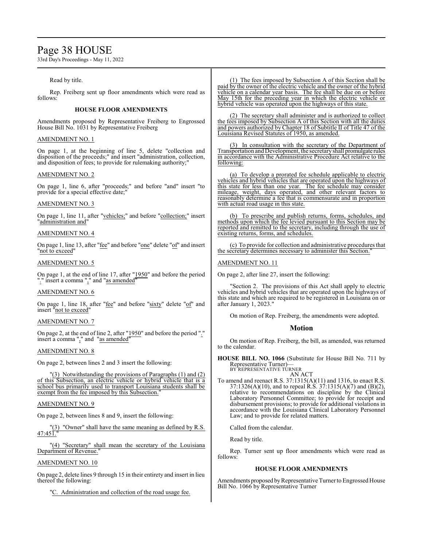# Page 38 HOUSE

33rd Day's Proceedings - May 11, 2022

# Read by title.

Rep. Freiberg sent up floor amendments which were read as follows:

# **HOUSE FLOOR AMENDMENTS**

Amendments proposed by Representative Freiberg to Engrossed House Bill No. 1031 by Representative Freiberg

# AMENDMENT NO. 1

On page 1, at the beginning of line 5, delete "collection and disposition of the proceeds;" and insert "administration, collection, and disposition of fees; to provide for rulemaking authority;"

# AMENDMENT NO. 2

On page 1, line 6, after "proceeds;" and before "and" insert "to provide for a special effective date;

# AMENDMENT NO. 3

On page 1, line 11, after "vehicles;" and before "collection;" insert "administration and"

# AMENDMENT NO. 4

On page 1, line 13, after "fee" and before "one" delete "of" and insert "not to exceed"

# AMENDMENT NO. 5

On page 1, at the end of line 17, after "1950" and before the period "." insert a comma "," and "as amended"

# AMENDMENT NO. 6

On page 1, line 18, after "fee" and before "sixty" delete "of" and insert "not to exceed"

# AMENDMENT NO. 7

On page 2, at the end of line 2, after "1950" and before the period "." insert a comma "," and "as amended"

# AMENDMENT NO. 8

On page 2, between lines 2 and 3 insert the following:

"(3) Notwithstanding the provisions of Paragraphs (1) and (2) of this Subsection, an electric vehicle or hybrid vehicle that is a school bus primarily used to transport Louisiana students shall be exempt from the fee imposed by this Subsection."

# AMENDMENT NO. 9

On page 2, between lines 8 and 9, insert the following:

"(3) "Owner" shall have the same meaning as defined by R.S.  $47:451.$ 

"(4) "Secretary" shall mean the secretary of the Louisiana Department of Revenue.

# AMENDMENT NO. 10

On page 2, delete lines 9 through 15 in their entirety and insert in lieu thereof the following:

"C. Administration and collection of the road usage fee.

(1) The fees imposed by Subsection A of this Section shall be paid by the owner of the electric vehicle and the owner of the hybrid vehicle on a calendar year basis. The fee shall be due on or before May 15th for the preceding year in which the electric vehicle or hybrid vehicle was operated upon the highways of this state.

(2) The secretary shall administer and is authorized to collect the fees imposed by Subsection A of this Section with all the duties and powers authorized by Chapter 18 of Subtitle II of Title 47 of the Louisiana Revised Statutes of 1950, as amended.

(3) In consultation with the secretary of the Department of Transportation and Development, the secretaryshall promulgate rules in accordance with the Administrative Procedure Act relative to the following:

(a) To develop a prorated fee schedule applicable to electric vehicles and hybrid vehicles that are operated upon the highways of this state for less than one year. The fee schedule may consider mileage, weight, days operated, and other relevant factors to reasonably determine a fee that is commensurate and in proportion with actual road usage in this state.

(b) To prescribe and publish returns, forms, schedules, and methods upon which the fee levied pursuant to this Section may be reported and remitted to the secretary, including through the use of existing returns, forms, and schedules.

(c) To provide for collection and administrative procedures that the secretary determines necessary to administer this Section."

# AMENDMENT NO. 11

On page 2, after line 27, insert the following:

"Section 2. The provisions of this Act shall apply to electric vehicles and hybrid vehicles that are operated upon the highways of this state and which are required to be registered in Louisiana on or after January 1, 2023."

On motion of Rep. Freiberg, the amendments were adopted.

# **Motion**

On motion of Rep. Freiberg, the bill, as amended, was returned to the calendar.

**HOUSE BILL NO. 1066** (Substitute for House Bill No. 711 by Representative Turner)— BY REPRESENTATIVE TURNER

AN ACT

To amend and reenact R.S. 37:1315(A)(11) and 1316, to enact R.S. 37:1326(A)(10), and to repeal R.S. 37:1315(A)(7) and (B)(2), relative to recommendations on discipline by the Clinical Laboratory Personnel Committee; to provide for receipt and disbursement provisions; to provide for additional violations in accordance with the Louisiana Clinical Laboratory Personnel Law; and to provide for related matters.

Called from the calendar.

Read by title.

Rep. Turner sent up floor amendments which were read as follows:

# **HOUSE FLOOR AMENDMENTS**

Amendments proposed by Representative Turner to Engrossed House Bill No. 1066 by Representative Turner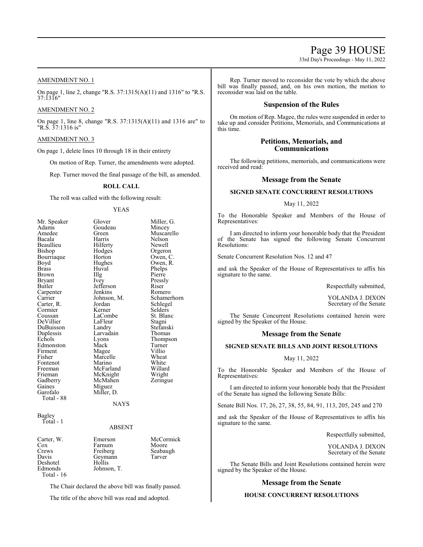33rd Day's Proceedings - May 11, 2022

# AMENDMENT NO. 1

On page 1, line 2, change "R.S. 37:1315(A)(11) and 1316" to "R.S. 37:1316"

# AMENDMENT NO. 2

On page 1, line 8, change "R.S. 37:1315(A)(11) and 1316 are" to "R.S. 37:1316 is"

# AMENDMENT NO. 3

On page 1, delete lines 10 through 18 in their entirety

On motion of Rep. Turner, the amendments were adopted.

Rep. Turner moved the final passage of the bill, as amended.

# **ROLL CALL**

The roll was called with the following result:

#### YEAS

Glover Miller, G.<br>Goudeau Mincey Goudeau<br>Green Green Muscarello<br>
Harris Nelson Bacala Harris Nelson Hilferty Newell<br>Hodges Orgero Hodges Orgeron<br>Horton Owen, C Horton Owen, C.<br>Hughes Owen, R. Hughes Owen, R.<br>Huval Phelps Huval Phelps<br>Illg Pierre Illg Pierre<br>Ivey Pressly Pressly<br>Riser Jefferson Riser Jenkins<br>Johnson, M. Johnson, M. Schamerhorn<br>Jordan Schlegel Jordan Schlegel<br>Kerner Selders Selders<br>St. Blanc LaCombe<br>LaFleur LaFleur Stagni<br>Landry Stefans Stefanski<br>Thomas Larvadain<br>Lyons Thompson<br>Turner Mack Turner<br>
Mage Villio Magee Villio<br>
Marcelle Wheat Marcelle Wheat<br>
Marino White Marino White<br>
McFarland Willard McFarland Willard<br>
McKnight Wright McKnight Wright<br>
McMahen Zeringue McMahen Miguez Miller, D.

NAYS

#### Bagley Total - 1

# ABSENT

| Carter, W.   | Emerson     | McCormick |
|--------------|-------------|-----------|
| Cox          | Farnum      | Moore     |
| Crews        | Freiberg    | Seabaugh  |
| Davis        | Geymann     | Tarver    |
| Deshotel     | Hollis      |           |
| Edmonds      | Johnson, T. |           |
| Total - $16$ |             |           |

The Chair declared the above bill was finally passed.

The title of the above bill was read and adopted.

Rep. Turner moved to reconsider the vote by which the above bill was finally passed, and, on his own motion, the motion to reconsider was laid on the table.

# **Suspension of the Rules**

On motion of Rep. Magee, the rules were suspended in order to take up and consider Petitions, Memorials, and Communications at this time.

# **Petitions, Memorials, and Communications**

The following petitions, memorials, and communications were received and read:

# **Message from the Senate**

# **SIGNED SENATE CONCURRENT RESOLUTIONS**

# May 11, 2022

To the Honorable Speaker and Members of the House of Representatives:

I am directed to inform your honorable body that the President of the Senate has signed the following Senate Concurrent Resolutions:

Senate Concurrent Resolution Nos. 12 and 47

and ask the Speaker of the House of Representatives to affix his signature to the same.

Respectfully submitted,

YOLANDA J. DIXON Secretary of the Senate

The Senate Concurrent Resolutions contained herein were signed by the Speaker of the House.

# **Message from the Senate**

# **SIGNED SENATE BILLS AND JOINT RESOLUTIONS**

# May 11, 2022

To the Honorable Speaker and Members of the House of Representatives:

I am directed to inform your honorable body that the President of the Senate has signed the following Senate Bills:

Senate Bill Nos. 17, 26, 27, 38, 55, 84, 91, 113, 205, 245 and 270

and ask the Speaker of the House of Representatives to affix his signature to the same.

Respectfully submitted,

YOLANDA J. DIXON Secretary of the Senate

The Senate Bills and Joint Resolutions contained herein were signed by the Speaker of the House.

# **Message from the Senate**

# **HOUSE CONCURRENT RESOLUTIONS**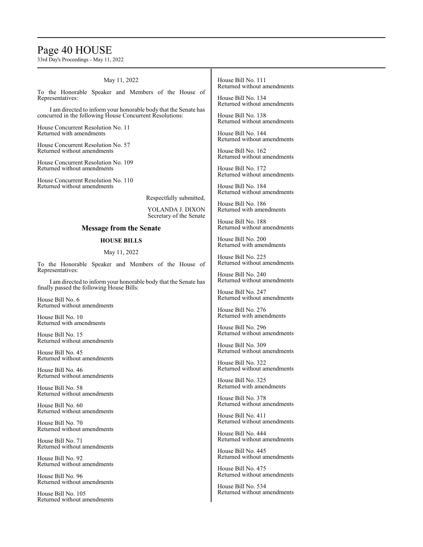# Page 40 HOUSE

33rd Day's Proceedings - May 11, 2022

# May 11, 2022

To the Honorable Speaker and Members of the House of Representatives:

I am directed to inform your honorable body that the Senate has concurred in the following House Concurrent Resolutions:

House Concurrent Resolution No. 11 Returned with amendments

House Concurrent Resolution No. 57 Returned without amendments

House Concurrent Resolution No. 109 Returned without amendments

House Concurrent Resolution No. 110 Returned without amendments

Respectfully submitted,

YOLANDA J. DIXON Secretary of the Senate

# **Message from the Senate**

# **HOUSE BILLS**

# May 11, 2022

To the Honorable Speaker and Members of the House of Representatives:

I am directed to inform your honorable body that the Senate has finally passed the following House Bills:

House Bill No. 6 Returned without amendments

House Bill No. 10 Returned with amendments

House Bill No. 15 Returned without amendments

House Bill No. 45 Returned without amendments

House Bill No. 46 Returned without amendments

House Bill No. 58 Returned without amendments

House Bill No. 60 Returned without amendments

House Bill No. 70 Returned without amendments

House Bill No. 71 Returned without amendments

House Bill No. 92 Returned without amendments

House Bill No. 96 Returned without amendments

House Bill No. 105 Returned without amendments House Bill No. 111 Returned without amendments

House Bill No. 134 Returned without amendments

House Bill No. 138 Returned without amendments

House Bill No. 144 Returned without amendments

House Bill No. 162 Returned without amendments

House Bill No. 172 Returned without amendments

House Bill No. 184 Returned without amendments

House Bill No. 186 Returned with amendments

House Bill No. 188 Returned without amendments

House Bill No. 200 Returned with amendments

House Bill No. 225 Returned without amendments

House Bill No. 240 Returned without amendments

House Bill No. 247 Returned without amendments

House Bill No. 276 Returned with amendments

House Bill No. 296 Returned without amendments

House Bill No. 309 Returned without amendments

House Bill No. 322 Returned without amendments

House Bill No. 325 Returned with amendments

House Bill No. 378 Returned without amendments

House Bill No. 411 Returned without amendments

House Bill No. 444 Returned without amendments

House Bill No. 445 Returned without amendments

House Bill No. 475 Returned without amendments

House Bill No. 534 Returned without amendments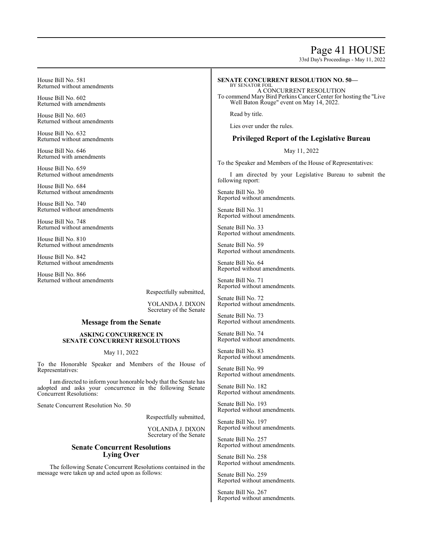# Page 41 HOUSE

33rd Day's Proceedings - May 11, 2022

House Bill No. 581 Returned without amendments

House Bill No. 602 Returned with amendments

House Bill No. 603 Returned without amendments

House Bill No. 632 Returned without amendments

House Bill No. 646 Returned with amendments

House Bill No. 659 Returned without amendments

House Bill No. 684 Returned without amendments

House Bill No. 740 Returned without amendments

House Bill No. 748 Returned without amendments

House Bill No. 810 Returned without amendments

House Bill No. 842 Returned without amendments

House Bill No. 866 Returned without amendments

Respectfully submitted,

YOLANDA J. DIXON Secretary of the Senate

# **Message from the Senate**

# **ASKING CONCURRENCE IN SENATE CONCURRENT RESOLUTIONS**

# May 11, 2022

To the Honorable Speaker and Members of the House of Representatives:

I am directed to inform your honorable body that the Senate has adopted and asks your concurrence in the following Senate Concurrent Resolutions:

Senate Concurrent Resolution No. 50

Respectfully submitted,

YOLANDA J. DIXON Secretary of the Senate

# **Senate Concurrent Resolutions Lying Over**

The following Senate Concurrent Resolutions contained in the message were taken up and acted upon as follows:

# **SENATE CONCURRENT RESOLUTION NO. 50—**

BY SENATOR FOIL A CONCURRENT RESOLUTION To commend Mary Bird Perkins Cancer Center for hosting the "Live Well Baton Rouge" event on May 14, 2022.

Read by title.

Lies over under the rules.

# **Privileged Report of the Legislative Bureau**

May 11, 2022

To the Speaker and Members of the House of Representatives:

I am directed by your Legislative Bureau to submit the following report:

Senate Bill No. 30 Reported without amendments.

Senate Bill No. 31 Reported without amendments.

Senate Bill No. 33 Reported without amendments.

Senate Bill No. 59 Reported without amendments.

Senate Bill No. 64 Reported without amendments.

Senate Bill No. 71 Reported without amendments.

Senate Bill No. 72 Reported without amendments.

Senate Bill No. 73 Reported without amendments.

Senate Bill No. 74 Reported without amendments.

Senate Bill No. 83 Reported without amendments.

Senate Bill No. 99 Reported without amendments.

Senate Bill No. 182 Reported without amendments.

Senate Bill No. 193 Reported without amendments.

Senate Bill No. 197 Reported without amendments.

Senate Bill No. 257 Reported without amendments.

Senate Bill No. 258 Reported without amendments.

Senate Bill No. 259 Reported without amendments.

Senate Bill No. 267 Reported without amendments.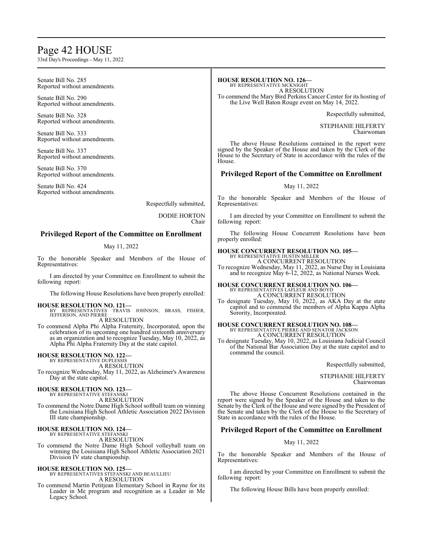# Page 42 HOUSE

33rd Day's Proceedings - May 11, 2022

Senate Bill No. 285 Reported without amendments.

Senate Bill No. 290 Reported without amendments.

Senate Bill No. 328 Reported without amendments.

Senate Bill No. 333 Reported without amendments.

Senate Bill No. 337 Reported without amendments.

Senate Bill No. 370 Reported without amendments.

Senate Bill No. 424 Reported without amendments.

Respectfully submitted,

DODIE HORTON Chair

# **Privileged Report of the Committee on Enrollment**

# May 11, 2022

To the honorable Speaker and Members of the House of Representatives:

I am directed by your Committee on Enrollment to submit the following report:

The following House Resolutions have been properly enrolled:

**HOUSE RESOLUTION NO. 121—** BY REPRESENTATIVES TRAVIS JOHNSON, BRASS, FISHER, JEFFERSON, AND PIERRE A RESOLUTION

To commend Alpha Phi Alpha Fraternity, Incorporated, upon the celebration of its upcoming one hundred sixteenth anniversary as an organization and to recognize Tuesday, May 10, 2022, as Alpha Phi Alpha Fraternity Day at the state capitol.

# **HOUSE RESOLUTION NO. 122—**

BY REPRESENTATIVE DUPLESSIS A RESOLUTION

To recognize Wednesday, May 11, 2022, as Alzheimer's Awareness Day at the state capitol.

# **HOUSE RESOLUTION NO. 123—**

BY REPRESENTATIVE STEFANSKI A RESOLUTION

To commend the Notre Dame High School softball team on winning the Louisiana High School Athletic Association 2022 Division III state championship.

# **HOUSE RESOLUTION NO. 124—** BY REPRESENTATIVE STEFANSKI

A RESOLUTION

To commend the Notre Dame High School volleyball team on winning the Louisiana High School Athletic Association 2021 Division IV state championship.

# **HOUSE RESOLUTION NO. 125—**

BY REPRESENTATIVES STEFANSKI AND BEAULLIEU A RESOLUTION

To commend Martin Petitjean Elementary School in Rayne for its Leader in Me program and recognition as a Leader in Me Legacy School.

# **HOUSE RESOLUTION NO. 126—**

BY REPRESENTATIVE MCKNIGHT A RESOLUTION To commend the Mary Bird Perkins Cancer Center for its hosting of the Live Well Baton Rouge event on May 14, 2022.

Respectfully submitted,

STEPHANIE HILFERTY Chairwoman

The above House Resolutions contained in the report were signed by the Speaker of the House and taken by the Clerk of the House to the Secretary of State in accordance with the rules of the House.

# **Privileged Report of the Committee on Enrollment**

# May 11, 2022

To the honorable Speaker and Members of the House of Representatives:

I am directed by your Committee on Enrollment to submit the following report:

The following House Concurrent Resolutions have been properly enrolled:

#### **HOUSE CONCURRENT RESOLUTION NO. 105—** BY REPRESENTATIVE DUSTIN MILLER

A CONCURRENT RESOLUTION

To recognize Wednesday, May 11, 2022, as Nurse Day in Louisiana and to recognize May 6-12, 2022, as National Nurses Week.

**HOUSE CONCURRENT RESOLUTION NO. 106—** BY REPRESENTATIVES LAFLEUR AND BOYD A CONCURRENT RESOLUTION

To designate Tuesday, May 10, 2022, as AKA Day at the state capitol and to commend the members of Alpha Kappa Alpha Sorority, Incorporated.

# **HOUSE CONCURRENT RESOLUTION NO. 108—** BY REPRESENTATIVE PIERRE AND SENATOR JACKSON A CONCURRENT RESOLUTION

To designate Tuesday, May 10, 2022, as Louisiana Judicial Council of the National Bar Association Day at the state capitol and to commend the council.

### Respectfully submitted,

STEPHANIE HILFERTY Chairwoman

The above House Concurrent Resolutions contained in the report were signed by the Speaker of the House and taken to the Senate by the Clerk of the House and were signed by the President of the Senate and taken by the Clerk of the House to the Secretary of State in accordance with the rules of the House.

# **Privileged Report of the Committee on Enrollment**

# May 11, 2022

To the honorable Speaker and Members of the House of Representatives:

I am directed by your Committee on Enrollment to submit the following report:

The following House Bills have been properly enrolled: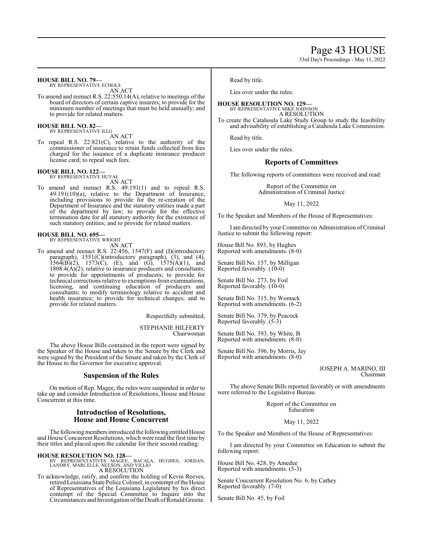Page 43 HOUSE

33rd Day's Proceedings - May 11, 2022

# **HOUSE BILL NO. 79—**

BY REPRESENTATIVE ECHOLS AN ACT

To amend and reenact R.S. 22:550.14(A), relative to meetings of the board of directors of certain captive insurers; to provide for the minimum number of meetings that must be held annually; and to provide for related matters.

**HOUSE BILL NO. 82—** BY REPRESENTATIVE ILLG

AN ACT

To repeal R.S. 22:821(C), relative to the authority of the commissioner of insurance to retain funds collected from fees charged for the issuance of a duplicate insurance producer license card; to repeal such fees.

# **HOUSE BILL NO. 122—**

BY REPRESENTATIVE HUVAL AN ACT

To amend and reenact R.S. 49:191(1) and to repeal R.S. 49:191(10)(a), relative to the Department of Insurance, including provisions to provide for the re-creation of the Department of Insurance and the statutory entities made a part of the department by law; to provide for the effective termination date for all statutory authority for the existence of such statutory entities; and to provide for related matters.

#### **HOUSE BILL NO. 695—**

BY REPRESENTATIVE WRIGHT

AN ACT To amend and reenact R.S. 22:456, 1547(F) and (I)(introductory paragraph), 1551(C)(introductory paragraph), (3), and (4),  $1564(B)(2)$ ,  $1573(C)$ , (E), and (G),  $1575(A)(1)$ , and  $1808.4(A)(2)$ , relative to insurance producers and consultants; to provide for appointments of producers; to provide for technical corrections relative to exemptions fromexaminations, licensing, and continuing education of producers and consultants; to modify terminology relative to accident and health insurance; to provide for technical changes; and to provide for related matters.

Respectfully submitted,

STEPHANIE HILFERTY Chairwoman

The above House Bills contained in the report were signed by the Speaker of the House and taken to the Senate by the Clerk and were signed by the President of the Senate and taken by the Clerk of the House to the Governor for executive approval.

# **Suspension of the Rules**

On motion of Rep. Magee, the rules were suspended in order to take up and consider Introduction of Resolutions, House and House Concurrent at this time.

# **Introduction of Resolutions, House and House Concurrent**

The following members introduced the following entitled House and House Concurrent Resolutions, which were read the first time by their titles and placed upon the calendar for their second reading:

**HOUSE RESOLUTION NO. 128—** BY REPRESENTATIVES MAGEE, BACALA, HUGHES, JORDAN, LANDRY, MARCELLE, NELSON, AND VILLIO A RESOLUTION

To acknowledge, ratify, and confirm the holding of Kevin Reeves, retired Louisiana State Police Colonel, in contempt of the House of Representatives of the Louisiana Legislature by his direct contempt of the Special Committee to Inquire into the Circumstances and Investigation of the Death of Ronald Greene. Read by title.

Lies over under the rules.

# **HOUSE RESOLUTION NO. 129—**

BY REPRESENTATIVE MIKE JOHNSON A RESOLUTION

To create the Catahoula Lake Study Group to study the feasibility and advisability of establishing a Catahoula Lake Commission.

Read by title.

Lies over under the rules.

# **Reports of Committees**

The following reports of committees were received and read:

Report of the Committee on Administration of Criminal Justice

May 11, 2022

To the Speaker and Members of the House of Representatives:

I amdirected by your Committee on Administration ofCriminal Justice to submit the following report:

House Bill No. 893, by Hughes Reported with amendments. (8-0)

Senate Bill No. 157, by Milligan Reported favorably. (10-0)

Senate Bill No. 273, by Foil Reported favorably. (10-0)

Senate Bill No. 315, by Womack Reported with amendments. (6-2)

Senate Bill No. 379, by Peacock Reported favorably. (5-3)

Senate Bill No. 393, by White, B Reported with amendments. (8-0)

Senate Bill No. 396, by Morris, Jay Reported with amendments. (8-0)

# JOSEPH A. MARINO, III Chairman

The above Senate Bills reported favorably or with amendments were referred to the Legislative Bureau.

> Report of the Committee on Education

> > May 11, 2022

To the Speaker and Members of the House of Representatives:

I am directed by your Committee on Education to submit the following report:

House Bill No. 428, by Amedee Reported with amendments. (5-3)

Senate Concurrent Resolution No. 6, by Cathey Reported favorably. (7-0)

Senate Bill No. 45, by Foil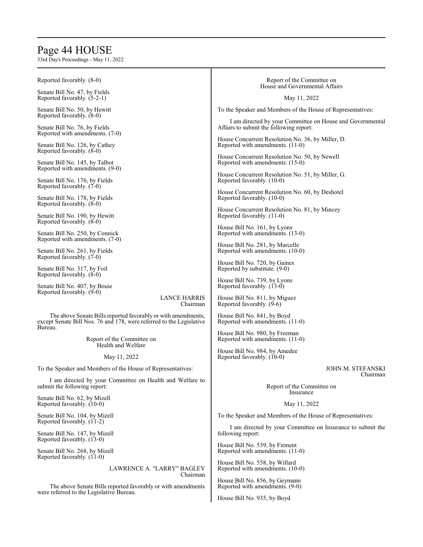# Page 44 HOUSE

33rd Day's Proceedings - May 11, 2022

| Reported favorably. (8-0)                                                                                                                        | Report of the Committee on<br>House and Governmental Affairs    |  |  |
|--------------------------------------------------------------------------------------------------------------------------------------------------|-----------------------------------------------------------------|--|--|
| Senate Bill No. 47, by Fields<br>Reported favorably. (5-2-1)                                                                                     | May 11, 2022                                                    |  |  |
| Senate Bill No. 50, by Hewitt<br>Reported favorably. (8-0)                                                                                       | To the Speaker and Members of the House of Representatives:     |  |  |
| Senate Bill No. 76, by Fields                                                                                                                    | I am directed by your Committee on House and Governmental       |  |  |
| Reported with amendments. (7-0)                                                                                                                  | Affairs to submit the following report:                         |  |  |
| Senate Bill No. 126, by Cathey                                                                                                                   | House Concurrent Resolution No. 36, by Miller, D.               |  |  |
| Reported favorably. (8-0)                                                                                                                        | Reported with amendments. (11-0)                                |  |  |
| Senate Bill No. 145, by Talbot                                                                                                                   | House Concurrent Resolution No. 50, by Newell                   |  |  |
| Reported with amendments. (9-0)                                                                                                                  | Reported with amendments. (15-0)                                |  |  |
| Senate Bill No. 176, by Fields                                                                                                                   | House Concurrent Resolution No. 51, by Miller, G.               |  |  |
| Reported favorably. (7-0)                                                                                                                        | Reported favorably. (10-0)                                      |  |  |
| Senate Bill No. 178, by Fields                                                                                                                   | House Concurrent Resolution No. 60, by Deshotel                 |  |  |
| Reported favorably. (8-0)                                                                                                                        | Reported favorably. (10-0)                                      |  |  |
| Senate Bill No. 190, by Hewitt                                                                                                                   | House Concurrent Resolution No. 81, by Mincey                   |  |  |
| Reported favorably. (8-0)                                                                                                                        | Reported favorably. (11-0)                                      |  |  |
| Senate Bill No. 250, by Connick                                                                                                                  | House Bill No. 161, by Lyons                                    |  |  |
| Reported with amendments. (7-0)                                                                                                                  | Reported with amendments. (13-0)                                |  |  |
| Senate Bill No. 261, by Fields                                                                                                                   | House Bill No. 281, by Marcelle                                 |  |  |
| Reported favorably. (7-0)                                                                                                                        | Reported with amendments. (10-0)                                |  |  |
| Senate Bill No. 317, by Foil                                                                                                                     | House Bill No. 720, by Gaines                                   |  |  |
| Reported favorably. (8-0)                                                                                                                        | Reported by substitute. (9-0)                                   |  |  |
| Senate Bill No. 407, by Bouie                                                                                                                    | House Bill No. 739, by Lyons                                    |  |  |
| Reported favorably. (9-0)                                                                                                                        | Reported favorably. (13-0)                                      |  |  |
| <b>LANCE HARRIS</b>                                                                                                                              | House Bill No. 811, by Miguez                                   |  |  |
| Chairman                                                                                                                                         | Reported favorably. (9-6)                                       |  |  |
| The above Senate Bills reported favorably or with amendments,<br>except Senate Bill Nos. 76 and 178, were referred to the Legislative<br>Bureau. | House Bill No. 841, by Boyd<br>Reported with amendments. (11-0) |  |  |
| Report of the Committee on                                                                                                                       | House Bill No. 980, by Freeman                                  |  |  |
| Health and Welfare                                                                                                                               | Reported with amendments. (11-0)                                |  |  |
| May 11, 2022                                                                                                                                     | House Bill No. 984, by Amedee<br>Reported favorably. (10-0)     |  |  |
| To the Speaker and Members of the House of Representatives:                                                                                      | JOHN M. STEFANSKI                                               |  |  |
| I am directed by your Committee on Health and Welfare to<br>submit the following report:                                                         | Chairman<br>Report of the Committee on<br>Insurance             |  |  |
| Senate Bill No. 62, by Mizell<br>Reported favorably. (10-0)                                                                                      | May 11, 2022                                                    |  |  |
| Senate Bill No. 104, by Mizell<br>Reported favorably. (11-2)                                                                                     | To the Speaker and Members of the House of Representatives:     |  |  |
| Senate Bill No. 147, by Mizell                                                                                                                   | I am directed by your Committee on Insurance to submit the      |  |  |
| Reported favorably. (13-0)                                                                                                                       | following report:                                               |  |  |
| Senate Bill No. 268, by Mizell                                                                                                                   | House Bill No. 539, by Firment                                  |  |  |
| Reported favorably. (11-0)                                                                                                                       | Reported with amendments. (11-0)                                |  |  |

LAWRENCE A. "LARRY" BAGLEY Chairman

The above Senate Bills reported favorably or with amendments were referred to the Legislative Bureau.

Reported with amendments. (9-0) House Bill No. 935, by Boyd

House Bill No. 558, by Willard Reported with amendments. (10-0) House Bill No. 856, by Geymann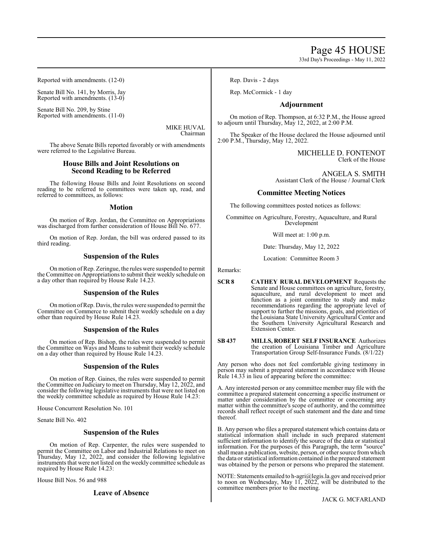33rd Day's Proceedings - May 11, 2022

Reported with amendments. (12-0)

Senate Bill No. 141, by Morris, Jay Reported with amendments. (13-0)

Senate Bill No. 209, by Stine Reported with amendments. (11-0)

> MIKE HUVAL Chairman

The above Senate Bills reported favorably or with amendments were referred to the Legislative Bureau.

# **House Bills and Joint Resolutions on Second Reading to be Referred**

The following House Bills and Joint Resolutions on second reading to be referred to committees were taken up, read, and referred to committees, as follows:

# **Motion**

On motion of Rep. Jordan, the Committee on Appropriations was discharged from further consideration of House Bill No. 677.

On motion of Rep. Jordan, the bill was ordered passed to its third reading.

# **Suspension of the Rules**

On motion ofRep. Zeringue, the rules were suspended to permit the Committee on Appropriations to submit their weekly schedule on a day other than required by House Rule 14.23.

# **Suspension of the Rules**

On motion ofRep. Davis, the rules were suspended to permit the Committee on Commerce to submit their weekly schedule on a day other than required by House Rule 14.23.

# **Suspension of the Rules**

On motion of Rep. Bishop, the rules were suspended to permit the Committee on Ways and Means to submit their weekly schedule on a day other than required by House Rule 14.23.

# **Suspension of the Rules**

On motion of Rep. Gaines, the rules were suspended to permit the Committee on Judiciary to meet on Thursday, May 12, 2022, and consider the following legislative instruments that were not listed on the weekly committee schedule as required by House Rule 14.23:

House Concurrent Resolution No. 101

Senate Bill No. 402

# **Suspension of the Rules**

On motion of Rep. Carpenter, the rules were suspended to permit the Committee on Labor and Industrial Relations to meet on Thursday, May 12, 2022, and consider the following legislative instruments that were not listed on the weekly committee schedule as required by House Rule 14.23:

House Bill Nos. 56 and 988

**Leave of Absence**

Rep. Davis - 2 days

Rep. McCormick - 1 day

# **Adjournment**

On motion of Rep. Thompson, at 6:32 P.M., the House agreed to adjourn until Thursday, May 12, 2022, at 2:00 P.M.

The Speaker of the House declared the House adjourned until 2:00 P.M., Thursday, May 12, 2022.

> MICHELLE D. FONTENOT Clerk of the House

ANGELA S. SMITH Assistant Clerk of the House / Journal Clerk

# **Committee Meeting Notices**

The following committees posted notices as follows:

Committee on Agriculture, Forestry, Aquaculture, and Rural Development

Will meet at: 1:00 p.m.

Date: Thursday, May 12, 2022

Location: Committee Room 3

Remarks:

- **SCR 8 CATHEY RURAL DEVELOPMENT** Requests the Senate and House committees on agriculture, forestry, aquaculture, and rural development to meet and function as a joint committee to study and make recommendations regarding the appropriate level of support to further the missions, goals, and priorities of the Louisiana State University Agricultural Center and the Southern University Agricultural Research and Extension Center.
- **SB 437 MILLS, ROBERT SELF INSURANCE** Authorizes the creation of Louisiana Timber and Agriculture Transportation Group Self-Insurance Funds. (8/1/22)

Any person who does not feel comfortable giving testimony in person may submit a prepared statement in accordance with House Rule 14.33 in lieu of appearing before the committee:

A. Any interested person or any committee member may file with the committee a prepared statement concerning a specific instrument or matter under consideration by the committee or concerning any matter within the committee's scope of authority, and the committee records shall reflect receipt of such statement and the date and time thereof.

B. Any person who files a prepared statement which contains data or statistical information shall include in such prepared statement sufficient information to identify the source of the data or statistical information. For the purposes of this Paragraph, the term "source" shall mean a publication, website, person, or other source fromwhich the data or statistical information contained in the prepared statement was obtained by the person or persons who prepared the statement.

NOTE: Statements emailed to h-agri@legis.la.gov and received prior to noon on Wednesday, May 11, 2022, will be distributed to the committee members prior to the meeting.

JACK G. MCFARLAND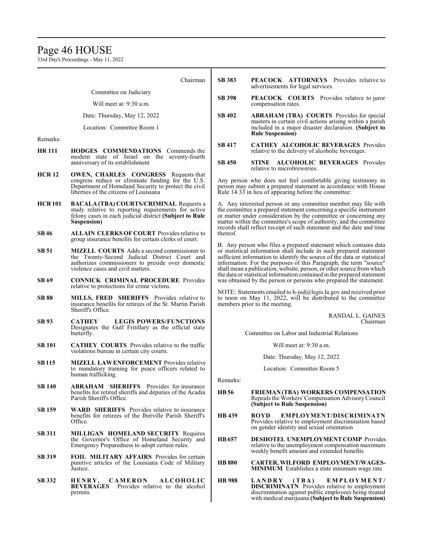# Page 46 HOUSE

33rd Day's Proceedings - May 11, 2022

| Chairman                                                              |                                                                                                                                                                                                    | <b>SB 383</b>                                                                                                                                                                                                                                                                                                                                                                                                                                                                                                                                                                                                                                                                                                                                                                                                                                                                               | <b>PEACOCK ATTORNEYS</b> Provides relative to<br>advertisements for legal services.                                                                                                                   |  |
|-----------------------------------------------------------------------|----------------------------------------------------------------------------------------------------------------------------------------------------------------------------------------------------|---------------------------------------------------------------------------------------------------------------------------------------------------------------------------------------------------------------------------------------------------------------------------------------------------------------------------------------------------------------------------------------------------------------------------------------------------------------------------------------------------------------------------------------------------------------------------------------------------------------------------------------------------------------------------------------------------------------------------------------------------------------------------------------------------------------------------------------------------------------------------------------------|-------------------------------------------------------------------------------------------------------------------------------------------------------------------------------------------------------|--|
|                                                                       | Committee on Judiciary                                                                                                                                                                             |                                                                                                                                                                                                                                                                                                                                                                                                                                                                                                                                                                                                                                                                                                                                                                                                                                                                                             | PEACOCK COURTS Provides relative to juror                                                                                                                                                             |  |
|                                                                       | Will meet at: 9:30 a.m.                                                                                                                                                                            |                                                                                                                                                                                                                                                                                                                                                                                                                                                                                                                                                                                                                                                                                                                                                                                                                                                                                             | compensation rates.                                                                                                                                                                                   |  |
|                                                                       | Date: Thursday, May 12, 2022<br>Location: Committee Room 1                                                                                                                                         | <b>SB 402</b>                                                                                                                                                                                                                                                                                                                                                                                                                                                                                                                                                                                                                                                                                                                                                                                                                                                                               | <b>ABRAHAM (TBA) COURTS</b> Provides for special<br>masters in certain civil actions arising within a parish<br>included in a major disaster declaration. (Subject to                                 |  |
|                                                                       |                                                                                                                                                                                                    |                                                                                                                                                                                                                                                                                                                                                                                                                                                                                                                                                                                                                                                                                                                                                                                                                                                                                             | <b>Rule Suspension</b> )                                                                                                                                                                              |  |
| Remarks:<br><b>HR 111</b><br><b>HODGES COMMENDATIONS</b> Commends the |                                                                                                                                                                                                    | <b>SB 417</b>                                                                                                                                                                                                                                                                                                                                                                                                                                                                                                                                                                                                                                                                                                                                                                                                                                                                               | <b>CATHEY ALCOHOLIC BEVERAGES Provides</b><br>relative to the delivery of alcoholic beverages.                                                                                                        |  |
|                                                                       | modern state of Israel on the seventy-fourth<br>anniversary of its establishment                                                                                                                   |                                                                                                                                                                                                                                                                                                                                                                                                                                                                                                                                                                                                                                                                                                                                                                                                                                                                                             | STINE ALCOHOLIC BEVERAGES Provides<br>relative to microbreweries.                                                                                                                                     |  |
| <b>HCR12</b>                                                          | <b>OWEN, CHARLES CONGRESS</b> Requests that<br>congress reduce or eliminate funding for the U.S.<br>Department of Homeland Security to protect the civil<br>liberties of the citizens of Louisiana |                                                                                                                                                                                                                                                                                                                                                                                                                                                                                                                                                                                                                                                                                                                                                                                                                                                                                             | Any person who does not feel comfortable giving testimony in<br>person may submit a prepared statement in accordance with House<br>Rule 14:33 in lieu of appearing before the committee:              |  |
| <b>HCR101</b>                                                         | <b>BACALA (TBA) COURTS/CRIMINAL Requests a</b><br>study relative to reporting requirements for active<br>felony cases in each judicial district (Subject to Rule<br>Suspension)                    | A. Any interested person or any committee member may file with<br>the committee a prepared statement concerning a specific instrument<br>or matter under consideration by the committee or concerning any<br>matter within the committee's scope of authority, and the committee<br>records shall reflect receipt of such statement and the date and time<br>thereof.<br>B. Any person who files a prepared statement which contains data<br>or statistical information shall include in such prepared statement<br>sufficient information to identify the source of the data or statistical<br>information. For the purposes of this Paragraph, the term "source"<br>shall mean a publication, website, person, or other source from which<br>the data or statistical information contained in the prepared statement<br>was obtained by the person or persons who prepared the statement. |                                                                                                                                                                                                       |  |
| <b>SB46</b>                                                           | <b>ALLAIN CLERKS OF COURT Provides relative to</b><br>group insurance benefits for certain clerks of court.                                                                                        |                                                                                                                                                                                                                                                                                                                                                                                                                                                                                                                                                                                                                                                                                                                                                                                                                                                                                             |                                                                                                                                                                                                       |  |
| <b>SB 51</b>                                                          | <b>MIZELL COURTS</b> Adds a second commissioner to<br>the Twenty-Second Judicial District Court and<br>authorizes commissioners to preside over domestic<br>violence cases and civil matters.      |                                                                                                                                                                                                                                                                                                                                                                                                                                                                                                                                                                                                                                                                                                                                                                                                                                                                                             |                                                                                                                                                                                                       |  |
| <b>SB 69</b>                                                          | <b>CONNICK CRIMINAL PROCEDURE</b> Provides<br>relative to protections for crime victims.                                                                                                           |                                                                                                                                                                                                                                                                                                                                                                                                                                                                                                                                                                                                                                                                                                                                                                                                                                                                                             |                                                                                                                                                                                                       |  |
| <b>SB 88</b>                                                          | MILLS, FRED SHERIFFS Provides relative to<br>insurance benefits for retirees of the St. Martin Parish<br>Sheriff's Office.                                                                         | NOTE: Statements emailed to h-jud@legis.la.gov and received prior<br>to noon on May 11, 2022, will be distributed to the committee<br>members prior to the meeting.                                                                                                                                                                                                                                                                                                                                                                                                                                                                                                                                                                                                                                                                                                                         |                                                                                                                                                                                                       |  |
| <b>SB 93</b>                                                          | <b>LEGIS POWERS/FUNCTIONS</b><br><b>CATHEY</b><br>Designates the Gulf Fritillary as the official state<br>butterfly.                                                                               |                                                                                                                                                                                                                                                                                                                                                                                                                                                                                                                                                                                                                                                                                                                                                                                                                                                                                             | RANDAL L. GAINES<br>Chairman                                                                                                                                                                          |  |
|                                                                       |                                                                                                                                                                                                    |                                                                                                                                                                                                                                                                                                                                                                                                                                                                                                                                                                                                                                                                                                                                                                                                                                                                                             | Committee on Labor and Industrial Relations                                                                                                                                                           |  |
| <b>SB 101</b>                                                         | <b>CATHEY COURTS</b> Provides relative to the traffic<br>violations bureau in certain city courts.                                                                                                 |                                                                                                                                                                                                                                                                                                                                                                                                                                                                                                                                                                                                                                                                                                                                                                                                                                                                                             | Will meet at: 9:30 a.m.                                                                                                                                                                               |  |
| <b>SB115</b>                                                          | <b>MIZELL LAW ENFORCEMENT</b> Provides relative<br>to mandatory training for peace officers related to                                                                                             |                                                                                                                                                                                                                                                                                                                                                                                                                                                                                                                                                                                                                                                                                                                                                                                                                                                                                             | Date: Thursday, May 12, 2022<br>Location: Committee Room 5                                                                                                                                            |  |
| human trafficking.                                                    |                                                                                                                                                                                                    |                                                                                                                                                                                                                                                                                                                                                                                                                                                                                                                                                                                                                                                                                                                                                                                                                                                                                             |                                                                                                                                                                                                       |  |
| <b>SB 140</b>                                                         | <b>ABRAHAM SHERIFFS</b> Provides for insurance                                                                                                                                                     | Remarks:                                                                                                                                                                                                                                                                                                                                                                                                                                                                                                                                                                                                                                                                                                                                                                                                                                                                                    |                                                                                                                                                                                                       |  |
|                                                                       | benefits for retired sheriffs and deputies of the Acadia<br>Parish Sheriff's Office.                                                                                                               | <b>HB</b> 56                                                                                                                                                                                                                                                                                                                                                                                                                                                                                                                                                                                                                                                                                                                                                                                                                                                                                | FRIEMAN (TBA) WORKERS COMPENSATION<br>Repeals the Workers' Compensation Advisory Council<br>(Subject to Rule Suspension)                                                                              |  |
| <b>SB 159</b>                                                         | <b>WARD SHERIFFS</b> Provides relative to insurance<br>benefits for retirees of the Iberville Parish Sheriff's<br>Office.                                                                          | <b>HB</b> 439                                                                                                                                                                                                                                                                                                                                                                                                                                                                                                                                                                                                                                                                                                                                                                                                                                                                               | EMPLOYMENT/DISCRIMINATN<br><b>BOYD</b><br>Provides relative to employment discrimination based<br>on gender identity and sexual orientation                                                           |  |
| <b>SB 311</b>                                                         | <b>MILLIGAN HOMELAND SECURITY Requires</b><br>the Governor's Office of Homeland Security and<br>Emergency Preparedness to adopt certain rules.                                                     | <b>HB</b> 657                                                                                                                                                                                                                                                                                                                                                                                                                                                                                                                                                                                                                                                                                                                                                                                                                                                                               | <b>DESHOTEL UNEMPLOYMENT COMP</b> Provides<br>relative to the unemployment compensation maximum<br>weekly benefit amount and extended benefits                                                        |  |
| <b>SB 319</b>                                                         | <b>FOIL MILITARY AFFAIRS</b> Provides for certain<br>punitive articles of the Louisiana Code of Military<br>Justice.                                                                               | <b>HB 880</b>                                                                                                                                                                                                                                                                                                                                                                                                                                                                                                                                                                                                                                                                                                                                                                                                                                                                               | CARTER, WILFORD EMPLOYMENT/WAGES-<br><b>MINIMUM</b> Establishes a state minimum wage rate                                                                                                             |  |
| <b>SB 332</b>                                                         | HENRY,<br><b>CAMERON</b><br><b>ALCOHOLIC</b><br>Provides relative to the alcohol<br><b>BEVERAGES</b><br>permits.                                                                                   | <b>HB</b> 988                                                                                                                                                                                                                                                                                                                                                                                                                                                                                                                                                                                                                                                                                                                                                                                                                                                                               | EMPLOYMENT/<br>LANDRY<br>(TBA)<br><b>DISCRIMINATN</b> Provides relative to employment<br>discrimination against public employees being treated<br>with medical marijuana (Subject to Rule Suspension) |  |
|                                                                       |                                                                                                                                                                                                    |                                                                                                                                                                                                                                                                                                                                                                                                                                                                                                                                                                                                                                                                                                                                                                                                                                                                                             |                                                                                                                                                                                                       |  |

Т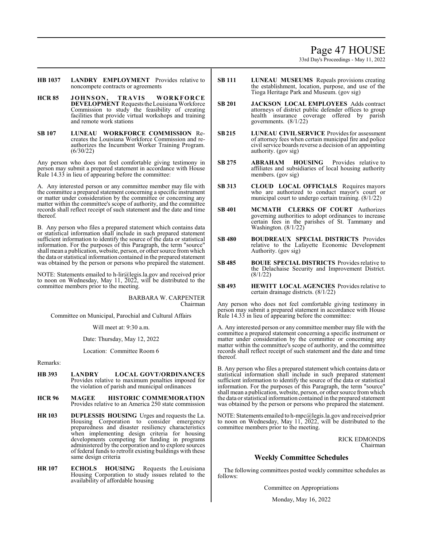# Page 47 HOUSE

33rd Day's Proceedings - May 11, 2022

- **HB 1037 LANDRY EMPLOYMENT** Provides relative to noncompete contracts or agreements
- **HCR 85 JOHNSON, TRAVIS WORKFORCE DEVELOPMENT** Requests the Louisiana Workforce Commission to study the feasibility of creating facilities that provide virtual workshops and training and remote work stations
- **SB 107 LUNEAU WORKFORCE COMMISSION** Recreates the Louisiana Workforce Commission and reauthorizes the Incumbent Worker Training Program. (6/30/22)

Any person who does not feel comfortable giving testimony in person may submit a prepared statement in accordance with House Rule 14.33 in lieu of appearing before the committee:

A. Any interested person or any committee member may file with the committee a prepared statement concerning a specific instrument or matter under consideration by the committee or concerning any matter within the committee's scope of authority, and the committee records shall reflect receipt of such statement and the date and time thereof.

B. Any person who files a prepared statement which contains data or statistical information shall include in such prepared statement sufficient information to identify the source of the data or statistical information. For the purposes of this Paragraph, the term "source" shall mean a publication, website, person, or other source fromwhich the data or statistical information contained in the prepared statement was obtained by the person or persons who prepared the statement.

NOTE: Statements emailed to h-lir@legis.la.gov and received prior to noon on Wednesday, May 11, 2022, will be distributed to the committee members prior to the meeting.

> BARBARA W. CARPENTER Chairman

Committee on Municipal, Parochial and Cultural Affairs

Will meet at: 9:30 a.m.

Date: Thursday, May 12, 2022

Location: Committee Room 6

Remarks:

- **HB 393 LANDRY LOCAL GOVT/ORDINANCES**  Provides relative to maximum penalties imposed for the violation of parish and municipal ordinances
- **HCR 96 MAGEE HISTORIC COMMEMORATION**  Provides relative to an America 250 state commission
- **HR 103 DUPLESSIS HOUSING** Urges and requests the La. Housing Corporation to consider emergency preparedness and disaster resiliency characteristics when implementing design criteria for housing developments competing for funding in programs administered by the corporation and to explore sources of federal funds to retrofit existing buildings with these same design criteria
- **HR 107 ECHOLS HOUSING** Requests the Louisiana Housing Corporation to study issues related to the availability of affordable housing
- **SB 111 LUNEAU MUSEUMS** Repeals provisions creating the establishment, location, purpose, and use of the Tioga Heritage Park and Museum. (gov sig)
- **SB 201 JACKSON LOCAL EMPLOYEES** Adds contract attorneys of district public defender offices to group health insurance coverage offered by parish governments. (8/1/22)
- **SB215 LUNEAU CIVIL SERVICE** Provides for assessment of attorney fees when certain municipal fire and police civil service boards reverse a decision of an appointing authority. (gov sig)
- **SB 275 ABRAHAM HOUSING** Provides relative to affiliates and subsidiaries of local housing authority members. (gov sig)
- **SB 313 CLOUD LOCAL OFFICIALS** Requires mayors who are authorized to conduct mayor's court or municipal court to undergo certain training. (8/1/22)
- **SB 401 MCMATH CLERKS OF COURT** Authorizes governing authorities to adopt ordinances to increase certain fees in the parishes of St. Tammany and Washington. (8/1/22)
- **SB 480 BOUDREAUX SPECIAL DISTRICTS** Provides relative to the Lafayette Economic Development Authority. (gov sig)
- **SB 485 BOUIE SPECIAL DISTRICTS** Provides relative to the Delachaise Security and Improvement District. (8/1/22)
- **SB 493 HEWITT LOCAL AGENCIES** Provides relative to certain drainage districts. (8/1/22)

Any person who does not feel comfortable giving testimony in person may submit a prepared statement in accordance with House Rule 14.33 in lieu of appearing before the committee:

A. Any interested person or any committee member may file with the committee a prepared statement concerning a specific instrument or matter under consideration by the committee or concerning any matter within the committee's scope of authority, and the committee records shall reflect receipt of such statement and the date and time thereof.

B. Any person who files a prepared statement which contains data or statistical information shall include in such prepared statement sufficient information to identify the source of the data or statistical information. For the purposes of this Paragraph, the term "source" shall mean a publication, website, person, or other source fromwhich the data or statistical information contained in the prepared statement was obtained by the person or persons who prepared the statement.

NOTE: Statements emailed to h-mpc@legis.la.gov and received prior to noon on Wednesday, May 11, 2022, will be distributed to the committee members prior to the meeting.

> RICK EDMONDS Chairman

# **Weekly Committee Schedules**

The following committees posted weekly committee schedules as follows:

Committee on Appropriations

Monday, May 16, 2022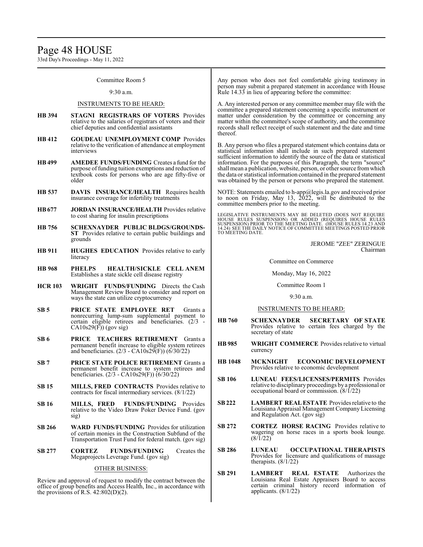33rd Day's Proceedings - May 11, 2022

### Committee Room 5

#### 9:30 a.m.

#### INSTRUMENTS TO BE HEARD:

- **HB 394 STAGNI REGISTRARS OF VOTERS** Provides relative to the salaries of registrars of voters and their chief deputies and confidential assistants
- **HB 412 GOUDEAU UNEMPLOYMENT COMP** Provides relative to the verification of attendance at employment interviews
- **HB 499 AMEDEE FUNDS/FUNDING** Creates a fund for the purpose offunding tuition exemptions and reduction of textbook costs for persons who are age fifty-five or older
- **HB 537 DAVIS INSURANCE/HEALTH** Requires health insurance coverage for infertility treatments
- **HB677 JORDAN INSURANCE/HEALTH** Provides relative to cost sharing for insulin prescriptions
- **HB 756 SCHEXNAYDER PUBLIC BLDGS/GROUNDS-ST** Provides relative to certain public buildings and grounds
- **HB 911 HUGHES EDUCATION** Provides relative to early literacy
- **HB 968 PHELPS HEALTH/SICKLE CELL ANEM** Establishes a state sickle cell disease registry
- **HCR 103 WRIGHT FUNDS/FUNDING** Directs the Cash Management Review Board to consider and report on ways the state can utilize cryptocurrency
- **SB 5 PRICE STATE EMPLOYEE RET** Grants a nonrecurring lump-sum supplemental payment to certain eligible retirees and beneficiaries. (2/3 -  $CA10s29(F)$ ) (gov sig)
- **SB 6 PRICE TEACHERS RETIREMENT** Grants a permanent benefit increase to eligible system retirees and beneficiaries. (2/3 - CA10s29(F)) (6/30/22)
- **SB 7 PRICE STATE POLICE RETIREMENT** Grants a permanent benefit increase to system retirees and beneficiaries. (2/3 - CA10s29(F)) (6/30/22)
- **SB 15 MILLS, FRED CONTRACTS** Provides relative to contracts for fiscal intermediary services. (8/1/22)
- **SB 16 MILLS, FRED FUNDS/FUNDING** Provides relative to the Video Draw Poker Device Fund. (gov sig)
- **SB 266 WARD FUNDS/FUNDING** Provides for utilization of certain monies in the Construction Subfund of the Transportation Trust Fund for federal match. (gov sig)
- **SB 277 CORTEZ FUNDS/FUNDING** Creates the Megaprojects Leverage Fund. (gov sig)

# OTHER BUSINESS:

Review and approval of request to modify the contract between the office of group benefits and Access Health, Inc., in accordance with the provisions of R.S.  $42:802(D)(2)$ .

Any person who does not feel comfortable giving testimony in person may submit a prepared statement in accordance with House Rule 14.33 in lieu of appearing before the committee:

A. Any interested person or any committee member may file with the committee a prepared statement concerning a specific instrument or matter under consideration by the committee or concerning any matter within the committee's scope of authority, and the committee records shall reflect receipt of such statement and the date and time thereof.

B. Any person who files a prepared statement which contains data or statistical information shall include in such prepared statement sufficient information to identify the source of the data or statistical information. For the purposes of this Paragraph, the term "source" shall mean a publication, website, person, or other source fromwhich the data or statistical information contained in the prepared statement was obtained by the person or persons who prepared the statement.

NOTE: Statements emailed to h-app@legis.la.gov and received prior to noon on Friday, May 13, 2022, will be distributed to the committee members prior to the meeting.

LEGISLATIVE INSTRUMENTS MAY BE DELETED (DOES NOT REQUIRE HOUSE RULES SUSPENSION) OR ADDED (REQUIRES HOUSE RULES<br>SUSPENSION)PRIOR TO THE MEETING DATE. (HOUSE RULES 14.22 AND<br>14.24) SEE THE DAILY NOTICE OF COMMITTEE MEETINGS POSTED PRIOR TO MEETING DATE.

> JEROME "ZEE" ZERINGUE Chairman

Committee on Commerce

Monday, May 16, 2022

#### Committee Room 1

9:30 a.m.

### INSTRUMENTS TO BE HEARD:

- **HB 760 SCHEXNAYDER SECRETARY OF STATE** Provides relative to certain fees charged by the secretary of state
- **HB 985 WRIGHT COMMERCE** Provides relative to virtual currency
- **HB 1048 MCKNIGHT ECONOMIC DEVELOPMENT** Provides relative to economic development
- **SB 106 LUNEAU FEES/LICENSES/PERMITS** Provides relative to disciplinaryproceedings by a professional or occupational board or commission. (8/1/22)
- **SB 222 LAMBERT REAL ESTATE** Provides relative to the Louisiana Appraisal Management Company Licensing and Regulation Act. (gov sig)
- **SB 272 CORTEZ HORSE RACING** Provides relative to wagering on horse races in a sports book lounge. (8/1/22)
- **SB 286 LUNEAU OCCUPATIONAL THERAPISTS** Provides for licensure and qualifications of massage therapists. (8/1/22)
- **SB 291 LAMBERT REAL ESTATE** Authorizes the Louisiana Real Estate Appraisers Board to access certain criminal history record information of applicants. (8/1/22)